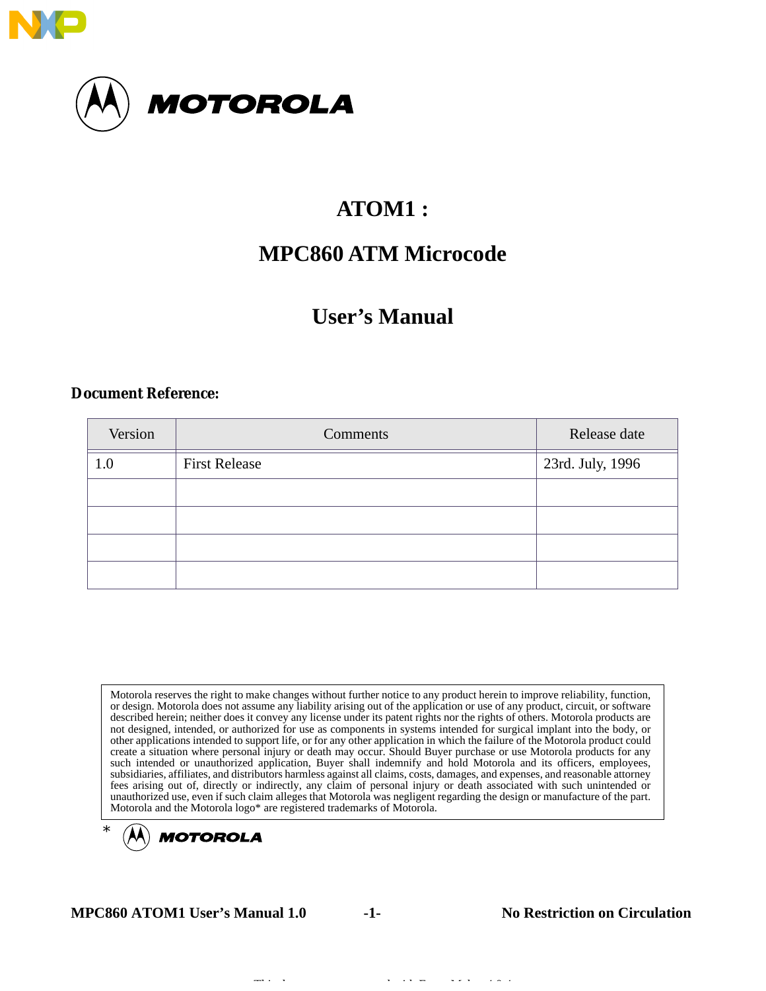

# **ATOM1 :**

# **MPC860 ATM Microcode**

# **User's Manual**

#### **Document Reference:**

| Version | Comments             | Release date     |
|---------|----------------------|------------------|
| 1.0     | <b>First Release</b> | 23rd. July, 1996 |
|         |                      |                  |
|         |                      |                  |
|         |                      |                  |
|         |                      |                  |

Motorola reserves the right to make changes without further notice to any product herein to improve reliability, function, or design. Motorola does not assume any liability arising out of the application or use of any product, circuit, or software described herein; neither does it convey any license under its patent rights nor the rights of others. Motorola products are not designed, intended, or authorized for use as components in systems intended for surgical implant into the body, or other applications intended to support life, or for any other application in which the failure of the Motorola product could create a situation where personal injury or death may occur. Should Buyer purchase or use Motorola products for any such intended or unauthorized application, Buyer shall indemnify and hold Motorola and its officers, employees, subsidiaries, affiliates, and distributors harmless against all claims, costs, damages, and expenses, and reasonable attorney fees arising out of, directly or indirectly, any claim of personal injury or death associated with such unintended or unauthorized use, even if such claim alleges that Motorola was negligent regarding the design or manufacture of the part. Motorola and the Motorola logo\* are registered trademarks of Motorola.



**MPC860 ATOM1 User's Manual 1.0 -1- No Restriction on Circulation**

Thi d d i h F M k 4 0 4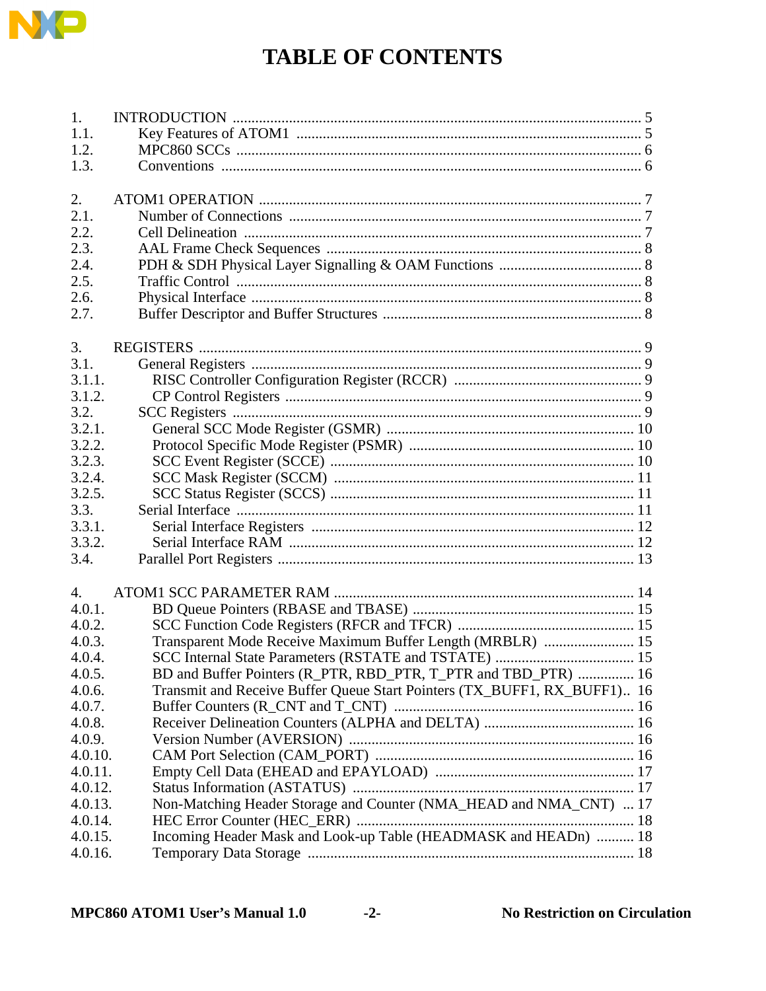

# **TABLE OF CONTENTS**

| 1.      |                                                                          |  |
|---------|--------------------------------------------------------------------------|--|
| 1.1.    |                                                                          |  |
| 1.2.    |                                                                          |  |
| 1.3.    |                                                                          |  |
|         |                                                                          |  |
| 2.      |                                                                          |  |
| 2.1.    |                                                                          |  |
| 2.2.    |                                                                          |  |
| 2.3.    |                                                                          |  |
| 2.4.    |                                                                          |  |
| 2.5.    |                                                                          |  |
| 2.6.    |                                                                          |  |
| 2.7.    |                                                                          |  |
|         |                                                                          |  |
| 3.      |                                                                          |  |
| 3.1.    |                                                                          |  |
| 3.1.1.  |                                                                          |  |
| 3.1.2.  |                                                                          |  |
| 3.2.    |                                                                          |  |
| 3.2.1.  |                                                                          |  |
| 3.2.2.  |                                                                          |  |
| 3.2.3.  |                                                                          |  |
| 3.2.4.  |                                                                          |  |
| 3.2.5.  |                                                                          |  |
| 3.3.    |                                                                          |  |
| 3.3.1.  |                                                                          |  |
| 3.3.2.  |                                                                          |  |
| 3.4.    |                                                                          |  |
|         |                                                                          |  |
| 4.      |                                                                          |  |
| 4.0.1.  |                                                                          |  |
| 4.0.2.  |                                                                          |  |
| 4.0.3.  | Transparent Mode Receive Maximum Buffer Length (MRBLR)  15               |  |
| 4.0.4.  |                                                                          |  |
| 4.0.5.  | BD and Buffer Pointers (R_PTR, RBD_PTR, T_PTR and TBD_PTR)  16           |  |
| 4.0.6.  | Transmit and Receive Buffer Queue Start Pointers (TX_BUFF1, RX_BUFF1) 16 |  |
| 4.0.7.  |                                                                          |  |
| 4.0.8.  |                                                                          |  |
| 4.0.9.  |                                                                          |  |
| 4.0.10. |                                                                          |  |
| 4.0.11. |                                                                          |  |
| 4.0.12. |                                                                          |  |
| 4.0.13. | Non-Matching Header Storage and Counter (NMA_HEAD and NMA_CNT)  17       |  |
| 4.0.14. |                                                                          |  |
| 4.0.15. | Incoming Header Mask and Look-up Table (HEADMASK and HEADn)  18          |  |
| 4.0.16. |                                                                          |  |
|         |                                                                          |  |

**No Restriction on Circulation**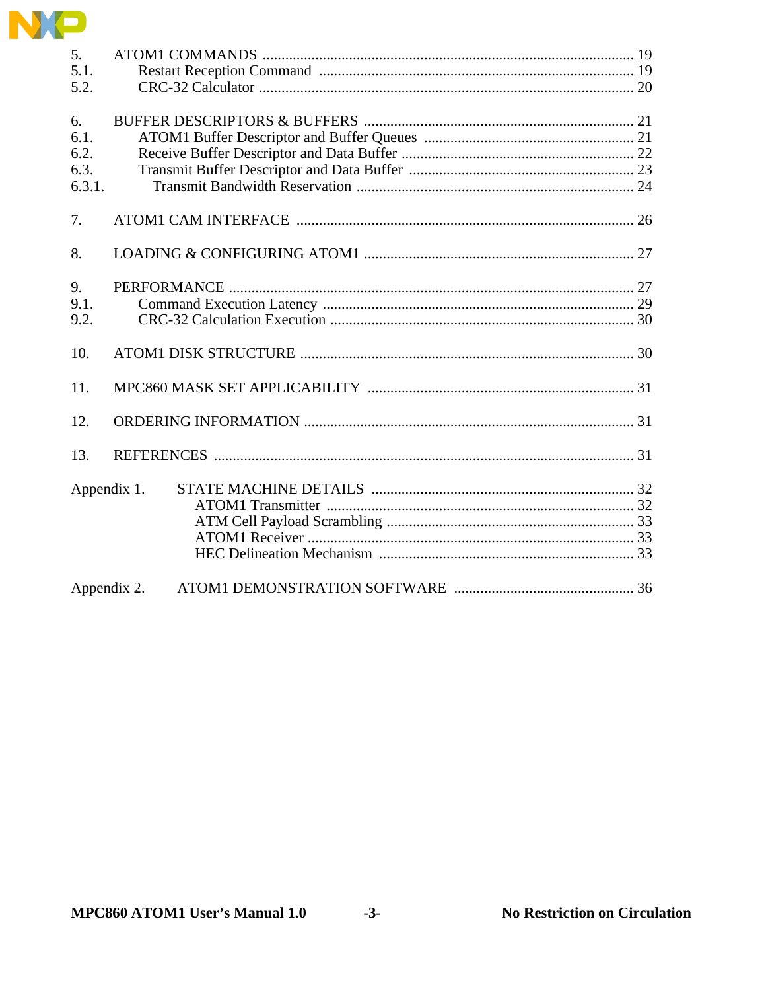

| 5 <sub>1</sub><br>5.1.<br>5.2.       |  |
|--------------------------------------|--|
| 6.<br>6.1.<br>6.2.<br>6.3.<br>6.3.1. |  |
| 7.                                   |  |
| 8.                                   |  |
| 9.<br>9.1.<br>9.2.                   |  |
| 10.                                  |  |
| 11.                                  |  |
| 12.                                  |  |
| 13.                                  |  |
| Appendix 1.                          |  |
| Appendix 2.                          |  |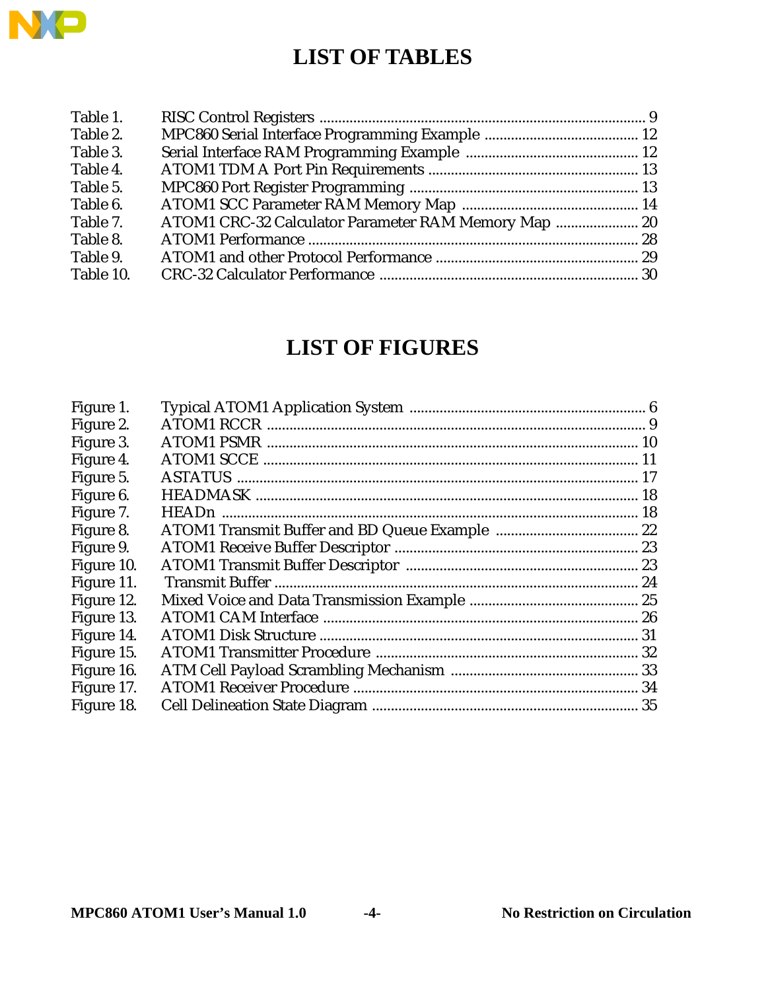

# **LIST OF TABLES**

| Table 1.  |                                                      |  |
|-----------|------------------------------------------------------|--|
| Table 2.  |                                                      |  |
| Table 3.  |                                                      |  |
| Table 4.  |                                                      |  |
| Table 5.  |                                                      |  |
| Table 6.  |                                                      |  |
| Table 7.  | ATOM1 CRC-32 Calculator Parameter RAM Memory Map  20 |  |
| Table 8.  |                                                      |  |
| Table 9.  |                                                      |  |
| Table 10. |                                                      |  |
|           |                                                      |  |

# **LIST OF FIGURES**

| Figure 1.  |  |
|------------|--|
| Figure 2.  |  |
| Figure 3.  |  |
| Figure 4.  |  |
| Figure 5.  |  |
| Figure 6.  |  |
| Figure 7.  |  |
| Figure 8.  |  |
| Figure 9.  |  |
| Figure 10. |  |
| Figure 11. |  |
| Figure 12. |  |
| Figure 13. |  |
| Figure 14. |  |
| Figure 15. |  |
| Figure 16. |  |
| Figure 17. |  |
| Figure 18. |  |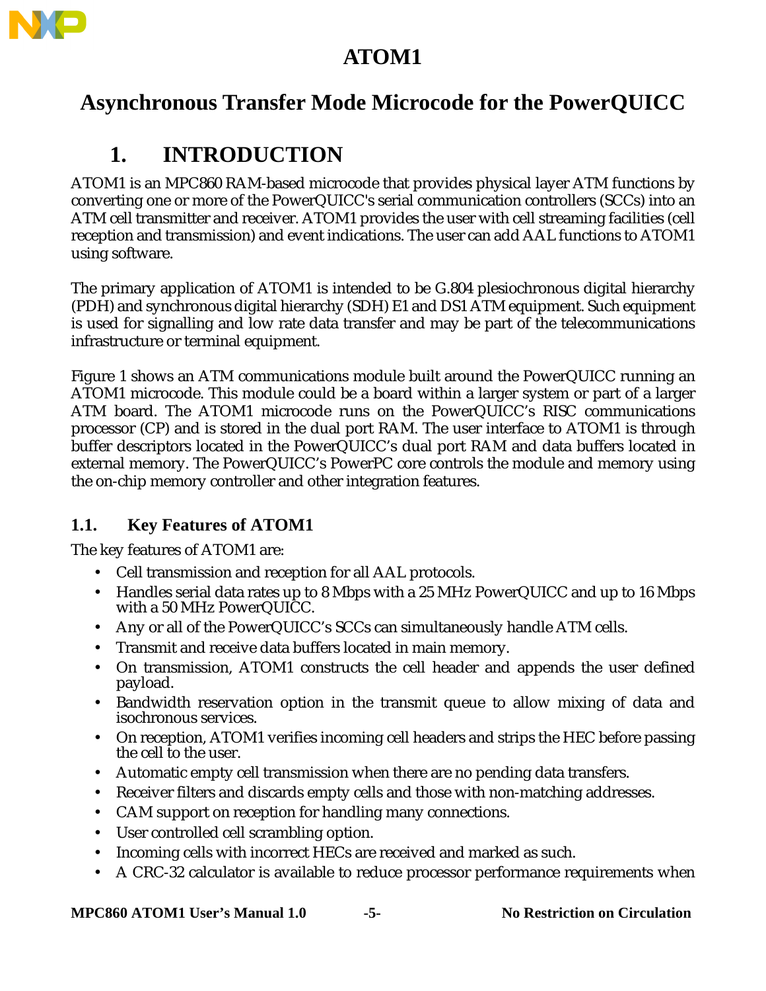

# **ATOM1**

# **Asynchronous Transfer Mode Microcode for the PowerQUICC**

# **1. INTRODUCTION**

ATOM1 is an MPC860 RAM-based microcode that provides physical layer ATM functions by converting one or more of the PowerQUICC's serial communication controllers (SCCs) into an ATM cell transmitter and receiver. ATOM1 provides the user with cell streaming facilities (cell reception and transmission) and event indications. The user can add AAL functions to ATOM1 using software.

The primary application of ATOM1 is intended to be G.804 plesiochronous digital hierarchy (PDH) and synchronous digital hierarchy (SDH) E1 and DS1 ATM equipment. Such equipment is used for signalling and low rate data transfer and may be part of the telecommunications infrastructure or terminal equipment.

Figure 1 shows an ATM communications module built around the PowerQUICC running an ATOM1 microcode. This module could be a board within a larger system or part of a larger ATM board. The ATOM1 microcode runs on the PowerQUICC's RISC communications processor (CP) and is stored in the dual port RAM. The user interface to ATOM1 is through buffer descriptors located in the PowerQUICC's dual port RAM and data buffers located in external memory. The PowerQUICC's PowerPC core controls the module and memory using the on-chip memory controller and other integration features.

# **1.1. Key Features of ATOM1**

The key features of ATOM1 are:

- Cell transmission and reception for all AAL protocols.
- Handles serial data rates up to 8 Mbps with a 25 MHz PowerQUICC and up to 16 Mbps with a 50 MHz PowerQUICC.
- Any or all of the PowerQUICC's SCCs can simultaneously handle ATM cells.
- Transmit and receive data buffers located in main memory.
- On transmission, ATOM1 constructs the cell header and appends the user defined payload.
- Bandwidth reservation option in the transmit queue to allow mixing of data and isochronous services.
- On reception, ATOM1 verifies incoming cell headers and strips the HEC before passing the cell to the user.
- Automatic empty cell transmission when there are no pending data transfers.
- Receiver filters and discards empty cells and those with non-matching addresses.
- CAM support on reception for handling many connections.
- User controlled cell scrambling option.
- Incoming cells with incorrect HECs are received and marked as such.
- A CRC-32 calculator is available to reduce processor performance requirements when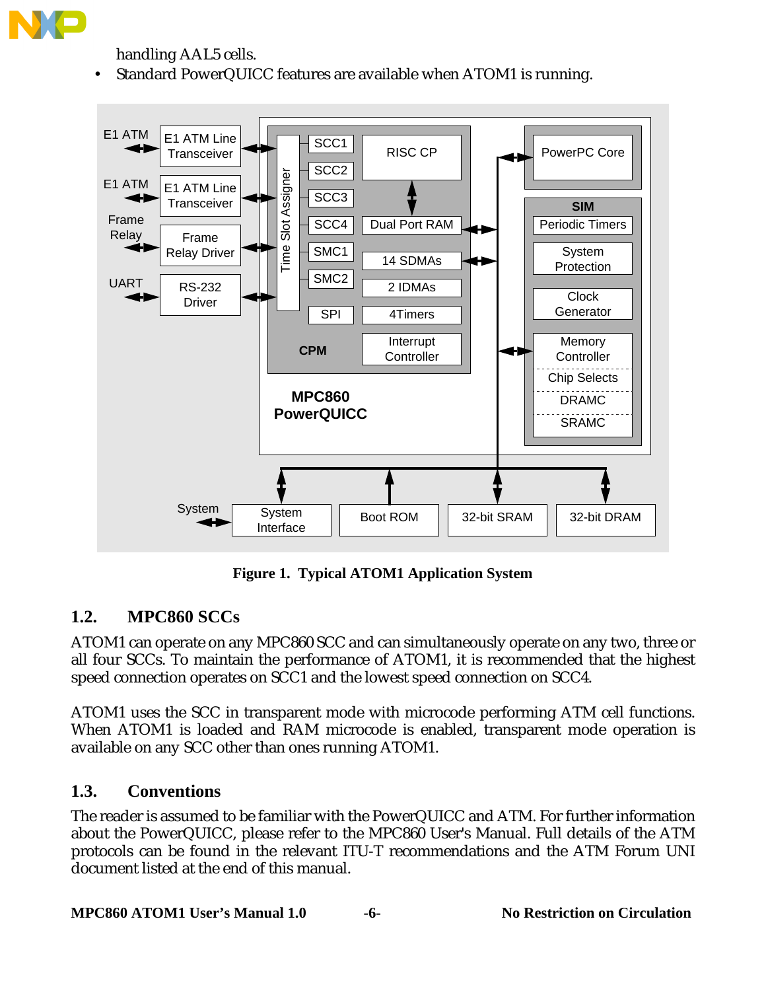

handling AAL5 cells.

• Standard PowerQUICC features are available when ATOM1 is running.



**Figure 1. Typical ATOM1 Application System**

## **1.2. MPC860 SCCs**

ATOM1 can operate on any MPC860 SCC and can simultaneously operate on any two, three or all four SCCs. To maintain the performance of ATOM1, it is recommended that the highest speed connection operates on SCC1 and the lowest speed connection on SCC4.

ATOM1 uses the SCC in transparent mode with microcode performing ATM cell functions. When ATOM1 is loaded and RAM microcode is enabled, transparent mode operation is available on any SCC other than ones running ATOM1.

#### **1.3. Conventions**

The reader is assumed to be familiar with the PowerQUICC and ATM. For further information about the PowerQUICC, please refer to the MPC860 User's Manual. Full details of the ATM protocols can be found in the relevant ITU-T recommendations and the ATM Forum UNI document listed at the end of this manual.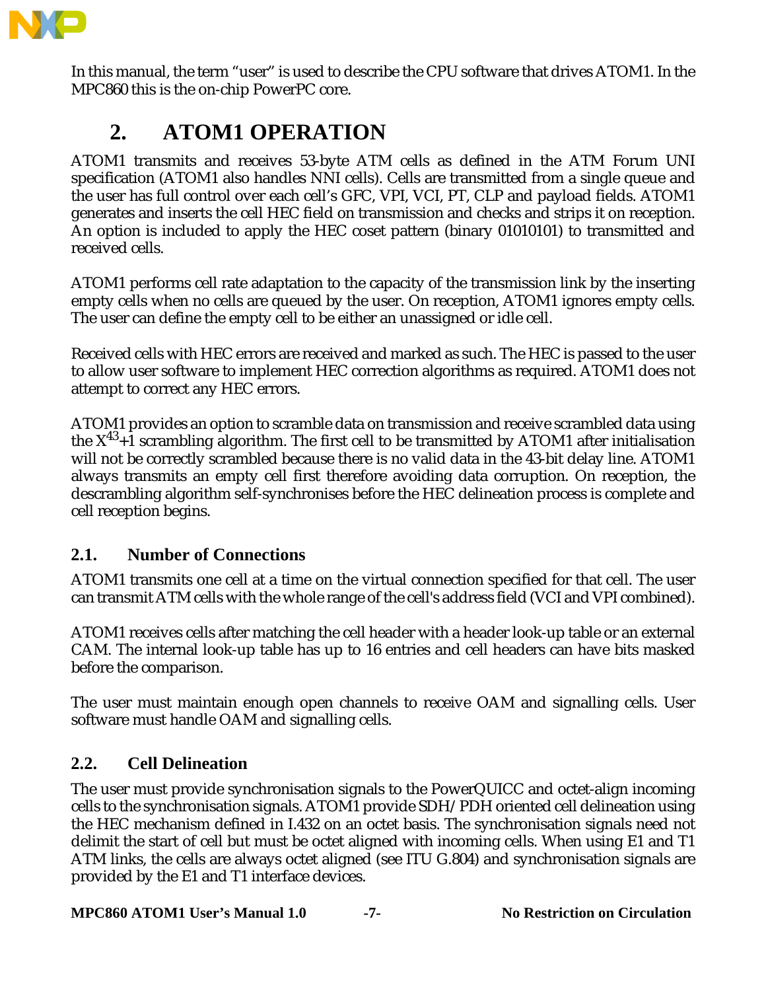

In this manual, the term "user" is used to describe the CPU software that drives ATOM1. In the MPC860 this is the on-chip PowerPC core.

# **2. ATOM1 OPERATION**

ATOM1 transmits and receives 53-byte ATM cells as defined in the ATM Forum UNI specification (ATOM1 also handles NNI cells). Cells are transmitted from a single queue and the user has full control over each cell's GFC, VPI, VCI, PT, CLP and payload fields. ATOM1 generates and inserts the cell HEC field on transmission and checks and strips it on reception. An option is included to apply the HEC coset pattern (binary 01010101) to transmitted and received cells.

ATOM1 performs cell rate adaptation to the capacity of the transmission link by the inserting empty cells when no cells are queued by the user. On reception, ATOM1 ignores empty cells. The user can define the empty cell to be either an unassigned or idle cell.

Received cells with HEC errors are received and marked as such. The HEC is passed to the user to allow user software to implement HEC correction algorithms as required. ATOM1 does not attempt to correct any HEC errors.

ATOM1 provides an option to scramble data on transmission and receive scrambled data using the  $X^{43}+1$  scrambling algorithm. The first cell to be transmitted by ATOM1 after initialisation will not be correctly scrambled because there is no valid data in the 43-bit delay line. ATOM1 always transmits an empty cell first therefore avoiding data corruption. On reception, the descrambling algorithm self-synchronises before the HEC delineation process is complete and cell reception begins.

## **2.1. Number of Connections**

ATOM1 transmits one cell at a time on the virtual connection specified for that cell. The user can transmit ATM cells with the whole range of the cell's address field (VCI and VPI combined).

ATOM1 receives cells after matching the cell header with a header look-up table or an external CAM. The internal look-up table has up to 16 entries and cell headers can have bits masked before the comparison.

The user must maintain enough open channels to receive OAM and signalling cells. User software must handle OAM and signalling cells.

## **2.2. Cell Delineation**

The user must provide synchronisation signals to the PowerQUICC and octet-align incoming cells to the synchronisation signals. ATOM1 provide SDH/PDH oriented cell delineation using the HEC mechanism defined in I.432 on an octet basis. The synchronisation signals need not delimit the start of cell but must be octet aligned with incoming cells. When using E1 and T1 ATM links, the cells are always octet aligned (see ITU G.804) and synchronisation signals are provided by the E1 and T1 interface devices.

**MPC860 ATOM1 User's Manual 1.0 -7- No Restriction on Circulation**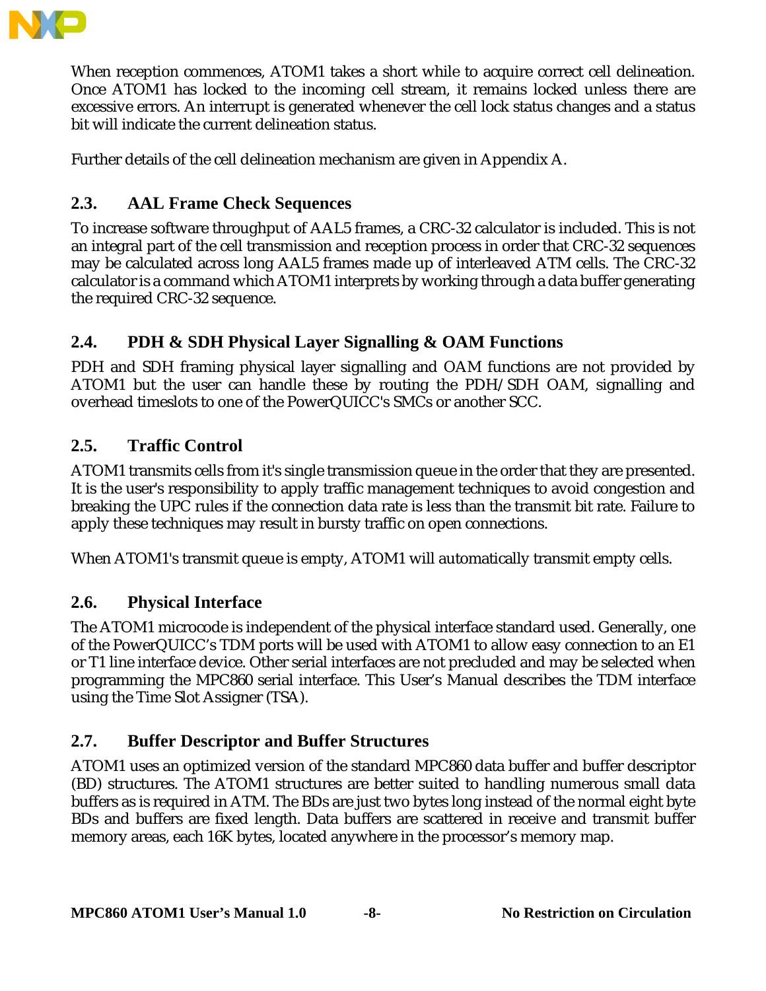

When reception commences, ATOM1 takes a short while to acquire correct cell delineation. Once ATOM1 has locked to the incoming cell stream, it remains locked unless there are excessive errors. An interrupt is generated whenever the cell lock status changes and a status bit will indicate the current delineation status.

Further details of the cell delineation mechanism are given in Appendix A.

# **2.3. AAL Frame Check Sequences**

To increase software throughput of AAL5 frames, a CRC-32 calculator is included. This is not an integral part of the cell transmission and reception process in order that CRC-32 sequences may be calculated across long AAL5 frames made up of interleaved ATM cells. The CRC-32 calculator is a command which ATOM1 interprets by working through a data buffer generating the required CRC-32 sequence.

# **2.4. PDH & SDH Physical Layer Signalling & OAM Functions**

PDH and SDH framing physical layer signalling and OAM functions are not provided by ATOM1 but the user can handle these by routing the PDH/SDH OAM, signalling and overhead timeslots to one of the PowerQUICC's SMCs or another SCC.

## **2.5. Traffic Control**

ATOM1 transmits cells from it's single transmission queue in the order that they are presented. It is the user's responsibility to apply traffic management techniques to avoid congestion and breaking the UPC rules if the connection data rate is less than the transmit bit rate. Failure to apply these techniques may result in bursty traffic on open connections.

When ATOM1's transmit queue is empty, ATOM1 will automatically transmit empty cells.

## **2.6. Physical Interface**

The ATOM1 microcode is independent of the physical interface standard used. Generally, one of the PowerQUICC's TDM ports will be used with ATOM1 to allow easy connection to an E1 or T1 line interface device. Other serial interfaces are not precluded and may be selected when programming the MPC860 serial interface. This User's Manual describes the TDM interface using the Time Slot Assigner (TSA).

## **2.7. Buffer Descriptor and Buffer Structures**

ATOM1 uses an optimized version of the standard MPC860 data buffer and buffer descriptor (BD) structures. The ATOM1 structures are better suited to handling numerous small data buffers as is required in ATM. The BDs are just two bytes long instead of the normal eight byte BDs and buffers are fixed length. Data buffers are scattered in receive and transmit buffer memory areas, each 16K bytes, located anywhere in the processor's memory map.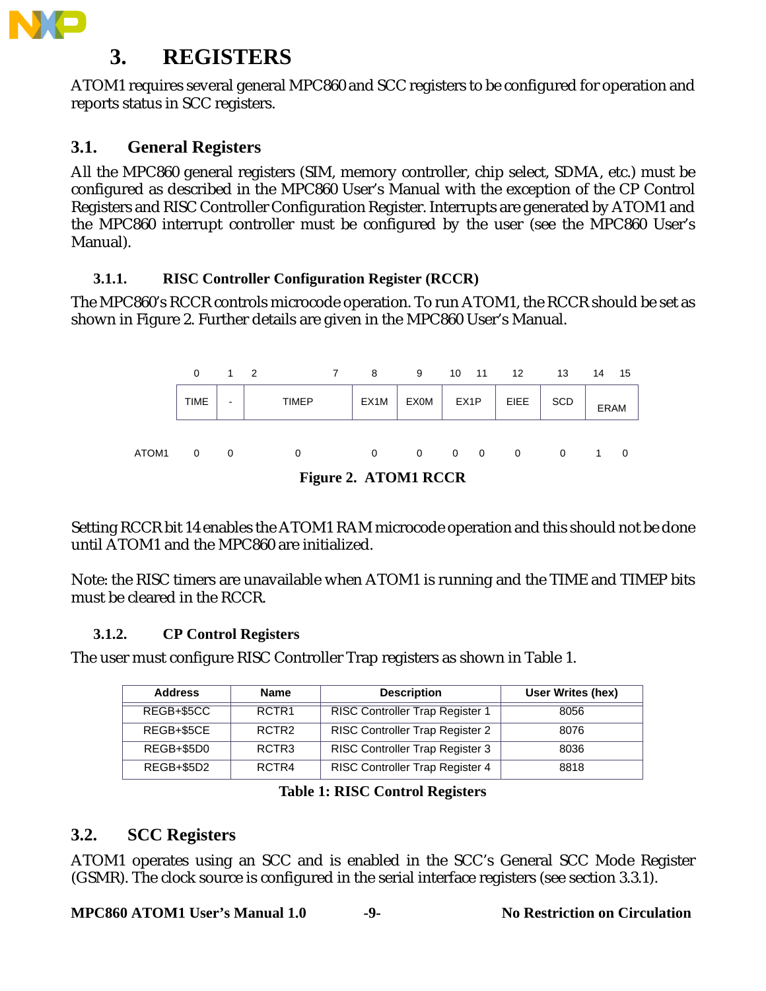

# **3. REGISTERS**

ATOM1 requires several general MPC860 and SCC registers to be configured for operation and reports status in SCC registers.

# **3.1. General Registers**

All the MPC860 general registers (SIM, memory controller, chip select, SDMA, etc.) must be configured as described in the MPC860 User's Manual with the exception of the CP Control Registers and RISC Controller Configuration Register. Interrupts are generated by ATOM1 and the MPC860 interrupt controller must be configured by the user (see the MPC860 User's Manual).

### **3.1.1. RISC Controller Configuration Register (RCCR)**

The MPC860's RCCR controls microcode operation. To run ATOM1, the RCCR should be set as shown in Figure 2. Further details are given in the MPC860 User's Manual.



**Figure 2. ATOM1 RCCR**

Setting RCCR bit 14 enables the ATOM1 RAM microcode operation and this should not be done until ATOM1 and the MPC860 are initialized.

Note: the RISC timers are unavailable when ATOM1 is running and the TIME and TIMEP bits must be cleared in the RCCR.

## **3.1.2. CP Control Registers**

The user must configure RISC Controller Trap registers as shown in Table 1.

| <b>Address</b> | <b>Name</b>       | <b>Description</b>                     | User Writes (hex) |
|----------------|-------------------|----------------------------------------|-------------------|
| REGB+\$5CC     | RCTR <sub>1</sub> | <b>RISC Controller Trap Register 1</b> | 8056              |
| REGB+\$5CE     | RCTR <sub>2</sub> | RISC Controller Trap Register 2        | 8076              |
| REGB+\$5D0     | RCTR <sub>3</sub> | RISC Controller Trap Register 3        | 8036              |
| REGB+\$5D2     | RCTR4             | RISC Controller Trap Register 4        | 8818              |

#### **Table 1: RISC Control Registers**

## **3.2. SCC Registers**

ATOM1 operates using an SCC and is enabled in the SCC's General SCC Mode Register (GSMR). The clock source is configured in the serial interface registers (see section 3.3.1).

**MPC860 ATOM1 User's Manual 1.0 -9- No Restriction on Circulation**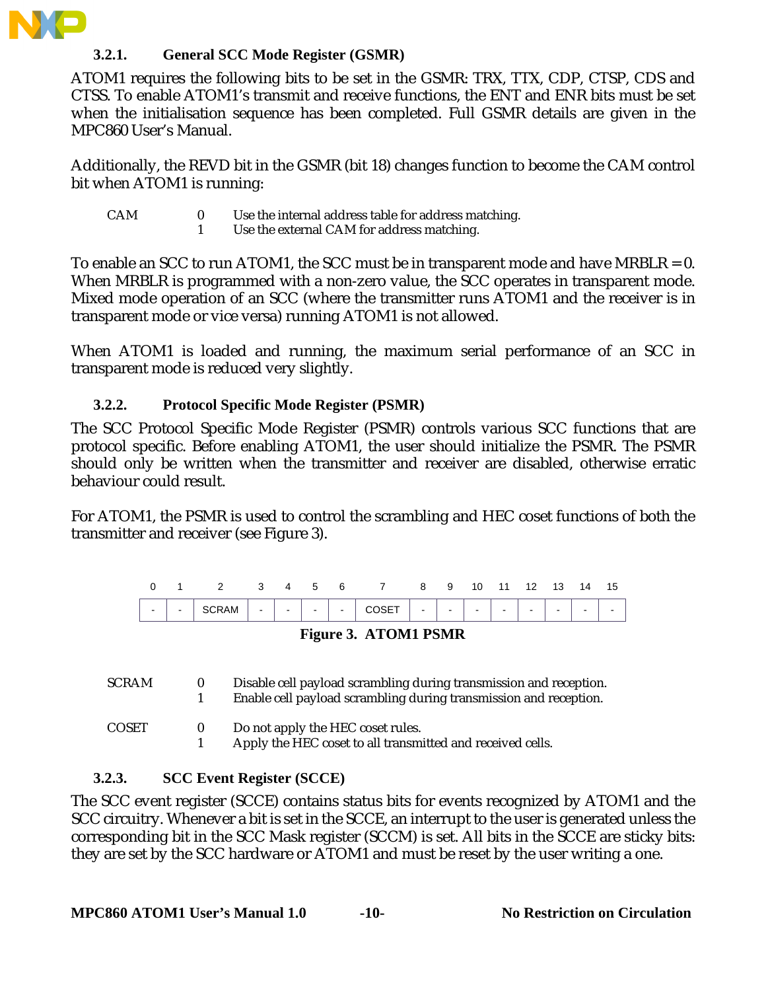

#### **3.2.1. General SCC Mode Register (GSMR)**

ATOM1 requires the following bits to be set in the GSMR: TRX, TTX, CDP, CTSP, CDS and CTSS. To enable ATOM1's transmit and receive functions, the ENT and ENR bits must be set when the initialisation sequence has been completed. Full GSMR details are given in the MPC860 User's Manual.

Additionally, the REVD bit in the GSMR (bit 18) changes function to become the CAM control bit when ATOM1 is running:

- CAM 0 Use the internal address table for address matching.
	- 1 Use the external CAM for address matching.

To enable an SCC to run ATOM1, the SCC must be in transparent mode and have MRBLR =  $0$ . When MRBLR is programmed with a non-zero value, the SCC operates in transparent mode. Mixed mode operation of an SCC (where the transmitter runs ATOM1 and the receiver is in transparent mode or vice versa) running ATOM1 is not allowed.

When ATOM1 is loaded and running, the maximum serial performance of an SCC in transparent mode is reduced very slightly.

#### **3.2.2. Protocol Specific Mode Register (PSMR)**

The SCC Protocol Specific Mode Register (PSMR) controls various SCC functions that are protocol specific. Before enabling ATOM1, the user should initialize the PSMR. The PSMR should only be written when the transmitter and receiver are disabled, otherwise erratic behaviour could result.

For ATOM1, the PSMR is used to control the scrambling and HEC coset functions of both the transmitter and receiver (see Figure 3).



#### **Figure 3. ATOM1 PSMR**

| SCRAM | Disable cell payload scrambling during transmission and reception. |
|-------|--------------------------------------------------------------------|
|       | Enable cell payload scrambling during transmission and reception.  |

COSET 0 Do not apply the HEC coset rules.<br>1 Apply the HEC coset to all transm Apply the HEC coset to all transmitted and received cells.

#### **3.2.3. SCC Event Register (SCCE)**

The SCC event register (SCCE) contains status bits for events recognized by ATOM1 and the SCC circuitry. Whenever a bit is set in the SCCE, an interrupt to the user is generated unless the corresponding bit in the SCC Mask register (SCCM) is set. All bits in the SCCE are sticky bits: they are set by the SCC hardware or ATOM1 and must be reset by the user writing a one.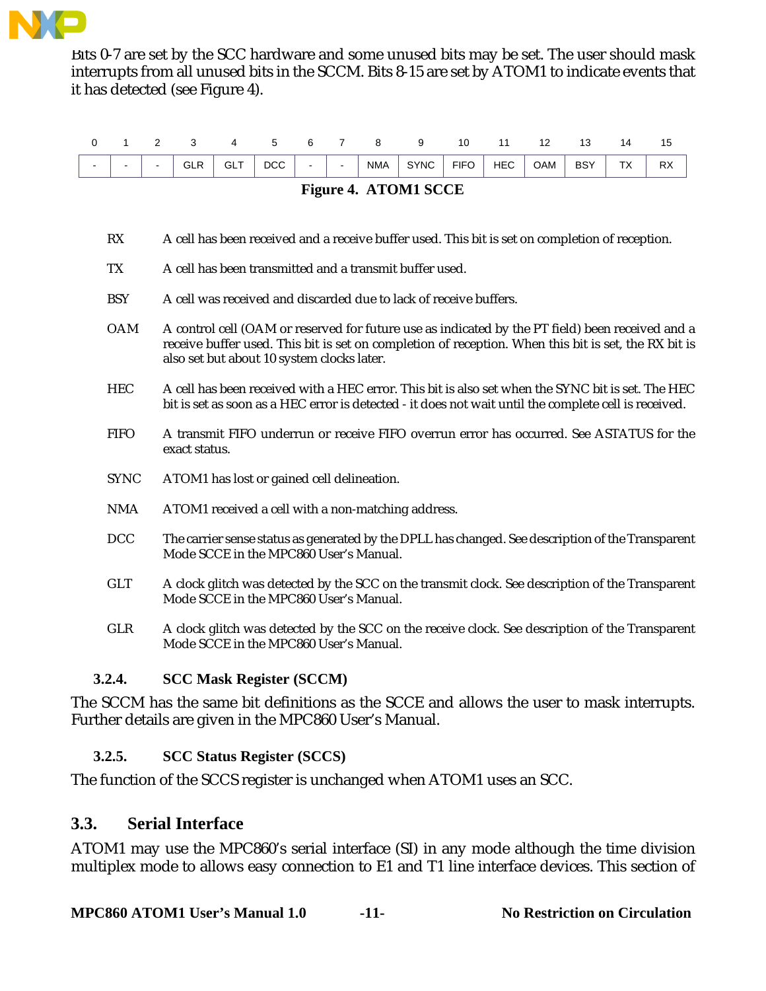

Bits 0-7 are set by the SCC hardware and some unused bits may be set. The user should mask interrupts from all unused bits in the SCCM. Bits 8-15 are set by ATOM1 to indicate events that it has detected (see Figure 4).

|                          |                                                                        | - |     |               | $\overline{a}$ |        |        |            |             | 10          |                                                   |     |                    | 4 ا     |                 |
|--------------------------|------------------------------------------------------------------------|---|-----|---------------|----------------|--------|--------|------------|-------------|-------------|---------------------------------------------------|-----|--------------------|---------|-----------------|
| $\overline{\phantom{0}}$ | $\overline{\phantom{a}}$                                               |   | GLR | GL.<br>$\sim$ | <b>DCC</b>     | $\sim$ | $\sim$ | <b>NMA</b> | <b>SYNC</b> | <b>FIFO</b> | <b>HEC</b><br>the contract of the contract of the | OAM | <b>BSY</b><br>$ -$ | TV<br>ᅛ | <b>DY</b><br>ĸ۸ |
|                          | the control of the control of the<br>the company's company's company's |   |     |               |                |        |        |            |             |             |                                                   |     |                    |         |                 |

|  | <b>Figure 4. ATOM1 SCCE</b> |  |
|--|-----------------------------|--|
|--|-----------------------------|--|

- RX A cell has been received and a receive buffer used. This bit is set on completion of reception.
- TX A cell has been transmitted and a transmit buffer used.
- BSY A cell was received and discarded due to lack of receive buffers.
- OAM A control cell (OAM or reserved for future use as indicated by the PT field) been received and a receive buffer used. This bit is set on completion of reception. When this bit is set, the RX bit is also set but about 10 system clocks later.
- HEC A cell has been received with a HEC error. This bit is also set when the SYNC bit is set. The HEC bit is set as soon as a HEC error is detected - it does not wait until the complete cell is received.
- FIFO A transmit FIFO underrun or receive FIFO overrun error has occurred. See ASTATUS for the exact status.
- SYNC ATOM1 has lost or gained cell delineation.
- NMA ATOM1 received a cell with a non-matching address.
- DCC The carrier sense status as generated by the DPLL has changed. See description of the Transparent Mode SCCE in the MPC860 User's Manual.
- GLT A clock glitch was detected by the SCC on the transmit clock. See description of the Transparent Mode SCCE in the MPC860 User's Manual.
- GLR A clock glitch was detected by the SCC on the receive clock. See description of the Transparent Mode SCCE in the MPC860 User's Manual.

## **3.2.4. SCC Mask Register (SCCM)**

The SCCM has the same bit definitions as the SCCE and allows the user to mask interrupts. Further details are given in the MPC860 User's Manual.

## **3.2.5. SCC Status Register (SCCS)**

The function of the SCCS register is unchanged when ATOM1 uses an SCC.

## **3.3. Serial Interface**

ATOM1 may use the MPC860's serial interface (SI) in any mode although the time division multiplex mode to allows easy connection to E1 and T1 line interface devices. This section of

**MPC860 ATOM1 User's Manual 1.0 -11- No Restriction on Circulation**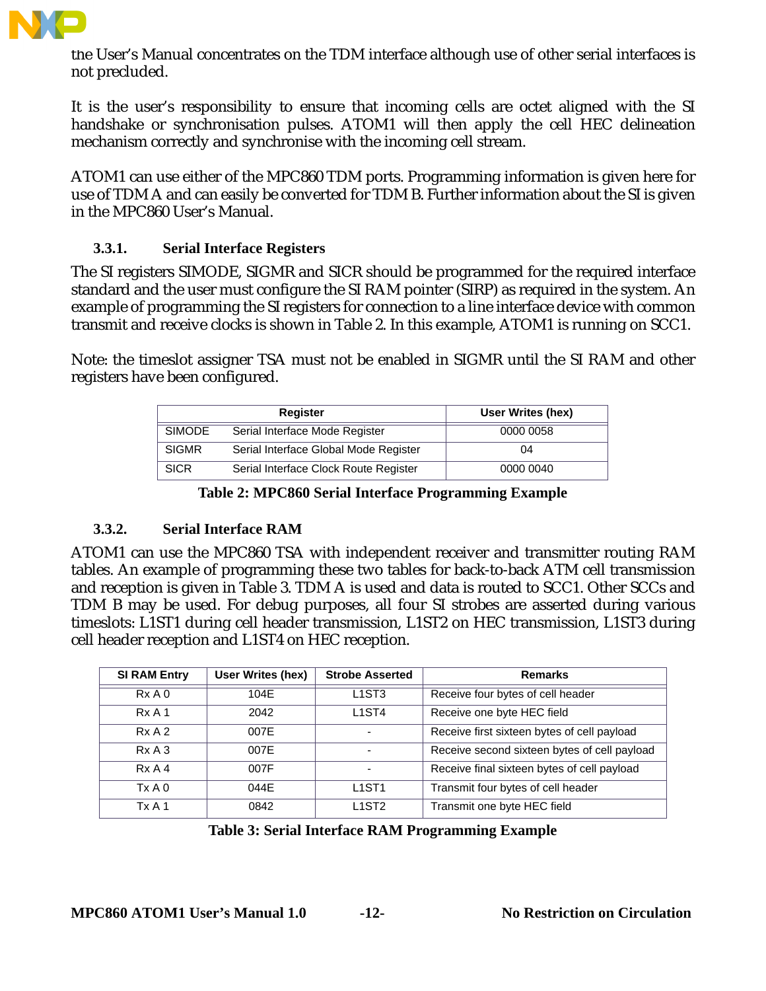

the User's Manual concentrates on the TDM interface although use of other serial interfaces is not precluded.

It is the user's responsibility to ensure that incoming cells are octet aligned with the SI handshake or synchronisation pulses. ATOM1 will then apply the cell HEC delineation mechanism correctly and synchronise with the incoming cell stream.

ATOM1 can use either of the MPC860 TDM ports. Programming information is given here for use of TDM A and can easily be converted for TDM B. Further information about the SI is given in the MPC860 User's Manual.

#### **3.3.1. Serial Interface Registers**

The SI registers SIMODE, SIGMR and SICR should be programmed for the required interface standard and the user must configure the SI RAM pointer (SIRP) as required in the system. An example of programming the SI registers for connection to a line interface device with common transmit and receive clocks is shown in Table 2. In this example, ATOM1 is running on SCC1.

Note: the timeslot assigner TSA must not be enabled in SIGMR until the SI RAM and other registers have been configured.

|               | <b>Register</b>                       | User Writes (hex) |
|---------------|---------------------------------------|-------------------|
| <b>SIMODE</b> | Serial Interface Mode Register        | 0000 0058         |
| <b>SIGMR</b>  | Serial Interface Global Mode Register | 04                |
| <b>SICR</b>   | Serial Interface Clock Route Register | 0000 0040         |

**Table 2: MPC860 Serial Interface Programming Example**

#### **3.3.2. Serial Interface RAM**

ATOM1 can use the MPC860 TSA with independent receiver and transmitter routing RAM tables. An example of programming these two tables for back-to-back ATM cell transmission and reception is given in Table 3. TDM A is used and data is routed to SCC1. Other SCCs and TDM B may be used. For debug purposes, all four SI strobes are asserted during various timeslots: L1ST1 during cell header transmission, L1ST2 on HEC transmission, L1ST3 during cell header reception and L1ST4 on HEC reception.

| <b>SI RAM Entry</b> | User Writes (hex) | <b>Strobe Asserted</b>         | <b>Remarks</b>                               |
|---------------------|-------------------|--------------------------------|----------------------------------------------|
| RxA0                | 104E              | L <sub>1</sub> ST <sub>3</sub> | Receive four bytes of cell header            |
| RxA1                | 2042              | L <sub>1</sub> ST <sub>4</sub> | Receive one byte HEC field                   |
| RxA2                | 007E              | $\overline{\phantom{0}}$       | Receive first sixteen bytes of cell payload  |
| RxA3                | 007F              | $\overline{\phantom{0}}$       | Receive second sixteen bytes of cell payload |
| RxA4                | 007F              | $\overline{\phantom{0}}$       | Receive final sixteen bytes of cell payload  |
| Tx A 0              | 044E              | L <sub>1</sub> ST <sub>1</sub> | Transmit four bytes of cell header           |
| Tx A 1              | 0842              | L <sub>1</sub> ST <sub>2</sub> | Transmit one byte HEC field                  |

| <b>Table 3: Serial Interface RAM Programming Example</b> |  |  |
|----------------------------------------------------------|--|--|
|                                                          |  |  |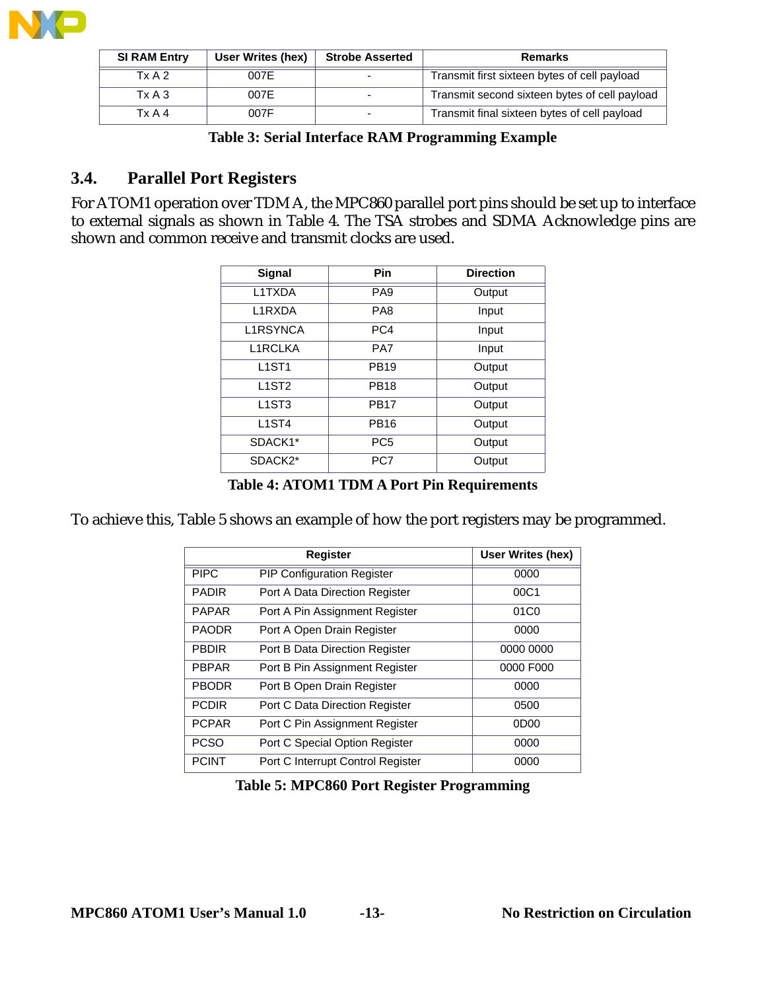

| <b>SI RAM Entry</b> | User Writes (hex) | <b>Strobe Asserted</b> | <b>Remarks</b>                                |
|---------------------|-------------------|------------------------|-----------------------------------------------|
| Tx A 2              | 007E              |                        | Transmit first sixteen bytes of cell payload  |
| $Tx A$ 3            | 007E              |                        | Transmit second sixteen bytes of cell payload |
| TxA4                | 007F              |                        | Transmit final sixteen bytes of cell payload  |

## **3.4. Parallel Port Registers**

For ATOM1 operation over TDM A, the MPC860 parallel port pins should be set up to interface to external signals as shown in Table 4. The TSA strobes and SDMA Acknowledge pins are shown and common receive and transmit clocks are used.

| Pin             | <b>Direction</b> |
|-----------------|------------------|
| PA <sub>9</sub> | Output           |
| PA8             | Input            |
| PC4             | Input            |
| PA7             | Input            |
| <b>PB19</b>     | Output           |
| <b>PB18</b>     | Output           |
| <b>PB17</b>     | Output           |
| <b>PB16</b>     | Output           |
| PC <sub>5</sub> | Output           |
| PC7             | Output           |
|                 |                  |

**Table 4: ATOM1 TDM A Port Pin Requirements**

To achieve this, Table 5 shows an example of how the port registers may be programmed.

|              | Register                          | <b>User Writes (hex)</b> |
|--------------|-----------------------------------|--------------------------|
| <b>PIPC</b>  | <b>PIP Configuration Register</b> | 0000                     |
| <b>PADIR</b> | Port A Data Direction Register    | 00C1                     |
| <b>PAPAR</b> | Port A Pin Assignment Register    | 01C <sub>0</sub>         |
| <b>PAODR</b> | Port A Open Drain Register        | 0000                     |
| <b>PBDIR</b> | Port B Data Direction Register    | 0000 0000                |
| <b>PBPAR</b> | Port B Pin Assignment Register    | 0000 F000                |
| <b>PBODR</b> | Port B Open Drain Register        | 0000                     |
| <b>PCDIR</b> | Port C Data Direction Register    | 0500                     |
| <b>PCPAR</b> | Port C Pin Assignment Register    | 0D <sub>0</sub>          |
| <b>PCSO</b>  | Port C Special Option Register    | 0000                     |
| <b>PCINT</b> | Port C Interrupt Control Register | 0000                     |

**Table 5: MPC860 Port Register Programming**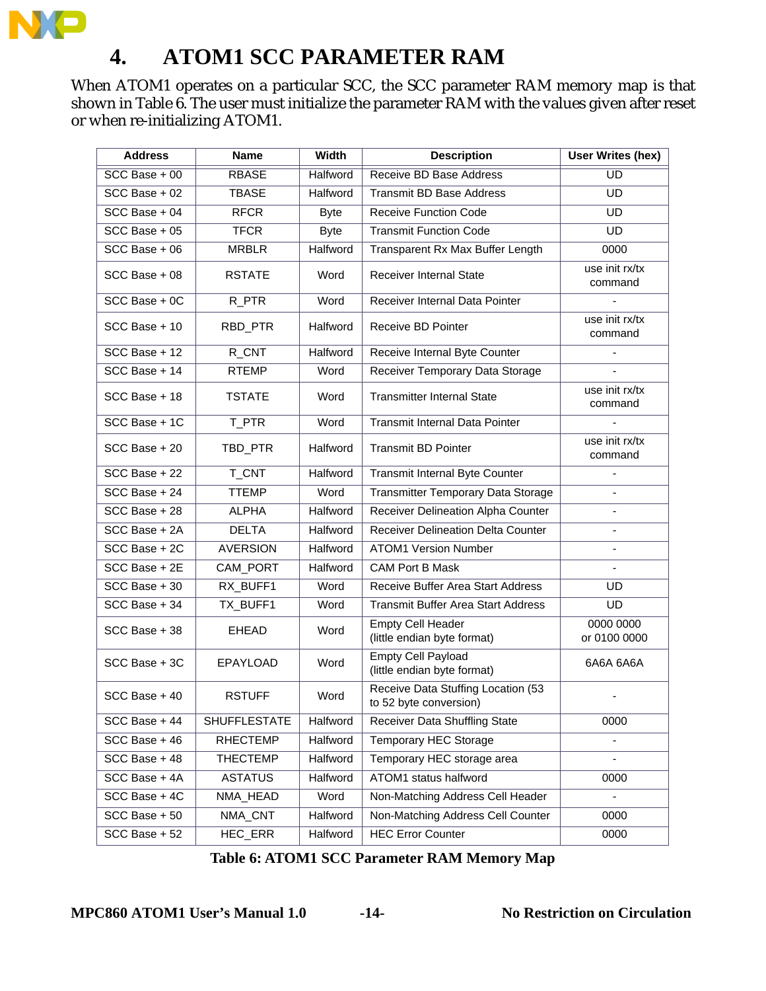

# **4. ATOM1 SCC PARAMETER RAM**

When ATOM1 operates on a particular SCC, the SCC parameter RAM memory map is that shown in Table 6. The user must initialize the parameter RAM with the values given after reset or when re-initializing ATOM1.

| <b>Address</b>  | <b>Name</b>         | <b>Width</b> | <b>Description</b>                                           | <b>User Writes (hex)</b>  |
|-----------------|---------------------|--------------|--------------------------------------------------------------|---------------------------|
| $SCC Base + 00$ | <b>RBASE</b>        | Halfword     | <b>Receive BD Base Address</b>                               | $\overline{UD}$           |
| SCC Base + 02   | <b>TBASE</b>        | Halfword     | <b>Transmit BD Base Address</b>                              | <b>UD</b>                 |
| SCC Base + 04   | <b>RFCR</b>         | <b>Byte</b>  | <b>Receive Function Code</b>                                 | <b>UD</b>                 |
| SCC Base + 05   | <b>TFCR</b>         | <b>Byte</b>  | <b>Transmit Function Code</b>                                | <b>UD</b>                 |
| SCC Base + 06   | <b>MRBLR</b>        | Halfword     | Transparent Rx Max Buffer Length                             | 0000                      |
| $SCC$ Base + 08 | <b>RSTATE</b>       | Word         | <b>Receiver Internal State</b>                               | use init rx/tx<br>command |
| SCC Base + 0C   | R_PTR               | Word         | Receiver Internal Data Pointer                               | $\blacksquare$            |
| SCC Base + 10   | RBD_PTR             | Halfword     | Receive BD Pointer                                           | use init rx/tx<br>command |
| SCC Base + 12   | R_CNT               | Halfword     | Receive Internal Byte Counter                                |                           |
| SCC Base + 14   | <b>RTEMP</b>        | Word         | Receiver Temporary Data Storage                              |                           |
| SCC Base + 18   | <b>TSTATE</b>       | Word         | <b>Transmitter Internal State</b>                            | use init rx/tx<br>command |
| SCC Base + 1C   | T_PTR               | Word         | <b>Transmit Internal Data Pointer</b>                        | ä,                        |
| SCC Base + 20   | TBD_PTR             | Halfword     | <b>Transmit BD Pointer</b>                                   | use init rx/tx<br>command |
| SCC Base + 22   | T_CNT               | Halfword     | <b>Transmit Internal Byte Counter</b>                        |                           |
| SCC Base + 24   | <b>TTEMP</b>        | Word         | Transmitter Temporary Data Storage                           |                           |
| SCC Base + 28   | <b>ALPHA</b>        | Halfword     | Receiver Delineation Alpha Counter                           | $\blacksquare$            |
| SCC Base + 2A   | <b>DELTA</b>        | Halfword     | <b>Receiver Delineation Delta Counter</b>                    |                           |
| SCC Base + 2C   | <b>AVERSION</b>     | Halfword     | <b>ATOM1 Version Number</b>                                  |                           |
| SCC Base + 2E   | CAM_PORT            | Halfword     | <b>CAM Port B Mask</b>                                       | $\sim$                    |
| SCC Base + 30   | RX_BUFF1            | Word         | Receive Buffer Area Start Address                            | <b>UD</b>                 |
| SCC Base + 34   | TX_BUFF1            | Word         | <b>Transmit Buffer Area Start Address</b>                    | <b>UD</b>                 |
| SCC Base + 38   | <b>EHEAD</b>        | Word         | <b>Empty Cell Header</b><br>(little endian byte format)      | 0000 0000<br>or 0100 0000 |
| SCC Base + 3C   | EPAYLOAD            | Word         | <b>Empty Cell Payload</b><br>(little endian byte format)     | 6A6A 6A6A                 |
| $SCC$ Base + 40 | <b>RSTUFF</b>       | Word         | Receive Data Stuffing Location (53<br>to 52 byte conversion) |                           |
| SCC Base + 44   | <b>SHUFFLESTATE</b> | Halfword     | <b>Receiver Data Shuffling State</b>                         | 0000                      |
| SCC Base + 46   | <b>RHECTEMP</b>     | Halfword     | Temporary HEC Storage                                        |                           |
| SCC Base + 48   | <b>THECTEMP</b>     | Halfword     | Temporary HEC storage area                                   |                           |
| SCC Base + 4A   | <b>ASTATUS</b>      | Halfword     | ATOM1 status halfword                                        | 0000                      |
| SCC Base + 4C   | NMA_HEAD            | Word         | Non-Matching Address Cell Header                             |                           |
| SCC Base + 50   | NMA_CNT             | Halfword     | Non-Matching Address Cell Counter                            | 0000                      |
| SCC Base + 52   | HEC_ERR             | Halfword     | <b>HEC Error Counter</b>                                     | 0000                      |

**Table 6: ATOM1 SCC Parameter RAM Memory Map**

**MPC860 ATOM1 User's Manual 1.0 -14- No Restriction on Circulation**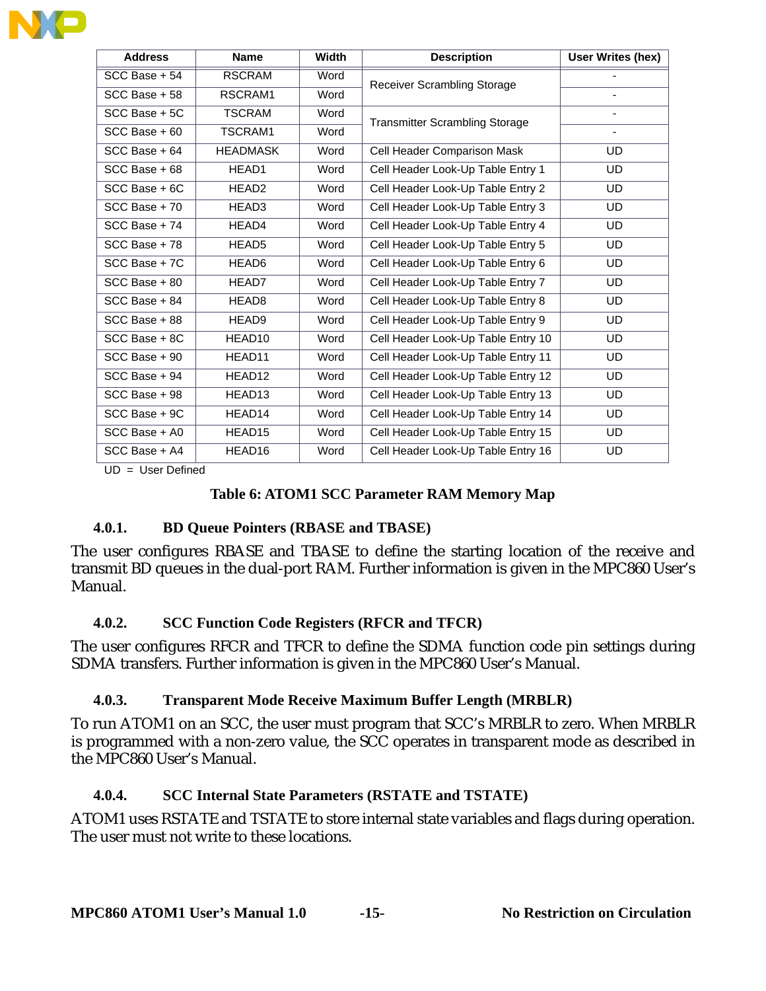| <b>Address</b>  | <b>Name</b>        | Width | <b>Description</b>                    | User Writes (hex)        |
|-----------------|--------------------|-------|---------------------------------------|--------------------------|
| $SCC Base + 54$ | <b>RSCRAM</b>      | Word  | <b>Receiver Scrambling Storage</b>    |                          |
| SCC Base + 58   | RSCRAM1            | Word  |                                       |                          |
| SCC Base + 5C   | <b>TSCRAM</b>      | Word  | <b>Transmitter Scrambling Storage</b> |                          |
| $SCC Base + 60$ | TSCRAM1            | Word  |                                       | $\overline{\phantom{0}}$ |
| SCC Base + 64   | <b>HEADMASK</b>    | Word  | Cell Header Comparison Mask           | UD                       |
| SCC Base + 68   | HEAD1              | Word  | Cell Header Look-Up Table Entry 1     | <b>UD</b>                |
| SCC Base + 6C   | HEAD <sub>2</sub>  | Word  | Cell Header Look-Up Table Entry 2     | <b>UD</b>                |
| SCC Base + 70   | HEAD3              | Word  | Cell Header Look-Up Table Entry 3     | <b>UD</b>                |
| SCC Base + 74   | HEAD4              | Word  | Cell Header Look-Up Table Entry 4     | <b>UD</b>                |
| SCC Base + 78   | HEAD <sub>5</sub>  | Word  | Cell Header Look-Up Table Entry 5     | <b>UD</b>                |
| SCC Base + 7C   | HEAD6              | Word  | Cell Header Look-Up Table Entry 6     | <b>UD</b>                |
| $SCC Base + 80$ | HEAD7              | Word  | Cell Header Look-Up Table Entry 7     | UD.                      |
| SCC Base + 84   | HEAD8              | Word  | Cell Header Look-Up Table Entry 8     | <b>UD</b>                |
| SCC Base + 88   | HEAD9              | Word  | Cell Header Look-Up Table Entry 9     | <b>UD</b>                |
| SCC Base + 8C   | HEAD10             | Word  | Cell Header Look-Up Table Entry 10    | <b>UD</b>                |
| SCC Base + 90   | HEAD11             | Word  | Cell Header Look-Up Table Entry 11    | <b>UD</b>                |
| SCC Base + 94   | HEAD12             | Word  | Cell Header Look-Up Table Entry 12    | <b>UD</b>                |
| SCC Base + 98   | HEAD <sub>13</sub> | Word  | Cell Header Look-Up Table Entry 13    | <b>UD</b>                |
| SCC Base + 9C   | HEAD14             | Word  | Cell Header Look-Up Table Entry 14    | <b>UD</b>                |
| SCC Base + A0   | HEAD15             | Word  | Cell Header Look-Up Table Entry 15    | <b>UD</b>                |
| SCC Base + A4   | HEAD16             | Word  | Cell Header Look-Up Table Entry 16    | <b>UD</b>                |

UD = User Defined

#### **Table 6: ATOM1 SCC Parameter RAM Memory Map**

#### **4.0.1. BD Queue Pointers (RBASE and TBASE)**

The user configures RBASE and TBASE to define the starting location of the receive and transmit BD queues in the dual-port RAM. Further information is given in the MPC860 User's Manual.

#### **4.0.2. SCC Function Code Registers (RFCR and TFCR)**

The user configures RFCR and TFCR to define the SDMA function code pin settings during SDMA transfers. Further information is given in the MPC860 User's Manual.

#### **4.0.3. Transparent Mode Receive Maximum Buffer Length (MRBLR)**

To run ATOM1 on an SCC, the user must program that SCC's MRBLR to zero. When MRBLR is programmed with a non-zero value, the SCC operates in transparent mode as described in the MPC860 User's Manual.

#### **4.0.4. SCC Internal State Parameters (RSTATE and TSTATE)**

ATOM1 uses RSTATE and TSTATE to store internal state variables and flags during operation. The user must not write to these locations.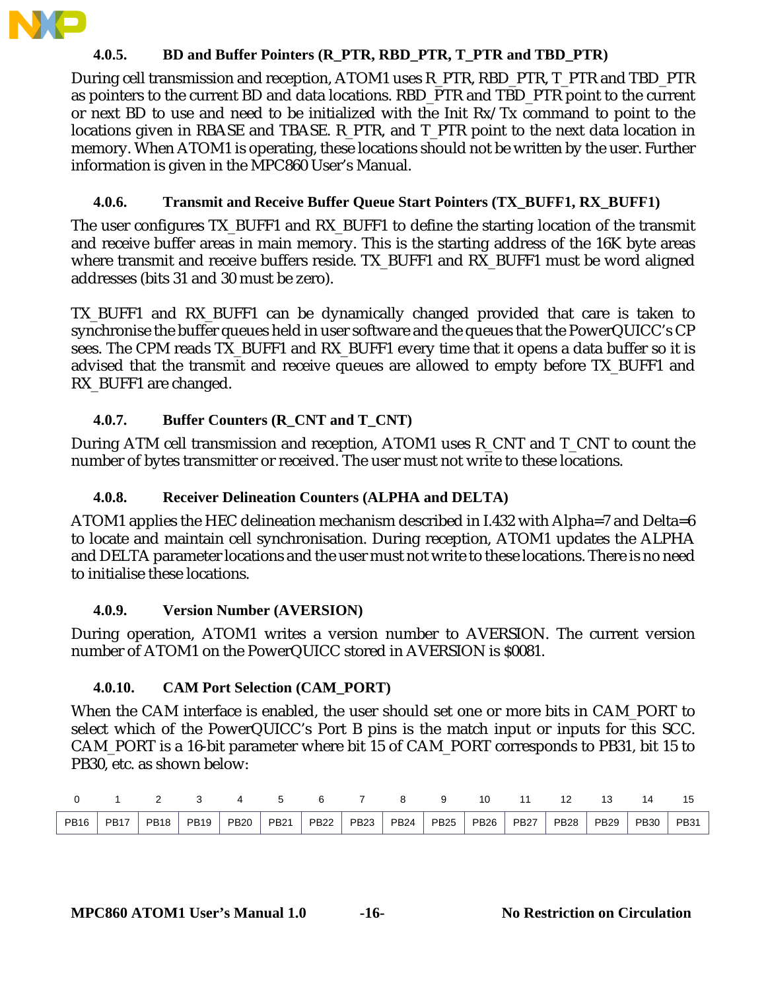

#### **4.0.5. BD and Buffer Pointers (R\_PTR, RBD\_PTR, T\_PTR and TBD\_PTR)**

During cell transmission and reception, ATOM1 uses R\_PTR, RBD\_PTR, T\_PTR and TBD\_PTR as pointers to the current BD and data locations. RBD\_PTR and TBD\_PTR point to the current or next BD to use and need to be initialized with the Init Rx/Tx command to point to the locations given in RBASE and TBASE. R\_PTR, and T\_PTR point to the next data location in memory. When ATOM1 is operating, these locations should not be written by the user. Further information is given in the MPC860 User's Manual.

#### **4.0.6. Transmit and Receive Buffer Queue Start Pointers (TX\_BUFF1, RX\_BUFF1)**

The user configures TX\_BUFF1 and RX\_BUFF1 to define the starting location of the transmit and receive buffer areas in main memory. This is the starting address of the 16K byte areas where transmit and receive buffers reside. TX\_BUFF1 and RX\_BUFF1 must be word aligned addresses (bits 31 and 30 must be zero).

TX\_BUFF1 and RX\_BUFF1 can be dynamically changed provided that care is taken to synchronise the buffer queues held in user software and the queues that the PowerQUICC's CP sees. The CPM reads TX\_BUFF1 and RX\_BUFF1 every time that it opens a data buffer so it is advised that the transmit and receive queues are allowed to empty before TX\_BUFF1 and RX\_BUFF1 are changed.

#### **4.0.7. Buffer Counters (R\_CNT and T\_CNT)**

During ATM cell transmission and reception, ATOM1 uses R\_CNT and T\_CNT to count the number of bytes transmitter or received. The user must not write to these locations.

#### **4.0.8. Receiver Delineation Counters (ALPHA and DELTA)**

ATOM1 applies the HEC delineation mechanism described in I.432 with Alpha=7 and Delta=6 to locate and maintain cell synchronisation. During reception, ATOM1 updates the ALPHA and DELTA parameter locations and the user must not write to these locations. There is no need to initialise these locations.

#### **4.0.9. Version Number (AVERSION)**

During operation, ATOM1 writes a version number to AVERSION. The current version number of ATOM1 on the PowerQUICC stored in AVERSION is \$0081.

#### **4.0.10. CAM Port Selection (CAM\_PORT)**

When the CAM interface is enabled, the user should set one or more bits in CAM\_PORT to select which of the PowerQUICC's Port B pins is the match input or inputs for this SCC. CAM\_PORT is a 16-bit parameter where bit 15 of CAM\_PORT corresponds to PB31, bit 15 to PB30, etc. as shown below:

|             |             |             |             |             |             |             |             |             |             |             |             |             |             | . 4         |             |
|-------------|-------------|-------------|-------------|-------------|-------------|-------------|-------------|-------------|-------------|-------------|-------------|-------------|-------------|-------------|-------------|
| <b>PB16</b> | <b>PB17</b> | <b>PB18</b> | <b>PB19</b> | <b>PB20</b> | <b>PB21</b> | <b>PB22</b> | <b>PB23</b> | <b>PB24</b> | <b>PB25</b> | <b>PB26</b> | <b>PB27</b> | <b>PB28</b> | <b>PB29</b> | <b>PB30</b> | <b>PB31</b> |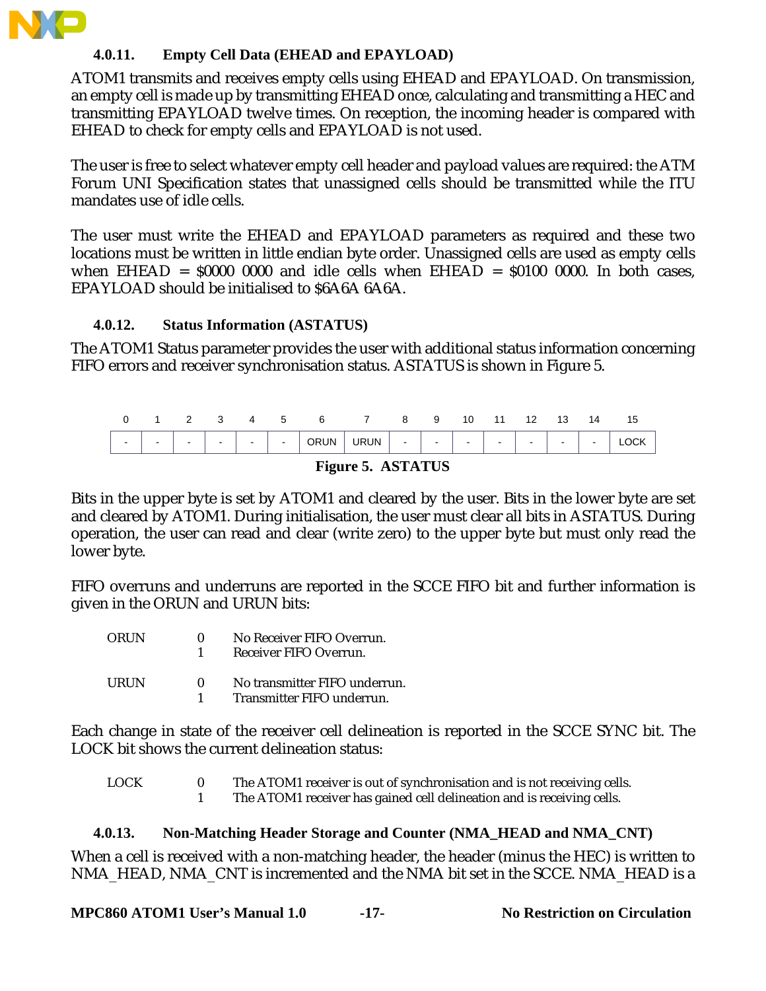

#### **4.0.11. Empty Cell Data (EHEAD and EPAYLOAD)**

ATOM1 transmits and receives empty cells using EHEAD and EPAYLOAD. On transmission, an empty cell is made up by transmitting EHEAD once, calculating and transmitting a HEC and transmitting EPAYLOAD twelve times. On reception, the incoming header is compared with EHEAD to check for empty cells and EPAYLOAD is not used.

The user is free to select whatever empty cell header and payload values are required: the ATM Forum UNI Specification states that unassigned cells should be transmitted while the ITU mandates use of idle cells.

The user must write the EHEAD and EPAYLOAD parameters as required and these two locations must be written in little endian byte order. Unassigned cells are used as empty cells when EHEAD =  $$0000$  0000 and idle cells when EHEAD =  $$0100$  0000. In both cases, EPAYLOAD should be initialised to \$6A6A 6A6A.

#### **4.0.12. Status Information (ASTATUS)**

The ATOM1 Status parameter provides the user with additional status information concerning FIFO errors and receiver synchronisation status. ASTATUS is shown in Figure 5.



#### **Figure 5. ASTATUS**

Bits in the upper byte is set by ATOM1 and cleared by the user. Bits in the lower byte are set and cleared by ATOM1. During initialisation, the user must clear all bits in ASTATUS. During operation, the user can read and clear (write zero) to the upper byte but must only read the lower byte.

FIFO overruns and underruns are reported in the SCCE FIFO bit and further information is given in the ORUN and URUN bits:

| ORUN. | 0            | No Receiver FIFO Overrun.<br>Receiver FIFO Overrun.         |
|-------|--------------|-------------------------------------------------------------|
| URUN. | $\mathbf{u}$ | No transmitter FIFO underrun.<br>Transmitter FIFO underrun. |

Each change in state of the receiver cell delineation is reported in the SCCE SYNC bit. The LOCK bit shows the current delineation status:

| <b>LOCK</b> | The ATOM1 receiver is out of synchronisation and is not receiving cells. |
|-------------|--------------------------------------------------------------------------|
|             | The ATOM1 receiver has gained cell delineation and is receiving cells.   |

#### **4.0.13. Non-Matching Header Storage and Counter (NMA\_HEAD and NMA\_CNT)**

When a cell is received with a non-matching header, the header (minus the HEC) is written to NMA\_HEAD, NMA\_CNT is incremented and the NMA bit set in the SCCE. NMA\_HEAD is a

**MPC860 ATOM1 User's Manual 1.0 -17- No Restriction on Circulation**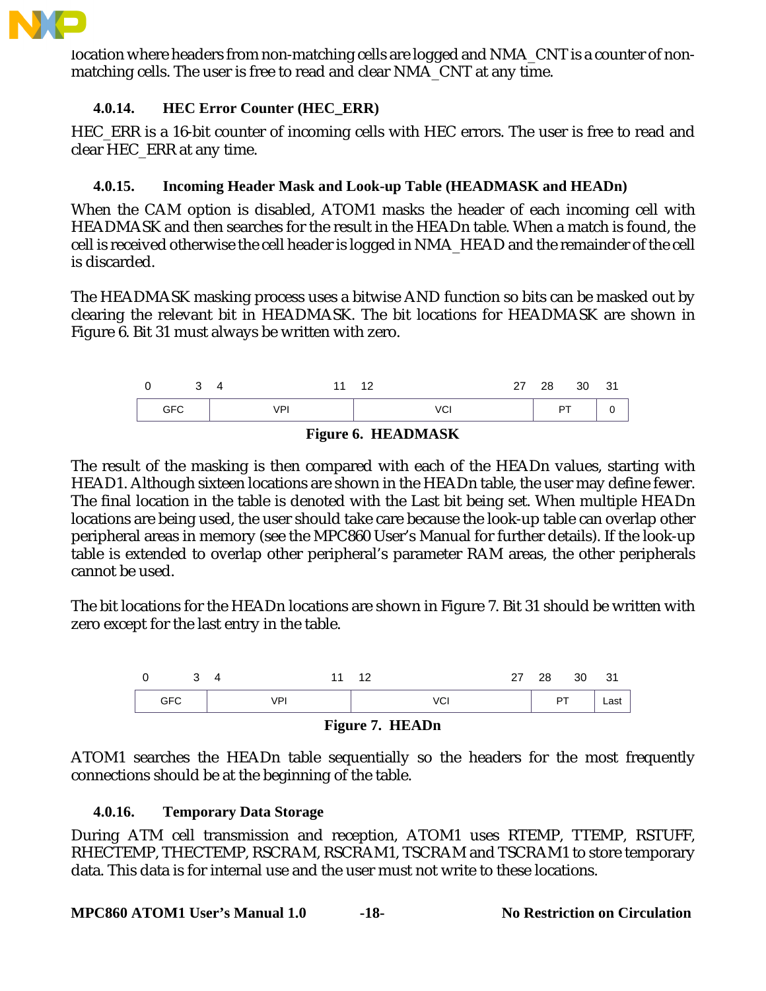

location where headers from non-matching cells are logged and NMA\_CNT is a counter of nonmatching cells. The user is free to read and clear NMA\_CNT at any time.

#### **4.0.14. HEC Error Counter (HEC\_ERR)**

HEC\_ERR is a 16-bit counter of incoming cells with HEC errors. The user is free to read and clear HEC\_ERR at any time.

#### **4.0.15. Incoming Header Mask and Look-up Table (HEADMASK and HEADn)**

When the CAM option is disabled, ATOM1 masks the header of each incoming cell with HEADMASK and then searches for the result in the HEADn table. When a match is found, the cell is received otherwise the cell header is logged in NMA\_HEAD and the remainder of the cell is discarded.

The HEADMASK masking process uses a bitwise AND function so bits can be masked out by clearing the relevant bit in HEADMASK. The bit locations for HEADMASK are shown in Figure 6. Bit 31 must always be written with zero.





The result of the masking is then compared with each of the HEADn values, starting with HEAD1. Although sixteen locations are shown in the HEADn table, the user may define fewer. The final location in the table is denoted with the Last bit being set. When multiple HEADn locations are being used, the user should take care because the look-up table can overlap other peripheral areas in memory (see the MPC860 User's Manual for further details). If the look-up table is extended to overlap other peripheral's parameter RAM areas, the other peripherals cannot be used.

The bit locations for the HEADn locations are shown in Figure 7. Bit 31 should be written with zero except for the last entry in the table.





ATOM1 searches the HEADn table sequentially so the headers for the most frequently connections should be at the beginning of the table.

#### **4.0.16. Temporary Data Storage**

During ATM cell transmission and reception, ATOM1 uses RTEMP, TTEMP, RSTUFF, RHECTEMP, THECTEMP, RSCRAM, RSCRAM1, TSCRAM and TSCRAM1 to store temporary data. This data is for internal use and the user must not write to these locations.

**MPC860 ATOM1 User's Manual 1.0 -18- No Restriction on Circulation**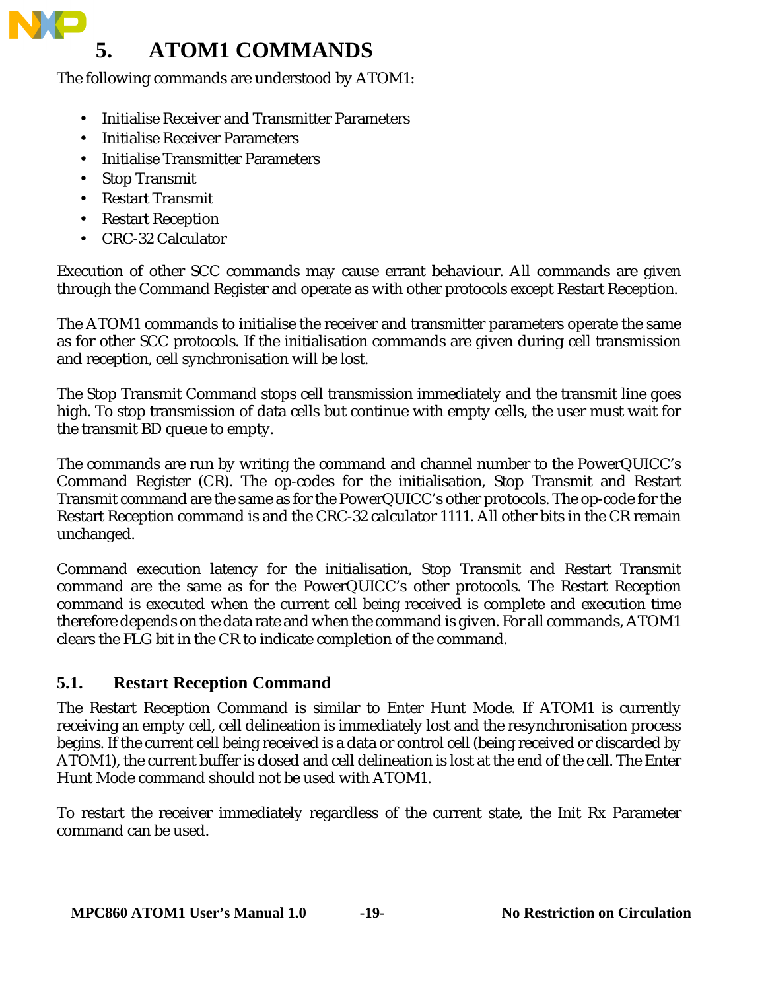# **5. ATOM1 COMMANDS**

The following commands are understood by ATOM1:

- Initialise Receiver and Transmitter Parameters
- Initialise Receiver Parameters
- Initialise Transmitter Parameters
- Stop Transmit
- Restart Transmit
- Restart Reception
- CRC-32 Calculator

Execution of other SCC commands may cause errant behaviour. All commands are given through the Command Register and operate as with other protocols except Restart Reception.

The ATOM1 commands to initialise the receiver and transmitter parameters operate the same as for other SCC protocols. If the initialisation commands are given during cell transmission and reception, cell synchronisation will be lost.

The Stop Transmit Command stops cell transmission immediately and the transmit line goes high. To stop transmission of data cells but continue with empty cells, the user must wait for the transmit BD queue to empty.

The commands are run by writing the command and channel number to the PowerQUICC's Command Register (CR). The op-codes for the initialisation, Stop Transmit and Restart Transmit command are the same as for the PowerQUICC's other protocols. The op-code for the Restart Reception command is and the CRC-32 calculator 1111. All other bits in the CR remain unchanged.

Command execution latency for the initialisation, Stop Transmit and Restart Transmit command are the same as for the PowerQUICC's other protocols. The Restart Reception command is executed when the current cell being received is complete and execution time therefore depends on the data rate and when the command is given. For all commands, ATOM1 clears the FLG bit in the CR to indicate completion of the command.

# **5.1. Restart Reception Command**

The Restart Reception Command is similar to Enter Hunt Mode. If ATOM1 is currently receiving an empty cell, cell delineation is immediately lost and the resynchronisation process begins. If the current cell being received is a data or control cell (being received or discarded by ATOM1), the current buffer is closed and cell delineation is lost at the end of the cell. The Enter Hunt Mode command should not be used with ATOM1.

To restart the receiver immediately regardless of the current state, the Init Rx Parameter command can be used.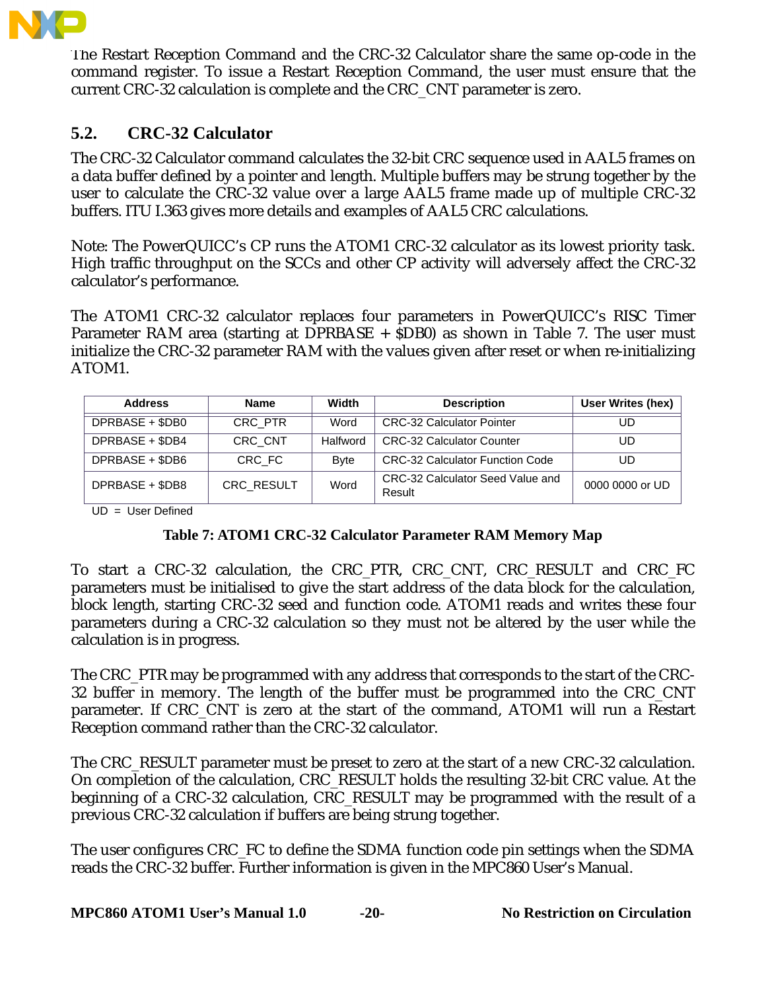

The Restart Reception Command and the CRC-32 Calculator share the same op-code in the command register. To issue a Restart Reception Command, the user must ensure that the current CRC-32 calculation is complete and the CRC\_CNT parameter is zero.

## **5.2. CRC-32 Calculator**

The CRC-32 Calculator command calculates the 32-bit CRC sequence used in AAL5 frames on a data buffer defined by a pointer and length. Multiple buffers may be strung together by the user to calculate the CRC-32 value over a large AAL5 frame made up of multiple CRC-32 buffers. ITU I.363 gives more details and examples of AAL5 CRC calculations.

Note: The PowerQUICC's CP runs the ATOM1 CRC-32 calculator as its lowest priority task. High traffic throughput on the SCCs and other CP activity will adversely affect the CRC-32 calculator's performance.

The ATOM1 CRC-32 calculator replaces four parameters in PowerQUICC's RISC Timer Parameter RAM area (starting at DPRBASE + \$DB0) as shown in Table 7. The user must initialize the CRC-32 parameter RAM with the values given after reset or when re-initializing ATOM1.

| <b>Address</b>  | <b>Name</b> | Width        | <b>Description</b>                         | User Writes (hex) |
|-----------------|-------------|--------------|--------------------------------------------|-------------------|
| DPRBASE + \$DB0 | CRC PTR     | Word         | <b>CRC-32 Calculator Pointer</b>           | UD                |
| DPRBASE + \$DB4 | CRC CNT     | Halfword     | <b>CRC-32 Calculator Counter</b>           | UD                |
| DPRBASE + \$DB6 | CRC FC      | <b>B</b> vte | <b>CRC-32 Calculator Function Code</b>     | UD                |
| DPRBASE + \$DB8 | CRC_RESULT  | Word         | CRC-32 Calculator Seed Value and<br>Result | 0000 0000 or UD   |

UD = User Defined

#### **Table 7: ATOM1 CRC-32 Calculator Parameter RAM Memory Map**

To start a CRC-32 calculation, the CRC\_PTR, CRC\_CNT, CRC\_RESULT and CRC\_FC parameters must be initialised to give the start address of the data block for the calculation, block length, starting CRC-32 seed and function code. ATOM1 reads and writes these four parameters during a CRC-32 calculation so they must not be altered by the user while the calculation is in progress.

The CRC PTR may be programmed with any address that corresponds to the start of the CRC-32 buffer in memory. The length of the buffer must be programmed into the CRC\_CNT parameter. If CRC\_CNT is zero at the start of the command, ATOM1 will run a Restart Reception command rather than the CRC-32 calculator.

The CRC\_RESULT parameter must be preset to zero at the start of a new CRC-32 calculation. On completion of the calculation, CRC\_RESULT holds the resulting 32-bit CRC value. At the beginning of a CRC-32 calculation, CRC\_RESULT may be programmed with the result of a previous CRC-32 calculation if buffers are being strung together.

The user configures CRC\_FC to define the SDMA function code pin settings when the SDMA reads the CRC-32 buffer. Further information is given in the MPC860 User's Manual.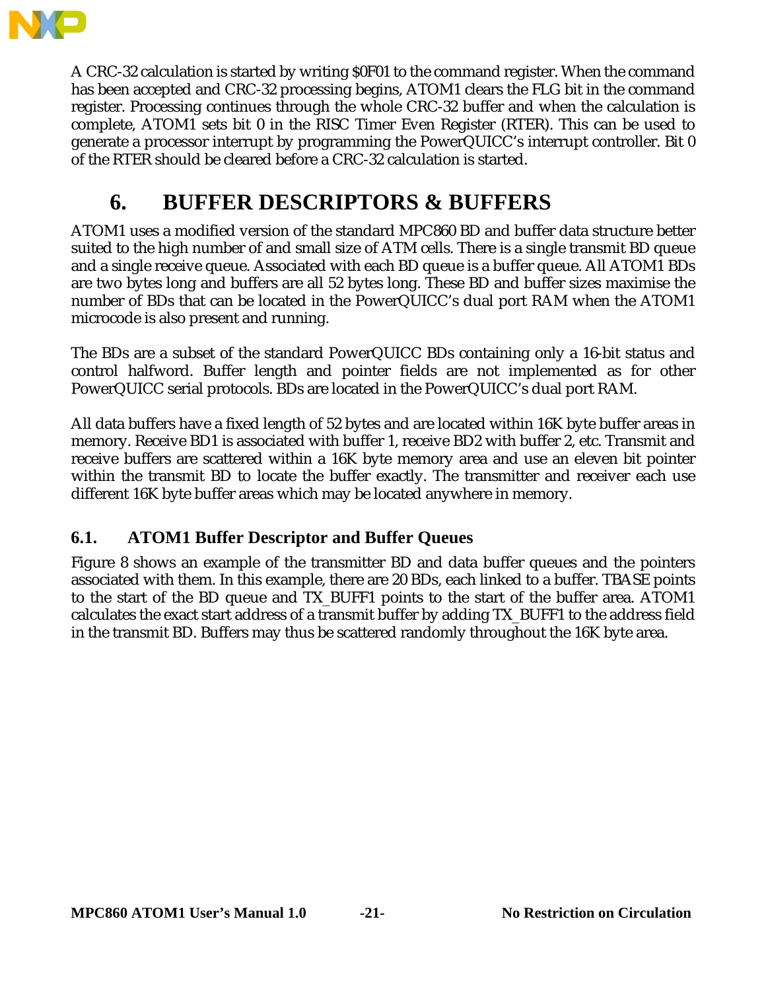

A CRC-32 calculation is started by writing \$0F01 to the command register. When the command has been accepted and CRC-32 processing begins, ATOM1 clears the FLG bit in the command register. Processing continues through the whole CRC-32 buffer and when the calculation is complete, ATOM1 sets bit 0 in the RISC Timer Even Register (RTER). This can be used to generate a processor interrupt by programming the PowerQUICC's interrupt controller. Bit 0 of the RTER should be cleared before a CRC-32 calculation is started.

# **6. BUFFER DESCRIPTORS & BUFFERS**

ATOM1 uses a modified version of the standard MPC860 BD and buffer data structure better suited to the high number of and small size of ATM cells. There is a single transmit BD queue and a single receive queue. Associated with each BD queue is a buffer queue. All ATOM1 BDs are two bytes long and buffers are all 52 bytes long. These BD and buffer sizes maximise the number of BDs that can be located in the PowerQUICC's dual port RAM when the ATOM1 microcode is also present and running.

The BDs are a subset of the standard PowerQUICC BDs containing only a 16-bit status and control halfword. Buffer length and pointer fields are not implemented as for other PowerQUICC serial protocols. BDs are located in the PowerQUICC's dual port RAM.

All data buffers have a fixed length of 52 bytes and are located within 16K byte buffer areas in memory. Receive BD1 is associated with buffer 1, receive BD2 with buffer 2, etc. Transmit and receive buffers are scattered within a 16K byte memory area and use an eleven bit pointer within the transmit BD to locate the buffer exactly. The transmitter and receiver each use different 16K byte buffer areas which may be located anywhere in memory.

## **6.1. ATOM1 Buffer Descriptor and Buffer Queues**

Figure 8 shows an example of the transmitter BD and data buffer queues and the pointers associated with them. In this example, there are 20 BDs, each linked to a buffer. TBASE points to the start of the BD queue and TX\_BUFF1 points to the start of the buffer area. ATOM1 calculates the exact start address of a transmit buffer by adding TX\_BUFF1 to the address field in the transmit BD. Buffers may thus be scattered randomly throughout the 16K byte area.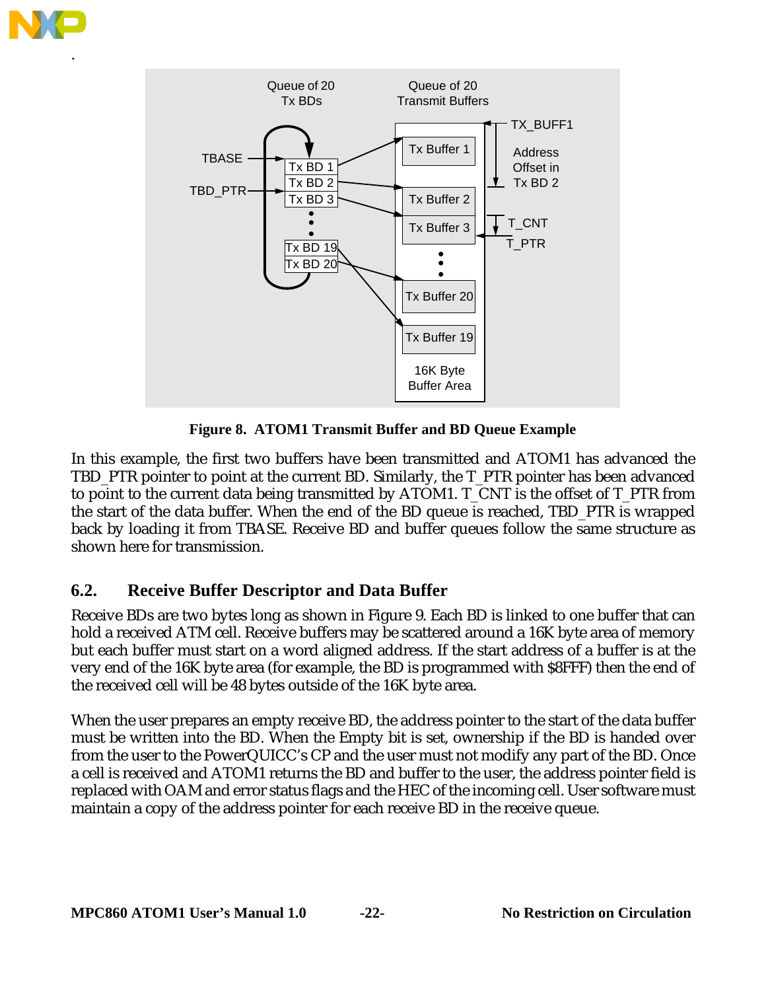

.



**Figure 8. ATOM1 Transmit Buffer and BD Queue Example**

In this example, the first two buffers have been transmitted and ATOM1 has advanced the TBD\_PTR pointer to point at the current BD. Similarly, the T\_PTR pointer has been advanced to point to the current data being transmitted by ATOM1. T\_CNT is the offset of T\_PTR from the start of the data buffer. When the end of the BD queue is reached, TBD\_PTR is wrapped back by loading it from TBASE. Receive BD and buffer queues follow the same structure as shown here for transmission.

## **6.2. Receive Buffer Descriptor and Data Buffer**

Receive BDs are two bytes long as shown in Figure 9. Each BD is linked to one buffer that can hold a received ATM cell. Receive buffers may be scattered around a 16K byte area of memory but each buffer must start on a word aligned address. If the start address of a buffer is at the very end of the 16K byte area (for example, the BD is programmed with \$8FFF) then the end of the received cell will be 48 bytes outside of the 16K byte area.

When the user prepares an empty receive BD, the address pointer to the start of the data buffer must be written into the BD. When the Empty bit is set, ownership if the BD is handed over from the user to the PowerQUICC's CP and the user must not modify any part of the BD. Once a cell is received and ATOM1 returns the BD and buffer to the user, the address pointer field is replaced with OAM and error status flags and the HEC of the incoming cell. User software must maintain a copy of the address pointer for each receive BD in the receive queue.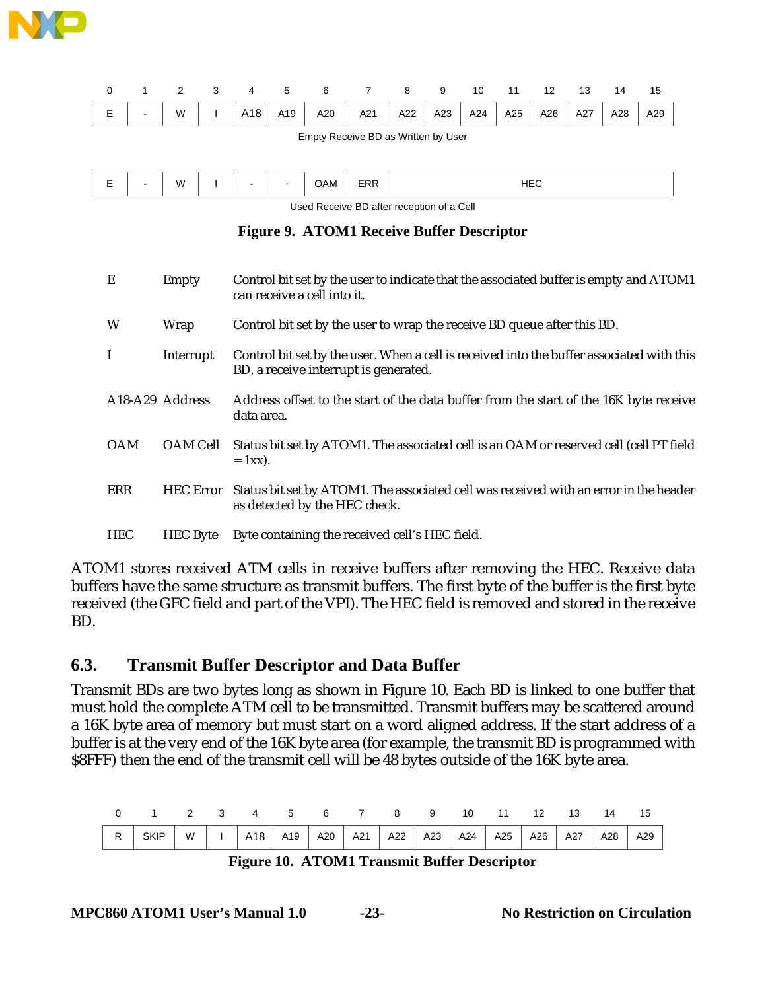

|   |  |  |  | 3 4 5 6 7 8 9                                                         |  | 10 11 | 12 | $\overline{13}$ | 14                 |     |
|---|--|--|--|-----------------------------------------------------------------------|--|-------|----|-----------------|--------------------|-----|
| E |  |  |  | -   W   I   A18   A19   A20   A21   A22   A23   A24   A25   A26   A27 |  |       |    |                 | $\overline{A}$ A28 | A29 |

Empty Receive BD as Written by User

|  | $\sim$ | W<br>. . |  |  |  | UAM | - 1<br>$\mathbf{v}$ | .<br>- 11<br>$\cdot$ $\cdot$ $\cdot$ $\cdot$ |
|--|--------|----------|--|--|--|-----|---------------------|----------------------------------------------|
|--|--------|----------|--|--|--|-----|---------------------|----------------------------------------------|

Used Receive BD after reception of a Cell

#### **Figure 9. ATOM1 Receive Buffer Descriptor**

| E                                        | Empty            | Control bit set by the user to indicate that the associated buffer is empty and ATOM1<br>can receive a cell into it.               |
|------------------------------------------|------------------|------------------------------------------------------------------------------------------------------------------------------------|
| W                                        | Wrap             | Control bit set by the user to wrap the receive BD queue after this BD.                                                            |
| $\mathbf I$                              | Interrupt        | Control bit set by the user. When a cell is received into the buffer associated with this<br>BD, a receive interrupt is generated. |
| A <sub>18</sub> -A <sub>29</sub> Address |                  | Address offset to the start of the data buffer from the start of the 16K byte receive<br>data area.                                |
| <b>OAM</b>                               | OAM Cell         | Status bit set by ATOM1. The associated cell is an OAM or reserved cell (cell PT field<br>$= 1xx$ ).                               |
| ERR                                      | <b>HEC</b> Error | Status bit set by ATOM1. The associated cell was received with an error in the header<br>as detected by the HEC check.             |
| <b>HEC</b>                               | <b>HEC</b> Byte  | Byte containing the received cell's HEC field.                                                                                     |

ATOM1 stores received ATM cells in receive buffers after removing the HEC. Receive data buffers have the same structure as transmit buffers. The first byte of the buffer is the first byte received (the GFC field and part of the VPI). The HEC field is removed and stored in the receive BD.

#### **6.3. Transmit Buffer Descriptor and Data Buffer**

Transmit BDs are two bytes long as shown in Figure 10. Each BD is linked to one buffer that must hold the complete ATM cell to be transmitted. Transmit buffers may be scattered around a 16K byte area of memory but must start on a word aligned address. If the start address of a buffer is at the very end of the 16K byte area (for example, the transmit BD is programmed with \$8FFF) then the end of the transmit cell will be 48 bytes outside of the 16K byte area.

| 0 1 2 3 4 5 6 7 8 9 10 11 12 13 14 15                                                    |  |  |  |  |  |  |  |
|------------------------------------------------------------------------------------------|--|--|--|--|--|--|--|
| R   SKIP   W   I   A18   A19   A20   A21   A22   A23   A24   A25   A26   A27   A28   A29 |  |  |  |  |  |  |  |

**Figure 10. ATOM1 Transmit Buffer Descriptor**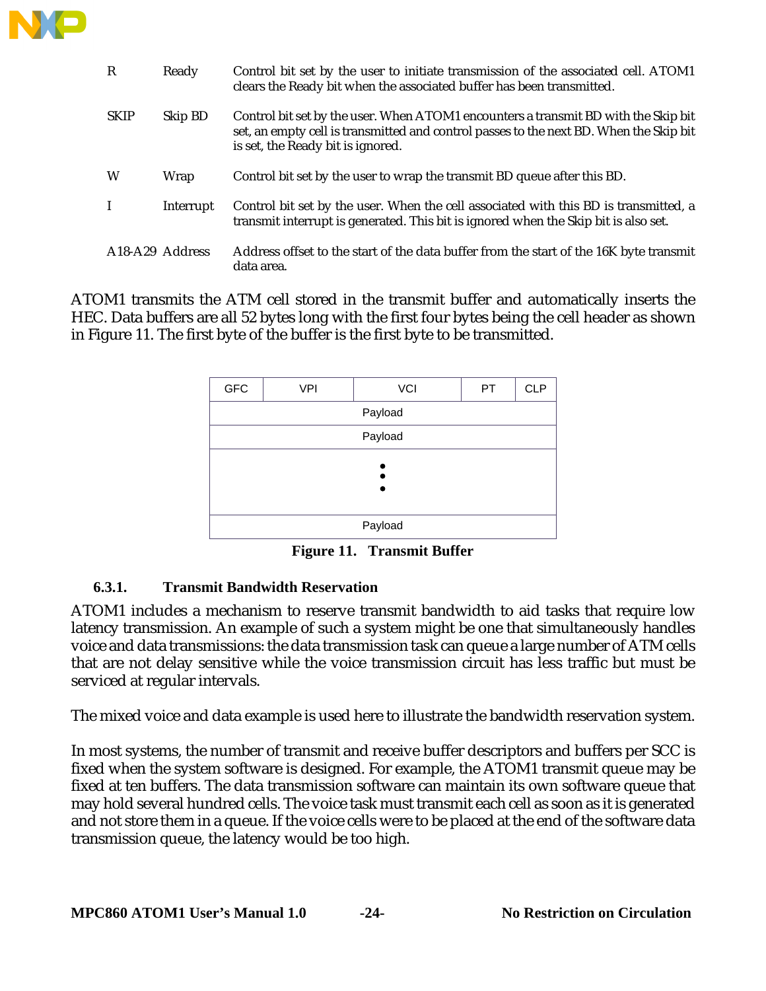

| $\mathbb{R}$                             | Ready     | Control bit set by the user to initiate transmission of the associated cell. ATOM1<br>clears the Ready bit when the associated buffer has been transmitted.                                                       |
|------------------------------------------|-----------|-------------------------------------------------------------------------------------------------------------------------------------------------------------------------------------------------------------------|
| <b>SKIP</b>                              | Skip BD   | Control bit set by the user. When ATOM1 encounters a transmit BD with the Skip bit<br>set, an empty cell is transmitted and control passes to the next BD. When the Skip bit<br>is set, the Ready bit is ignored. |
| W                                        | Wrap      | Control bit set by the user to wrap the transmit BD queue after this BD.                                                                                                                                          |
| $\mathbf I$                              | Interrupt | Control bit set by the user. When the cell associated with this BD is transmitted, a<br>transmit interrupt is generated. This bit is ignored when the Skip bit is also set.                                       |
| A <sub>18</sub> -A <sub>29</sub> Address |           | Address offset to the start of the data buffer from the start of the 16K byte transmit<br>data area.                                                                                                              |

ATOM1 transmits the ATM cell stored in the transmit buffer and automatically inserts the HEC. Data buffers are all 52 bytes long with the first four bytes being the cell header as shown in Figure 11. The first byte of the buffer is the first byte to be transmitted.

| ${\sf GFC}$ | <b>VPI</b> | VCI | PT. | <b>CLP</b> |  |  |  |  |
|-------------|------------|-----|-----|------------|--|--|--|--|
| Payload     |            |     |     |            |  |  |  |  |
|             | Payload    |     |     |            |  |  |  |  |
|             |            |     |     |            |  |  |  |  |
|             |            |     |     |            |  |  |  |  |
|             |            |     |     |            |  |  |  |  |
| Payload     |            |     |     |            |  |  |  |  |

**Figure 11. Transmit Buffer**

#### **6.3.1. Transmit Bandwidth Reservation**

ATOM1 includes a mechanism to reserve transmit bandwidth to aid tasks that require low latency transmission. An example of such a system might be one that simultaneously handles voice and data transmissions: the data transmission task can queue a large number of ATM cells that are not delay sensitive while the voice transmission circuit has less traffic but must be serviced at regular intervals.

The mixed voice and data example is used here to illustrate the bandwidth reservation system.

In most systems, the number of transmit and receive buffer descriptors and buffers per SCC is fixed when the system software is designed. For example, the ATOM1 transmit queue may be fixed at ten buffers. The data transmission software can maintain its own software queue that may hold several hundred cells. The voice task must transmit each cell as soon as it is generated and not store them in a queue. If the voice cells were to be placed at the end of the software data transmission queue, the latency would be too high.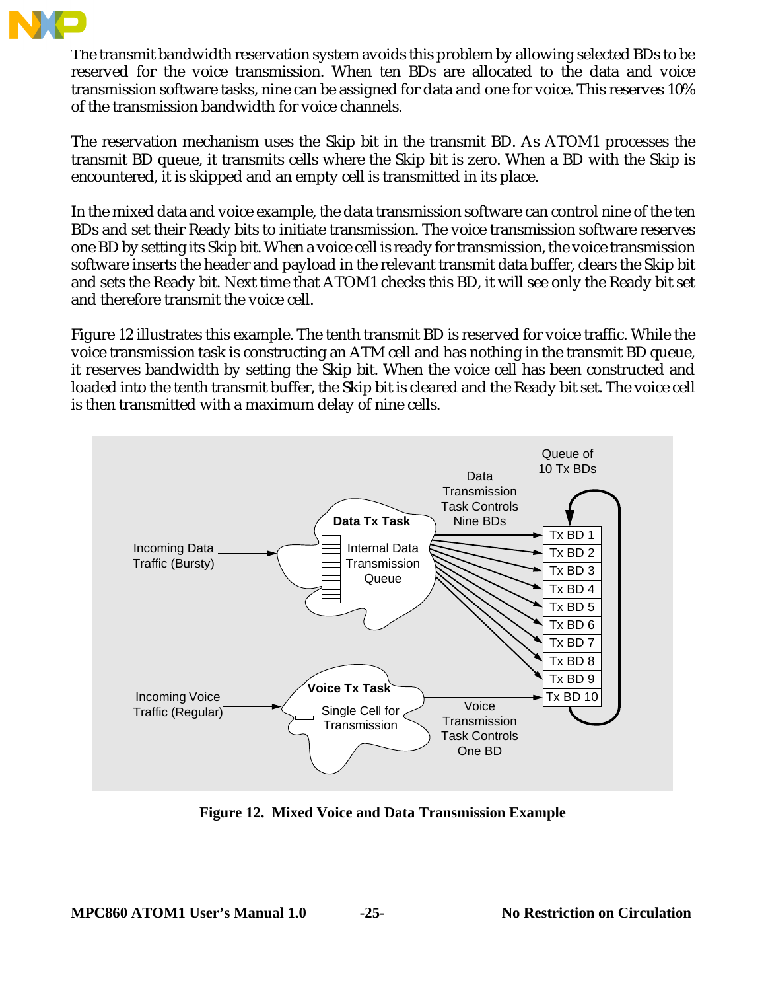

The transmit bandwidth reservation system avoids this problem by allowing selected BDs to be reserved for the voice transmission. When ten BDs are allocated to the data and voice transmission software tasks, nine can be assigned for data and one for voice. This reserves 10% of the transmission bandwidth for voice channels.

The reservation mechanism uses the Skip bit in the transmit BD. As ATOM1 processes the transmit BD queue, it transmits cells where the Skip bit is zero. When a BD with the Skip is encountered, it is skipped and an empty cell is transmitted in its place.

In the mixed data and voice example, the data transmission software can control nine of the ten BDs and set their Ready bits to initiate transmission. The voice transmission software reserves one BD by setting its Skip bit. When a voice cell is ready for transmission, the voice transmission software inserts the header and payload in the relevant transmit data buffer, clears the Skip bit and sets the Ready bit. Next time that ATOM1 checks this BD, it will see only the Ready bit set and therefore transmit the voice cell.

Figure 12 illustrates this example. The tenth transmit BD is reserved for voice traffic. While the voice transmission task is constructing an ATM cell and has nothing in the transmit BD queue, it reserves bandwidth by setting the Skip bit. When the voice cell has been constructed and loaded into the tenth transmit buffer, the Skip bit is cleared and the Ready bit set. The voice cell is then transmitted with a maximum delay of nine cells.



**Figure 12. Mixed Voice and Data Transmission Example**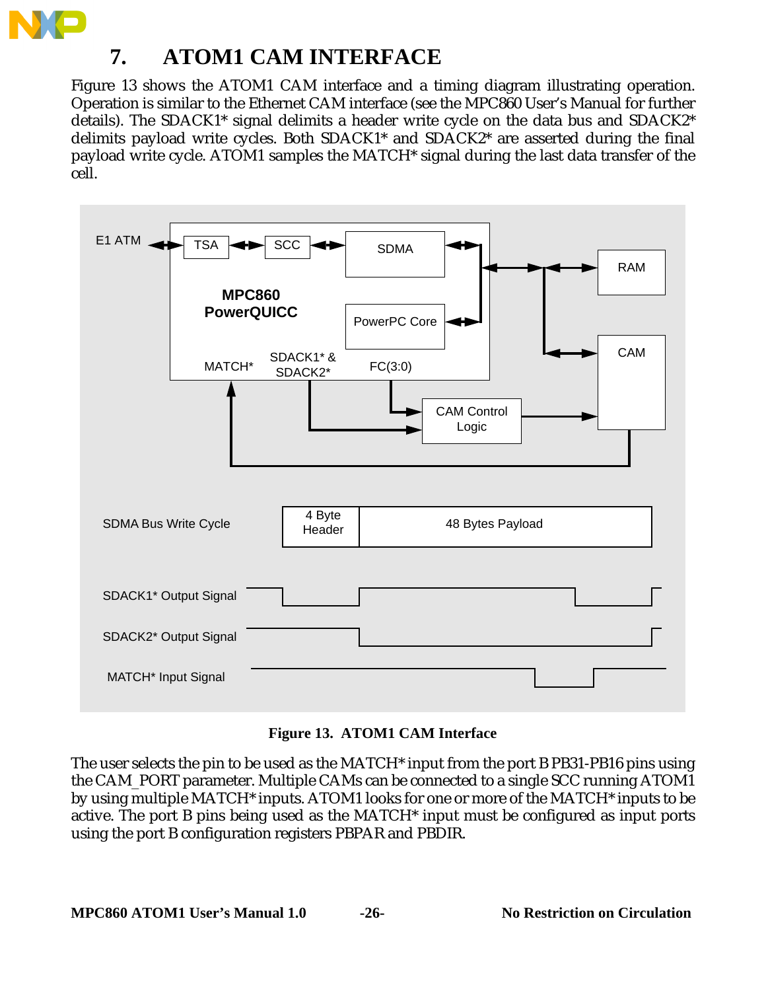

Figure 13 shows the ATOM1 CAM interface and a timing diagram illustrating operation. Operation is similar to the Ethernet CAM interface (see the MPC860 User's Manual for further details). The SDACK1\* signal delimits a header write cycle on the data bus and SDACK2\* delimits payload write cycles. Both SDACK1\* and SDACK2\* are asserted during the final payload write cycle. ATOM1 samples the MATCH\* signal during the last data transfer of the cell.



#### **Figure 13. ATOM1 CAM Interface**

The user selects the pin to be used as the MATCH\* input from the port B PB31-PB16 pins using the CAM\_PORT parameter. Multiple CAMs can be connected to a single SCC running ATOM1 by using multiple MATCH\* inputs. ATOM1 looks for one or more of the MATCH\* inputs to be active. The port B pins being used as the MATCH\* input must be configured as input ports using the port B configuration registers PBPAR and PBDIR.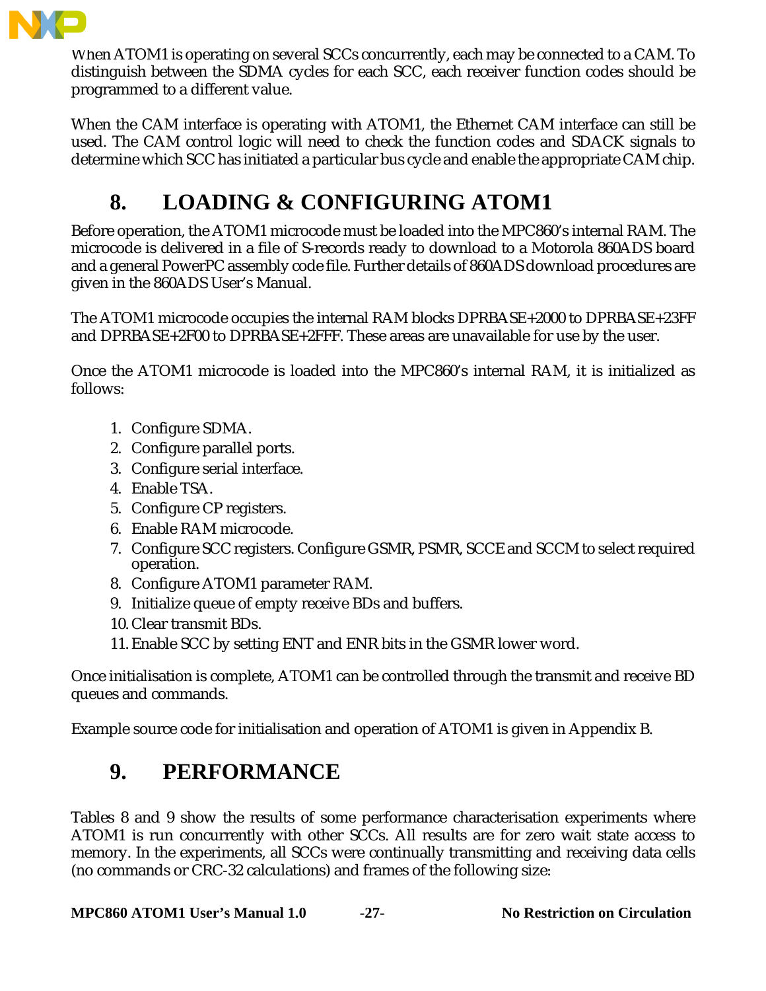

When ATOM1 is operating on several SCCs concurrently, each may be connected to a CAM. To distinguish between the SDMA cycles for each SCC, each receiver function codes should be programmed to a different value.

When the CAM interface is operating with ATOM1, the Ethernet CAM interface can still be used. The CAM control logic will need to check the function codes and SDACK signals to determine which SCC has initiated a particular bus cycle and enable the appropriate CAM chip.

# **8. LOADING & CONFIGURING ATOM1**

Before operation, the ATOM1 microcode must be loaded into the MPC860's internal RAM. The microcode is delivered in a file of S-records ready to download to a Motorola 860ADS board and a general PowerPC assembly code file. Further details of 860ADS download procedures are given in the 860ADS User's Manual.

The ATOM1 microcode occupies the internal RAM blocks DPRBASE+2000 to DPRBASE+23FF and DPRBASE+2F00 to DPRBASE+2FFF. These areas are unavailable for use by the user.

Once the ATOM1 microcode is loaded into the MPC860's internal RAM, it is initialized as follows:

- 1. Configure SDMA.
- 2. Configure parallel ports.
- 3. Configure serial interface.
- 4. Enable TSA.
- 5. Configure CP registers.
- 6. Enable RAM microcode.
- 7. Configure SCC registers. Configure GSMR, PSMR, SCCE and SCCM to select required operation.
- 8. Configure ATOM1 parameter RAM.
- 9. Initialize queue of empty receive BDs and buffers.
- 10. Clear transmit BDs.
- 11. Enable SCC by setting ENT and ENR bits in the GSMR lower word.

Once initialisation is complete, ATOM1 can be controlled through the transmit and receive BD queues and commands.

Example source code for initialisation and operation of ATOM1 is given in Appendix B.

# **9. PERFORMANCE**

Tables 8 and 9 show the results of some performance characterisation experiments where ATOM1 is run concurrently with other SCCs. All results are for zero wait state access to memory. In the experiments, all SCCs were continually transmitting and receiving data cells (no commands or CRC-32 calculations) and frames of the following size:

**MPC860 ATOM1 User's Manual 1.0 -27- No Restriction on Circulation**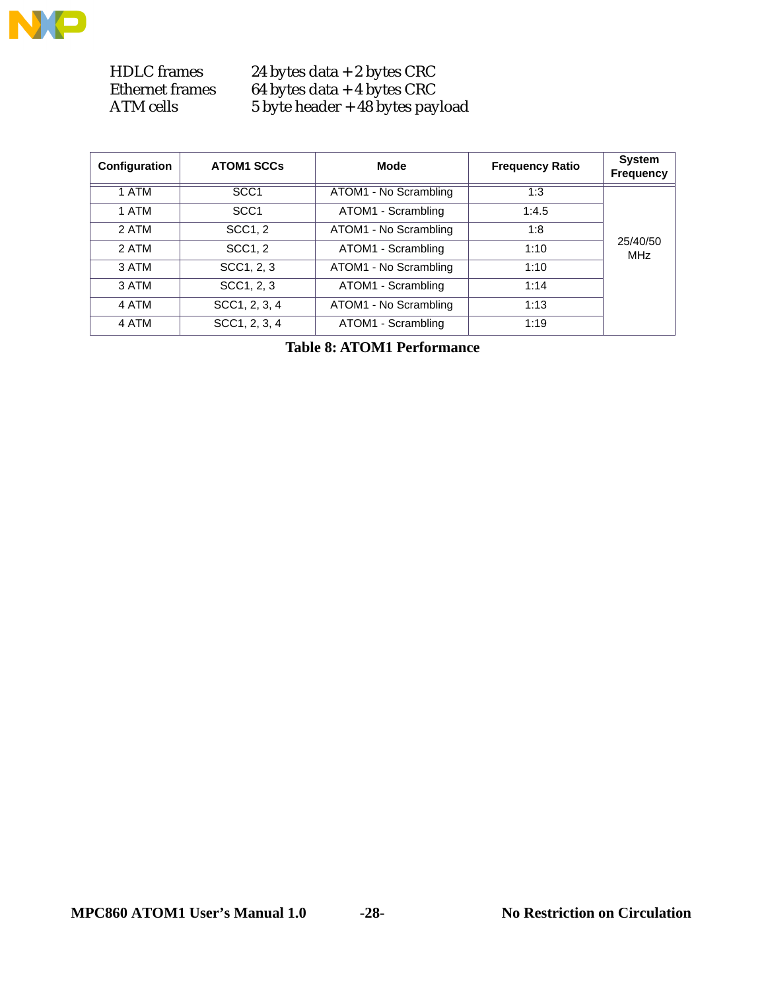

HDLC frames 24 bytes data + 2 bytes CRC<br>Ethernet frames 64 bytes data + 4 bytes CRC Ethernet frames 64 bytes data + 4 bytes CRC ATM cells 5 byte header + 48 bytes payload

| Configuration | <b>ATOM1 SCCs</b> | Mode                  | <b>Frequency Ratio</b> | <b>System</b><br><b>Frequency</b> |
|---------------|-------------------|-----------------------|------------------------|-----------------------------------|
| 1 ATM         | SCC <sub>1</sub>  | ATOM1 - No Scrambling | 1:3                    |                                   |
| 1 ATM         | SCC <sub>1</sub>  | ATOM1 - Scrambling    | 1:4.5                  |                                   |
| 2 ATM         | SCC1, 2           | ATOM1 - No Scrambling | 1:8                    |                                   |
| 2 ATM         | SCC1, 2           | ATOM1 - Scrambling    | 1:10                   | 25/40/50<br><b>MHz</b>            |
| 3 ATM         | SCC1, 2, 3        | ATOM1 - No Scrambling | 1:10                   |                                   |
| 3 ATM         | SCC1, 2, 3        | ATOM1 - Scrambling    | 1:14                   |                                   |
| 4 ATM         | SCC1, 2, 3, 4     | ATOM1 - No Scrambling | 1:13                   |                                   |
| 4 ATM         | SCC1, 2, 3, 4     | ATOM1 - Scrambling    | 1:19                   |                                   |

**Table 8: ATOM1 Performance**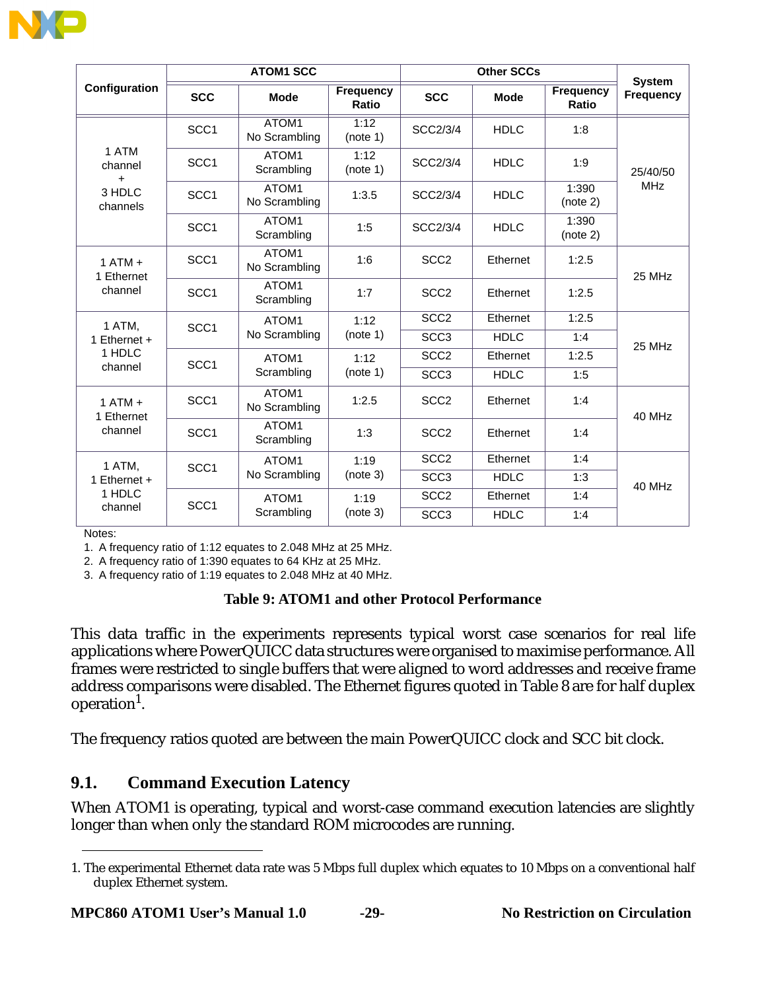

|                               |                                                        | <b>ATOM1 SCC</b>       |                  |                  | <b>Other SCCs</b>         |                   | <b>System</b> |  |
|-------------------------------|--------------------------------------------------------|------------------------|------------------|------------------|---------------------------|-------------------|---------------|--|
| Configuration                 | <b>Frequency</b><br><b>SCC</b><br><b>Mode</b><br>Ratio |                        | <b>SCC</b>       | <b>Mode</b>      | <b>Frequency</b><br>Ratio | <b>Frequency</b>  |               |  |
|                               | SCC <sub>1</sub>                                       | ATOM1<br>No Scrambling | 1:12<br>(note 1) | SCC2/3/4         | <b>HDLC</b>               | 1:8               |               |  |
| 1 ATM<br>channel<br>$\ddot{}$ | SCC <sub>1</sub>                                       | ATOM1<br>Scrambling    | 1:12<br>(note 1) | SCC2/3/4         | <b>HDLC</b>               | 1:9               | 25/40/50      |  |
| 3 HDLC<br>channels            | SCC <sub>1</sub>                                       | ATOM1<br>No Scrambling | 1:3.5            | SCC2/3/4         | <b>HDLC</b>               | 1:390<br>(note 2) | <b>MHz</b>    |  |
|                               | SCC <sub>1</sub>                                       | ATOM1<br>Scrambling    | 1:5              | SCC2/3/4         | <b>HDLC</b>               | 1:390<br>(note 2) |               |  |
| $1$ ATM $+$<br>1 Ethernet     | SCC <sub>1</sub>                                       | ATOM1<br>No Scrambling | 1:6              | SCC <sub>2</sub> | Ethernet                  | 1:2.5             | 25 MHz        |  |
| channel                       | SCC <sub>1</sub>                                       | ATOM1<br>Scrambling    | 1:7              | SCC <sub>2</sub> | Ethernet                  | 1:2.5             |               |  |
| 1 ATM,                        | SCC <sub>1</sub>                                       | ATOM1                  | 1:12             | SCC <sub>2</sub> | Ethernet                  | 1:2.5             | 25 MHz        |  |
| 1 Ethernet +                  |                                                        | No Scrambling          | (note 1)         | SCC <sub>3</sub> | <b>HDLC</b>               | 1:4               |               |  |
| 1 HDLC                        | SCC <sub>1</sub>                                       | ATOM1                  | 1:12             | SCC <sub>2</sub> | Ethernet                  | 1:2.5             |               |  |
| channel                       |                                                        | Scrambling             | (note 1)         | SCC <sub>3</sub> | <b>HDLC</b>               | 1:5               |               |  |
| $1$ ATM $+$<br>1 Ethernet     | SCC <sub>1</sub>                                       | ATOM1<br>No Scrambling | 1:2.5            | SCC <sub>2</sub> | Ethernet                  | 1:4               | 40 MHz        |  |
| channel                       | SCC <sub>1</sub>                                       | ATOM1<br>Scrambling    | 1:3              | SCC <sub>2</sub> | Ethernet                  | 1:4               |               |  |
| 1 ATM,                        | SCC <sub>1</sub>                                       | ATOM1                  | 1:19             | SCC <sub>2</sub> | Ethernet                  | 1:4               |               |  |
| 1 Ethernet +                  |                                                        | No Scrambling          | (note 3)         | SCC <sub>3</sub> | <b>HDLC</b>               | 1:3               | 40 MHz        |  |
| 1 HDLC                        | SCC <sub>1</sub>                                       | ATOM1                  | 1:19             | SCC <sub>2</sub> | Ethernet                  | 1:4               |               |  |
| channel                       |                                                        | Scrambling             | (note 3)         | SCC <sub>3</sub> | <b>HDLC</b><br>1:4        |                   |               |  |

Notes:

1. A frequency ratio of 1:12 equates to 2.048 MHz at 25 MHz.

2. A frequency ratio of 1:390 equates to 64 KHz at 25 MHz.

3. A frequency ratio of 1:19 equates to 2.048 MHz at 40 MHz.

#### **Table 9: ATOM1 and other Protocol Performance**

This data traffic in the experiments represents typical worst case scenarios for real life applications where PowerQUICC data structures were organised to maximise performance. All frames were restricted to single buffers that were aligned to word addresses and receive frame address comparisons were disabled. The Ethernet figures quoted in Table 8 are for half duplex operation<sup>1</sup>.

The frequency ratios quoted are between the main PowerQUICC clock and SCC bit clock.

## **9.1. Command Execution Latency**

When ATOM1 is operating, typical and worst-case command execution latencies are slightly longer than when only the standard ROM microcodes are running.

<sup>1.</sup> The experimental Ethernet data rate was 5 Mbps full duplex which equates to 10 Mbps on a conventional half duplex Ethernet system.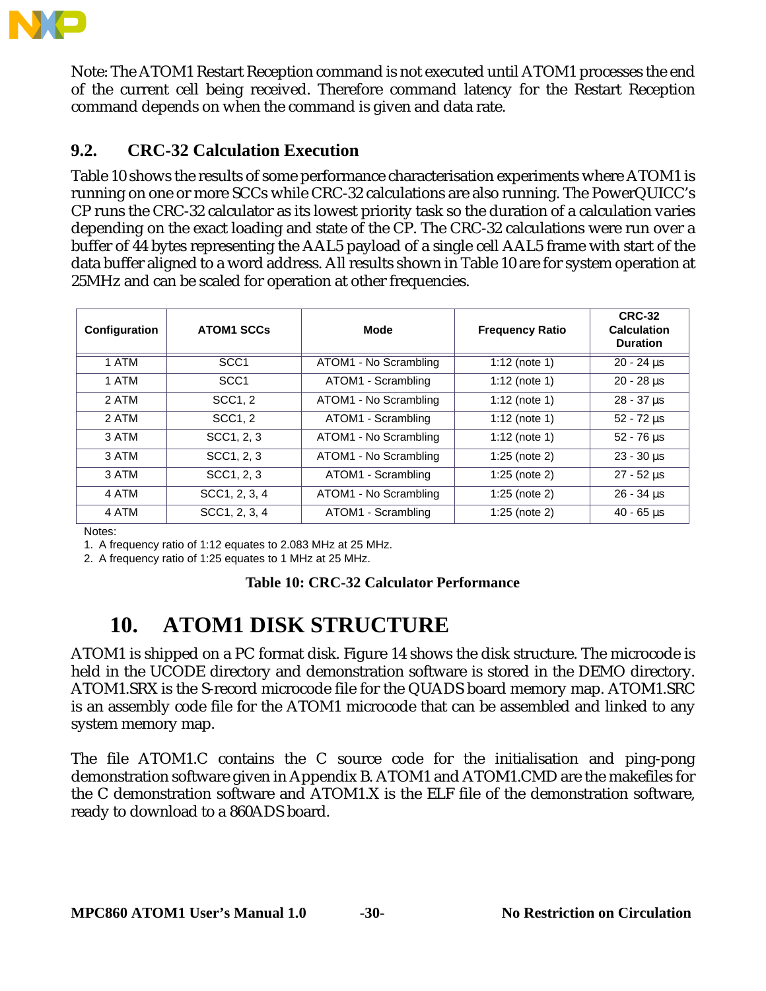

Note: The ATOM1 Restart Reception command is not executed until ATOM1 processes the end of the current cell being received. Therefore command latency for the Restart Reception command depends on when the command is given and data rate.

## **9.2. CRC-32 Calculation Execution**

Table 10 shows the results of some performance characterisation experiments where ATOM1 is running on one or more SCCs while CRC-32 calculations are also running. The PowerQUICC's CP runs the CRC-32 calculator as its lowest priority task so the duration of a calculation varies depending on the exact loading and state of the CP. The CRC-32 calculations were run over a buffer of 44 bytes representing the AAL5 payload of a single cell AAL5 frame with start of the data buffer aligned to a word address. All results shown in Table 10 are for system operation at 25MHz and can be scaled for operation at other frequencies.

| Configuration | <b>ATOM1 SCCs</b> | Mode                  | <b>Frequency Ratio</b> | <b>CRC-32</b><br><b>Calculation</b><br><b>Duration</b> |
|---------------|-------------------|-----------------------|------------------------|--------------------------------------------------------|
| 1 ATM         | SCC <sub>1</sub>  | ATOM1 - No Scrambling | $1:12$ (note 1)        | $20 - 24 \,\mu s$                                      |
| 1 ATM         | SCC <sub>1</sub>  | ATOM1 - Scrambling    | 1:12 (note 1)          | $20 - 28 \,\mu s$                                      |
| 2 ATM         | SCC1.2            | ATOM1 - No Scrambling | 1:12 (note 1)          | $28 - 37$ us                                           |
| 2 ATM         | SCC1, 2           | ATOM1 - Scrambling    | 1:12 (note 1)          | $52 - 72$ us                                           |
| 3 ATM         | SCC1, 2, 3        | ATOM1 - No Scrambling | 1:12 (note 1)          | $52 - 76 \,\mu s$                                      |
| 3 ATM         | SCC1, 2, 3        | ATOM1 - No Scrambling | 1:25 (note $2$ )       | $23 - 30 \,\mu s$                                      |
| 3 ATM         | SCC1, 2, 3        | ATOM1 - Scrambling    | $1:25$ (note 2)        | $27 - 52 \,\mu s$                                      |
| 4 ATM         | SCC1, 2, 3, 4     | ATOM1 - No Scrambling | $1:25$ (note 2)        | $26 - 34$ us                                           |
| 4 ATM         | SCC1, 2, 3, 4     | ATOM1 - Scrambling    | $1:25$ (note 2)        | $40 - 65$ us                                           |

Notes:

1. A frequency ratio of 1:12 equates to 2.083 MHz at 25 MHz.

2. A frequency ratio of 1:25 equates to 1 MHz at 25 MHz.

#### **Table 10: CRC-32 Calculator Performance**

# **10. ATOM1 DISK STRUCTURE**

ATOM1 is shipped on a PC format disk. Figure 14 shows the disk structure. The microcode is held in the UCODE directory and demonstration software is stored in the DEMO directory. ATOM1.SRX is the S-record microcode file for the QUADS board memory map. ATOM1.SRC is an assembly code file for the ATOM1 microcode that can be assembled and linked to any system memory map.

The file ATOM1.C contains the C source code for the initialisation and ping-pong demonstration software given in Appendix B. ATOM1 and ATOM1.CMD are the makefiles for the C demonstration software and ATOM1.X is the ELF file of the demonstration software, ready to download to a 860ADS board.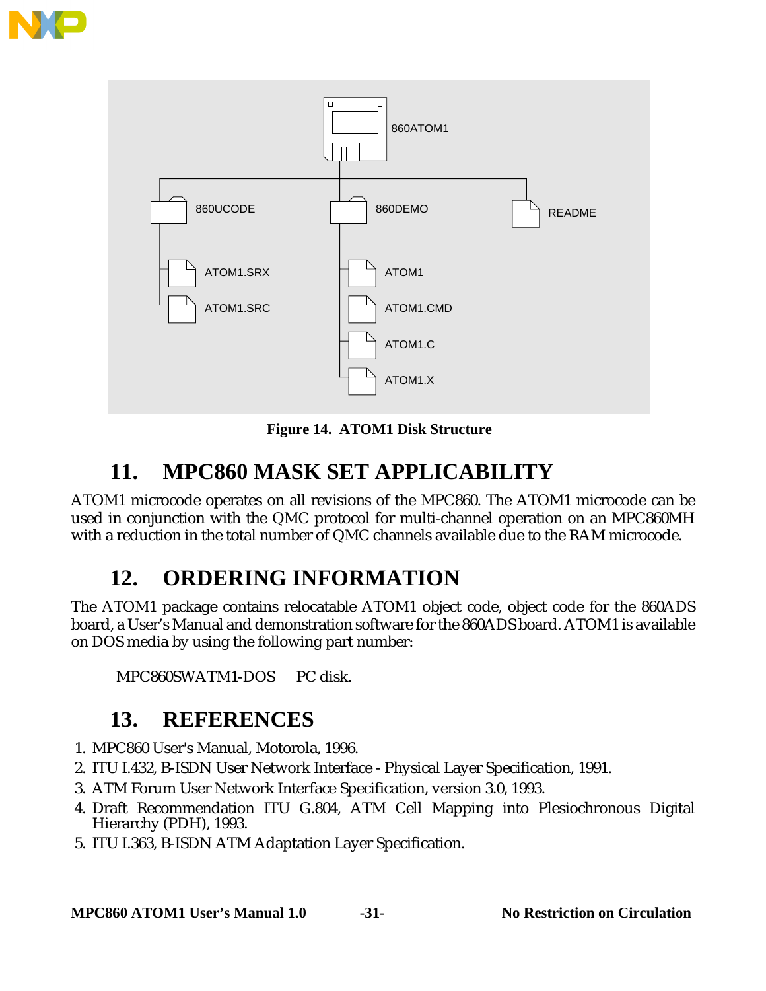



**Figure 14. ATOM1 Disk Structure**

# **11. MPC860 MASK SET APPLICABILITY**

ATOM1 microcode operates on all revisions of the MPC860. The ATOM1 microcode can be used in conjunction with the QMC protocol for multi-channel operation on an MPC860MH with a reduction in the total number of QMC channels available due to the RAM microcode.

# **12. ORDERING INFORMATION**

The ATOM1 package contains relocatable ATOM1 object code, object code for the 860ADS board, a User's Manual and demonstration software for the 860ADS board. ATOM1 is available on DOS media by using the following part number:

MPC860SWATM1-DOS PC disk.

# **13. REFERENCES**

- 1. MPC860 User's Manual, Motorola, 1996.
- 2. ITU I.432, B-ISDN User Network Interface Physical Layer Specification, 1991.
- 3. ATM Forum User Network Interface Specification, version 3.0, 1993.
- 4. Draft Recommendation ITU G.804, ATM Cell Mapping into Plesiochronous Digital Hierarchy (PDH), 1993.
- 5. ITU I.363, B-ISDN ATM Adaptation Layer Specification.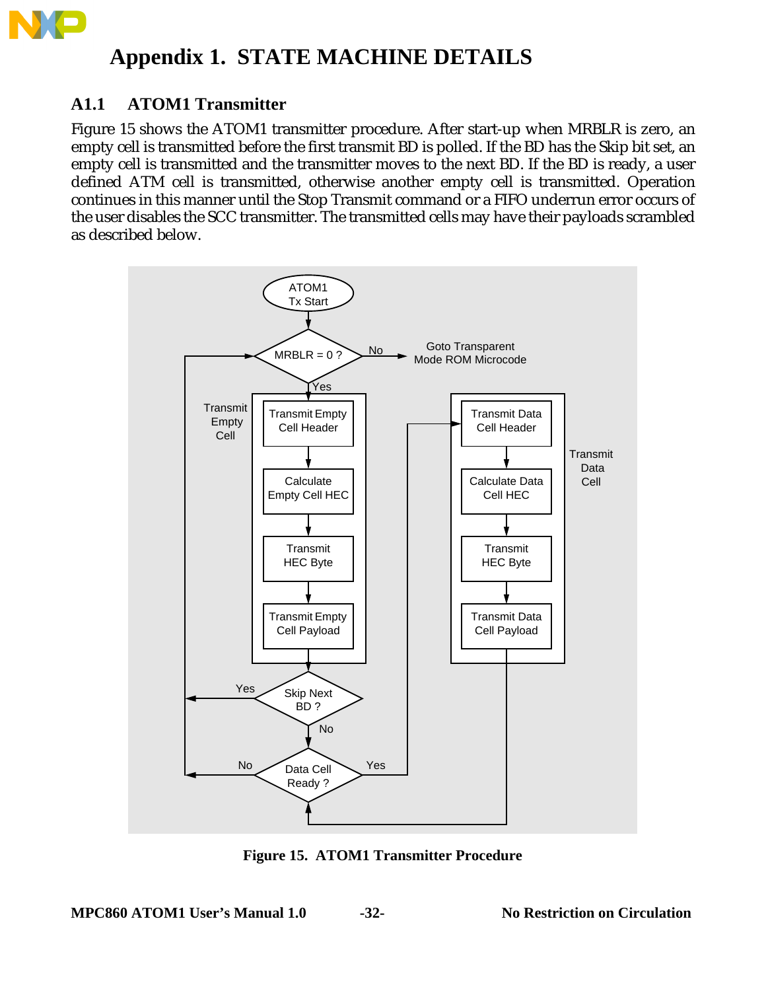

# **Appendix 1. STATE MACHINE DETAILS**

## **A1.1 ATOM1 Transmitter**

Figure 15 shows the ATOM1 transmitter procedure. After start-up when MRBLR is zero, an empty cell is transmitted before the first transmit BD is polled. If the BD has the Skip bit set, an empty cell is transmitted and the transmitter moves to the next BD. If the BD is ready, a user defined ATM cell is transmitted, otherwise another empty cell is transmitted. Operation continues in this manner until the Stop Transmit command or a FIFO underrun error occurs of the user disables the SCC transmitter. The transmitted cells may have their payloads scrambled as described below.



**Figure 15. ATOM1 Transmitter Procedure**

**MPC860 ATOM1 User's Manual 1.0 -32- No Restriction on Circulation**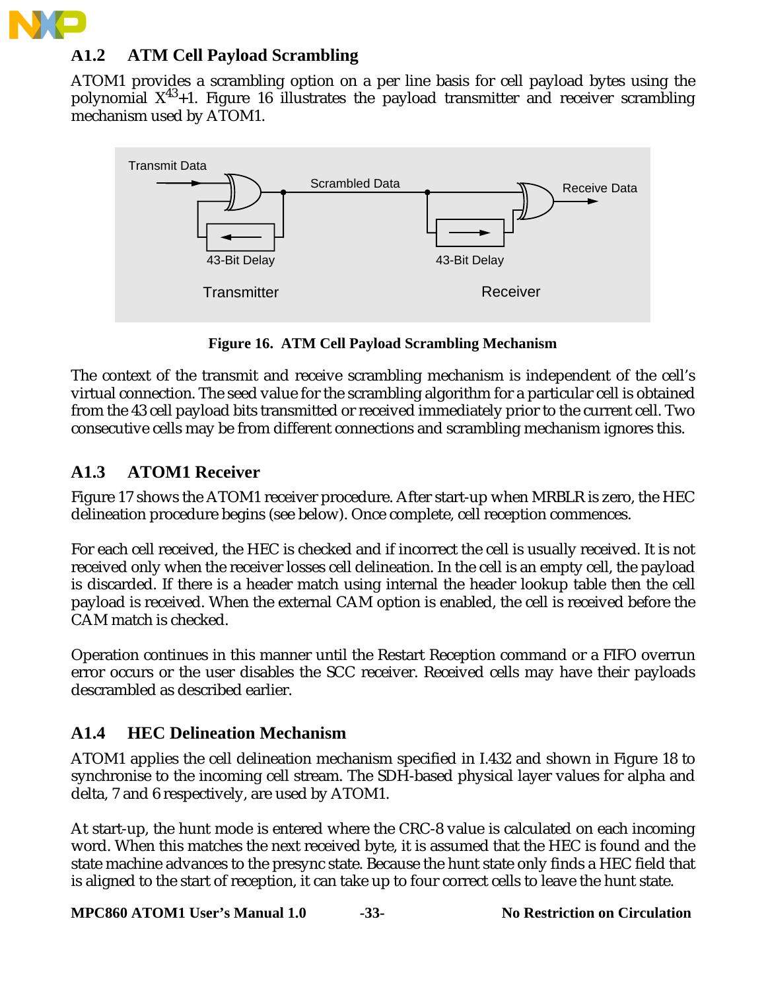

## **A1.2 ATM Cell Payload Scrambling**

ATOM1 provides a scrambling option on a per line basis for cell payload bytes using the polynomial  $X^{43}+1$ . Figure 16 illustrates the payload transmitter and receiver scrambling mechanism used by ATOM1.



**Figure 16. ATM Cell Payload Scrambling Mechanism**

The context of the transmit and receive scrambling mechanism is independent of the cell's virtual connection. The seed value for the scrambling algorithm for a particular cell is obtained from the 43 cell payload bits transmitted or received immediately prior to the current cell. Two consecutive cells may be from different connections and scrambling mechanism ignores this.

## **A1.3 ATOM1 Receiver**

Figure 17 shows the ATOM1 receiver procedure. After start-up when MRBLR is zero, the HEC delineation procedure begins (see below). Once complete, cell reception commences.

For each cell received, the HEC is checked and if incorrect the cell is usually received. It is not received only when the receiver losses cell delineation. In the cell is an empty cell, the payload is discarded. If there is a header match using internal the header lookup table then the cell payload is received. When the external CAM option is enabled, the cell is received before the CAM match is checked.

Operation continues in this manner until the Restart Reception command or a FIFO overrun error occurs or the user disables the SCC receiver. Received cells may have their payloads descrambled as described earlier.

## **A1.4 HEC Delineation Mechanism**

ATOM1 applies the cell delineation mechanism specified in I.432 and shown in Figure 18 to synchronise to the incoming cell stream. The SDH-based physical layer values for alpha and delta, 7 and 6 respectively, are used by ATOM1.

At start-up, the hunt mode is entered where the CRC-8 value is calculated on each incoming word. When this matches the next received byte, it is assumed that the HEC is found and the state machine advances to the presync state. Because the hunt state only finds a HEC field that is aligned to the start of reception, it can take up to four correct cells to leave the hunt state.

**MPC860 ATOM1 User's Manual 1.0 -33- No Restriction on Circulation**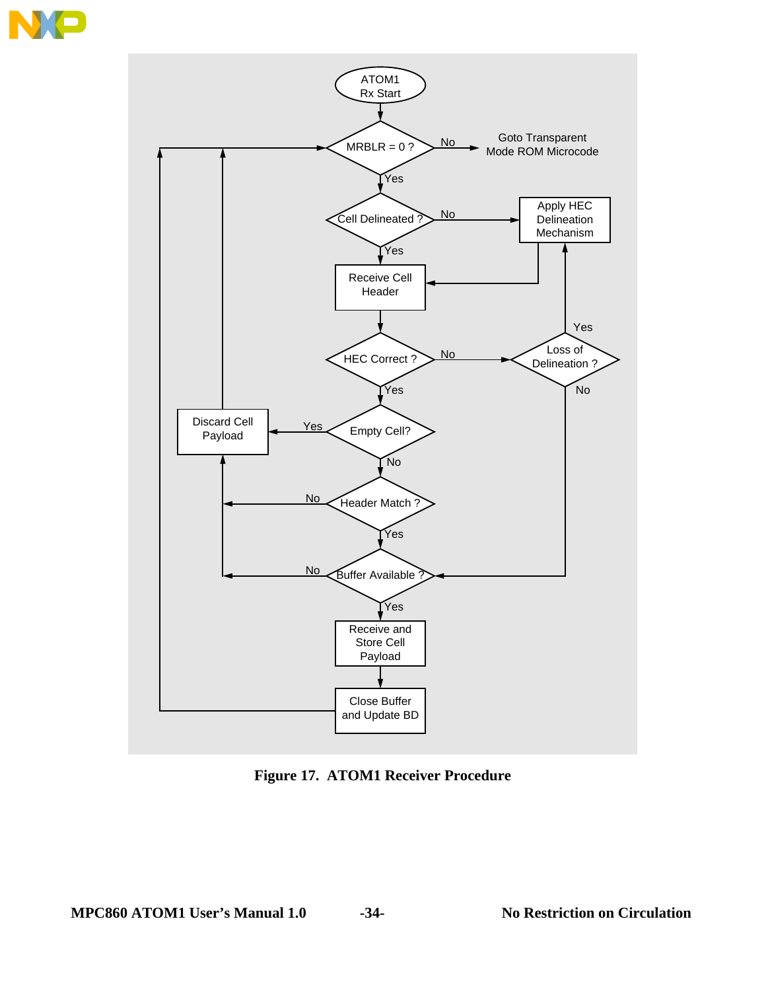

**Figure 17. ATOM1 Receiver Procedure**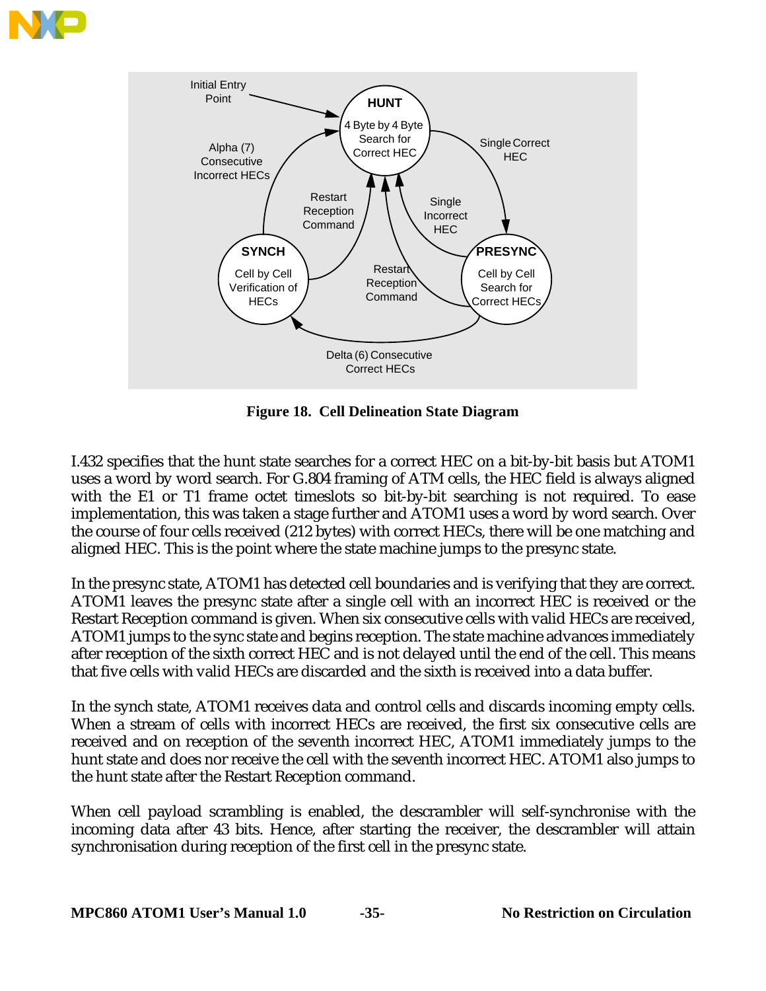



**Figure 18. Cell Delineation State Diagram**

I.432 specifies that the hunt state searches for a correct HEC on a bit-by-bit basis but ATOM1 uses a word by word search. For G.804 framing of ATM cells, the HEC field is always aligned with the E1 or T1 frame octet timeslots so bit-by-bit searching is not required. To ease implementation, this was taken a stage further and ATOM1 uses a word by word search. Over the course of four cells received (212 bytes) with correct HECs, there will be one matching and aligned HEC. This is the point where the state machine jumps to the presync state.

In the presync state, ATOM1 has detected cell boundaries and is verifying that they are correct. ATOM1 leaves the presync state after a single cell with an incorrect HEC is received or the Restart Reception command is given. When six consecutive cells with valid HECs are received, ATOM1 jumps to the sync state and begins reception. The state machine advances immediately after reception of the sixth correct HEC and is not delayed until the end of the cell. This means that five cells with valid HECs are discarded and the sixth is received into a data buffer.

In the synch state, ATOM1 receives data and control cells and discards incoming empty cells. When a stream of cells with incorrect HECs are received, the first six consecutive cells are received and on reception of the seventh incorrect HEC, ATOM1 immediately jumps to the hunt state and does nor receive the cell with the seventh incorrect HEC. ATOM1 also jumps to the hunt state after the Restart Reception command.

When cell payload scrambling is enabled, the descrambler will self-synchronise with the incoming data after 43 bits. Hence, after starting the receiver, the descrambler will attain synchronisation during reception of the first cell in the presync state.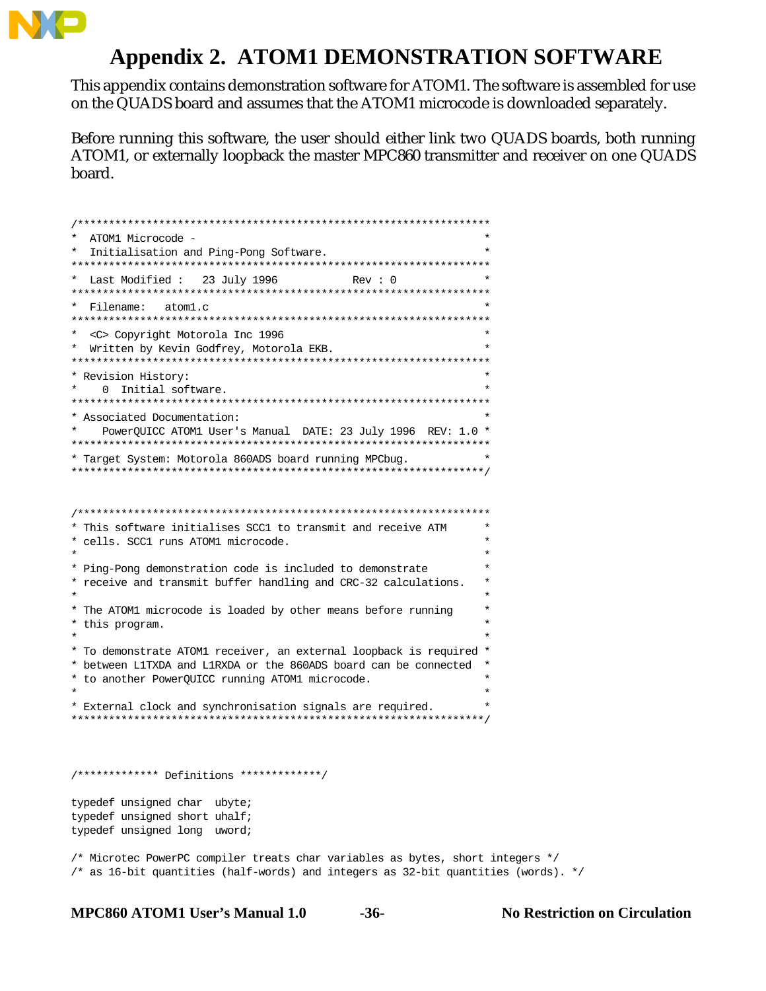

# **Appendix 2. ATOM1 DEMONSTRATION SOFTWARE**

This appendix contains demonstration software for ATOM1. The software is assembled for use on the QUADS board and assumes that the ATOM1 microcode is downloaded separately.

Before running this software, the user should either link two QUADS boards, both running ATOM1, or externally loopback the master MPC860 transmitter and receiver on one QUADS board.

```
/******************************************************************
* ATOM1 Microcode - *
* Initialisation and Ping-Pong Software. *
*******************************************************************
* Last Modified : 23 July 1996 Rev : 0 *
*******************************************************************
* Filename: atom1.c *
*******************************************************************
* <C> Copyright Motorola Inc 1996 *
* Written by Kevin Godfrey, Motorola EKB. *
*******************************************************************
* Revision History: *
   0 Initial software.
*******************************************************************
* Associated Documentation: *
  * PowerQUICC ATOM1 User's Manual DATE: 23 July 1996 REV: 1.0 *
*******************************************************************
* Target System: Motorola 860ADS board running MPCbug. *
******************************************************************/
/******************************************************************
* This software initialises SCC1 to transmit and receive ATM *
* cells. SCC1 runs ATOM1 microcode. *
\star \star* Ping-Pong demonstration code is included to demonstrate *
* receive and transmit buffer handling and CRC-32 calculations. *
\star \star* The ATOM1 microcode is loaded by other means before running *
* this program. *
\star \star* To demonstrate ATOM1 receiver, an external loopback is required *
* between L1TXDA and L1RXDA or the 860ADS board can be connected *
* to another PowerQUICC running ATOM1 microcode. *
\star \star* External clock and synchronisation signals are required. *
******************************************************************/
/************* Definitions *************/
typedef unsigned char ubyte;
typedef unsigned short uhalf;
typedef unsigned long uword;
/* Microtec PowerPC compiler treats char variables as bytes, short integers */
/* as 16-bit quantities (half-words) and integers as 32-bit quantities (words). */
```
**MPC860 ATOM1 User's Manual 1.0 -36- No Restriction on Circulation**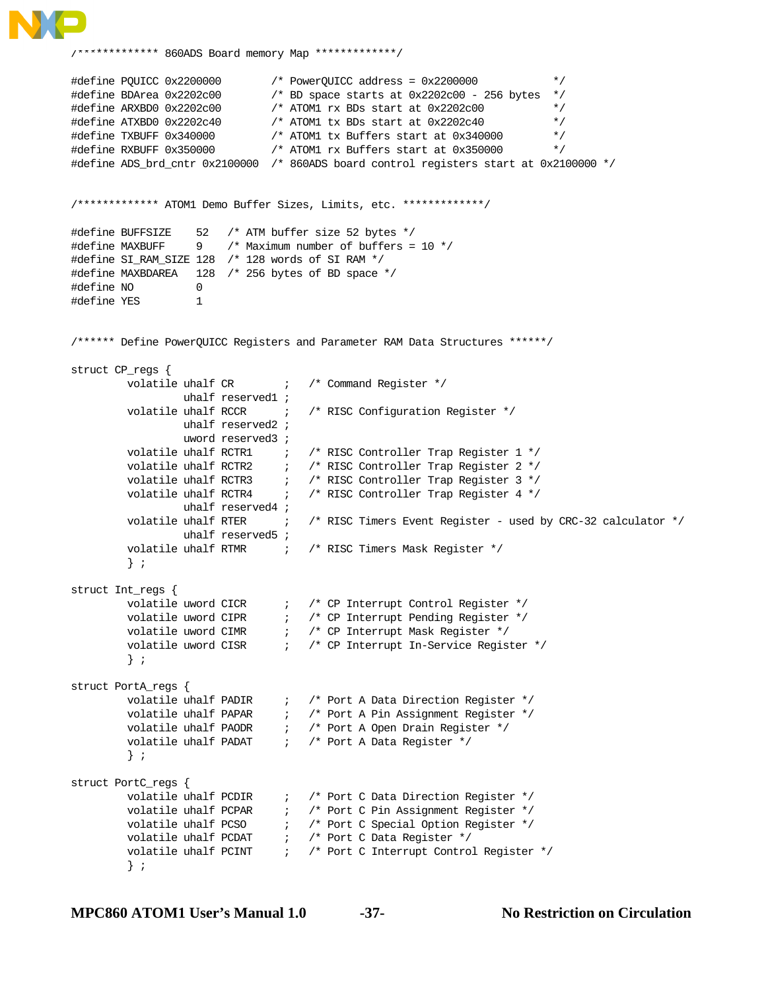

```
/************* 860ADS Board memory Map *************/
#define PQUICC 0x2200000 /* PowerQUICC address = 0x2200000 */
#define BDArea 0x2202c00 /* BD space starts at 0x2202c00 - 256 bytes */
#define ARXBD0 0x2202c00 /* ATOM1 rx BDs start at 0x2202c00 */
#define ATXBD0 0x2202c40 /* ATOM1 tx BDs start at 0x2202c40 */
#define TXBUFF 0x340000 /* ATOM1 tx Buffers start at 0x340000 */
#define RXBUFF 0x350000 /* ATOM1 rx Buffers start at 0x350000 */
#define ADS_brd_cntr 0x2100000 /* 860ADS board control registers start at 0x2100000 */
/************* ATOM1 Demo Buffer Sizes, Limits, etc. *************/
#define BUFFSIZE 52 /* ATM buffer size 52 bytes */
#define MAXBUFF 9 /* Maximum number of buffers = 10 */
#define SI_RAM_SIZE 128 /* 128 words of SI RAM */
#define MAXBDAREA 128 /* 256 bytes of BD space */
#define NO 0
#define YES 1
/****** Define PowerQUICC Registers and Parameter RAM Data Structures ******/
struct CP_regs {
        volatile uhalf CR ; /* Command Register */
                 uhalf reserved1 ;
        volatile uhalf RCCR \qquad ; /* RISC Configuration Register */
                 uhalf reserved2 ;
                 uword reserved3 ;
        volatile uhalf RCTR1 \qquad ; /* RISC Controller Trap Register 1 */
        volatile uhalf RCTR2 \qquad ; \qquad/* RISC Controller Trap Register 2 */
volatile uhalf RCTR3 \qquad ; \qquad/* RISC Controller Trap Register 3 */
 volatile uhalf RCTR4 ; /* RISC Controller Trap Register 4 */
                 uhalf reserved4 ;
        volatile uhalf RTER \qquad ; \qquad/* RISC Timers Event Register - used by CRC-32 calculator */
                 uhalf reserved5 ;
        volatile uhalf RTMR \qquad ; \qquad/* RISC Timers Mask Register */
         } ;
struct Int_regs {
volatile uword CICR \qquad ; \qquad/* CP Interrupt Control Register */
volatile uword CIPR \qquad ; \qquad/* CP Interrupt Pending Register */
volatile uword CIMR \qquad\qquad ; \qquad/* CP Interrupt Mask Register */
volatile uword CISR \qquad ; \qquad/* CP Interrupt In-Service Register */
         } ;
struct PortA_regs {
 volatile uhalf PADIR ; /* Port A Data Direction Register */
volatile uhalf PAPAR \qquad ; \qquad /* Port A Pin Assignment Register */
volatile uhalf PAODR \qquad ; \qquad/* Port A Open Drain Register */
volatile uhalf PADAT \qquad ; \qquad/* Port A Data Register */
         } ;
struct PortC_regs {
volatile uhalf PCDIR \qquad ; \qquad /* Port C Data Direction Register */
volatile uhalf PCPAR \qquad ; \qquad /* Port C Pin Assignment Register */
volatile uhalf PCSO \qquad ; \qquad/* Port C Special Option Register */
volatile uhalf PCDAT \qquad ; /* Port C Data Register */
volatile uhalf PCINT \qquad ; \qquad/* Port C Interrupt Control Register */
         } ;
```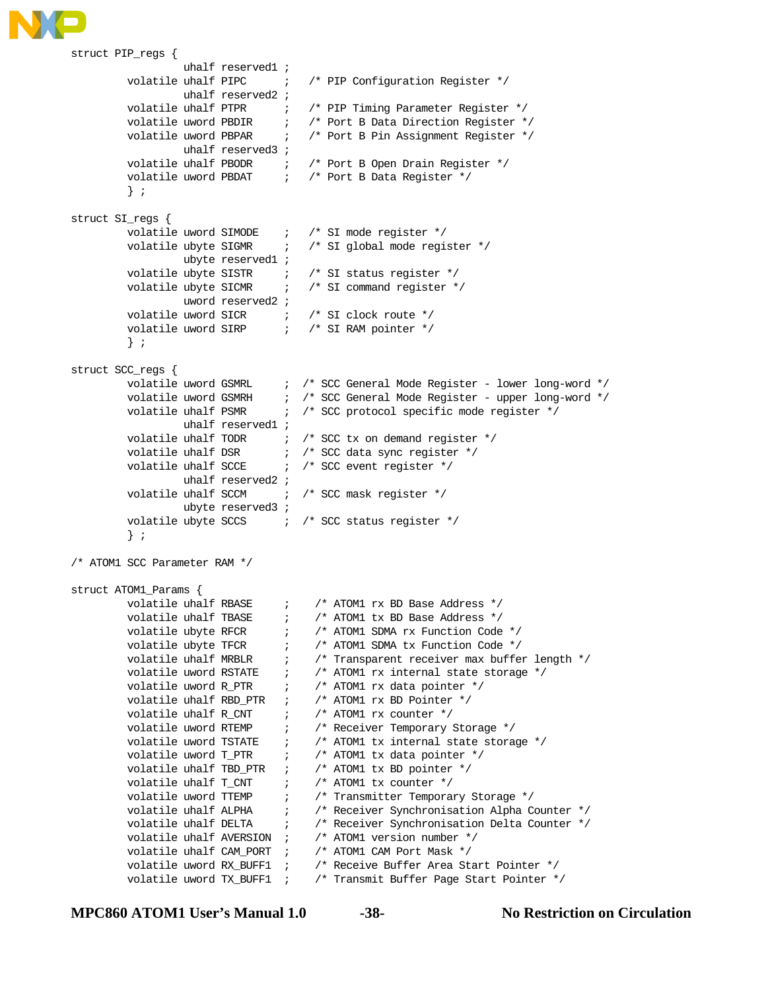

```
struct PIP_regs {
                  uhalf reserved1 ;
        volatile uhalf PIPC \qquad ; /* PIP Configuration Register */
                 uhalf reserved2 ;
        volatile uhalf PTPR \qquad ; /* PIP Timing Parameter Register */
volatile uword PBDIR \qquad ; \qquad /* Port B Data Direction Register */
volatile uword PBPAR (a) \rightarrow /* Port B Pin Assignment Register */
                 uhalf reserved3 ;
volatile uhalf PBODR \qquad ; \qquad/* Port B Open Drain Register */
volatile uword PBDAT \qquad ; /* Port B Data Register */
         } ;
struct SI_regs {
        volatile uword SIMODE : /* SI mode register */
        volatile ubyte SIGMR : /* SI global mode register */
                 ubyte reserved1 ;
volatile ubyte SISTR \qquad ; \qquad /* SI status register */
volatile ubyte SICMR \qquad ; \qquad /* SI command register */
                 uword reserved2 ;
volatile uword SICR \qquad ; /* SI clock route */
 volatile uword SIRP ; /* SI RAM pointer */
         } ;
struct SCC_regs {
        volatile uword GSMRL \qquad ; \qquad/* SCC General Mode Register - lower long-word */
 volatile uword GSMRH ; /* SCC General Mode Register - upper long-word */
volatile uhalf PSMR \qquad ; /* SCC protocol specific mode register */
                 uhalf reserved1 ;
        volatile uhalf TODR \qquad ; /* SCC tx on demand register */
volatile uhalf DSR \qquad ; /* SCC data sync register */
volatile uhalf SCCE \qquad ; /* SCC event register */
                 uhalf reserved2 ;
        volatile uhalf SCCM \qquad ; /* SCC mask register */
                  ubyte reserved3 ;
        volatile ubyte SCCS \qquad ; /* SCC status register */
         } ;
/* ATOM1 SCC Parameter RAM */
struct ATOM1_Params {
        volatile uhalf RBASE \qquad ; \qquad /* ATOM1 rx BD Base Address */
volatile uhalf TBASE \qquad ; \qquad /* ATOM1 tx BD Base Address */
volatile ubyte RFCR \qquad ; \qquad /* ATOM1 SDMA rx Function Code */
volatile ubyte TFCR \qquad ; \qquad /* ATOM1 SDMA tx Function Code */
volatile uhalf MRBLR \qquad ; \qquad /* Transparent receiver max buffer length */
volatile uword RSTATE : \qquad /* ATOM1 rx internal state storage */
 volatile uword R_PTR ; /* ATOM1 rx data pointer */
 volatile uhalf RBD_PTR ; /* ATOM1 rx BD Pointer */
volatile uhalf R_CNT \qquad ; /* ATOM1 rx counter */
volatile uword RTEMP \qquad ; \qquad/* Receiver Temporary Storage */
volatile uword TSTATE : \qquad /* ATOM1 tx internal state storage */
        volatile uword T_PTR \qquad\qquad ; \qquad /* ATOM1 tx data pointer */
         volatile uhalf TBD_PTR ; /* ATOM1 tx BD pointer */
        volatile uhalf T_CNT \qquad\qquad ; \qquad /* ATOM1 tx counter */
        volatile uword TTEMP : /* Transmitter Temporary Storage */
volatile uhalf ALPHA \qquad ; \qquad/* Receiver Synchronisation Alpha Counter */
volatile uhalf DELTA \qquad ; \qquad /* Receiver Synchronisation Delta Counter */
 volatile uhalf AVERSION ; /* ATOM1 version number */
 volatile uhalf CAM_PORT ; /* ATOM1 CAM Port Mask */
 volatile uword RX_BUFF1 ; /* Receive Buffer Area Start Pointer */
        volatile uword TX_BUFF1 ; /* Transmit Buffer Page Start Pointer */
```

```
MPC860 ATOM1 User's Manual 1.0 -38- No Restriction on Circulation
```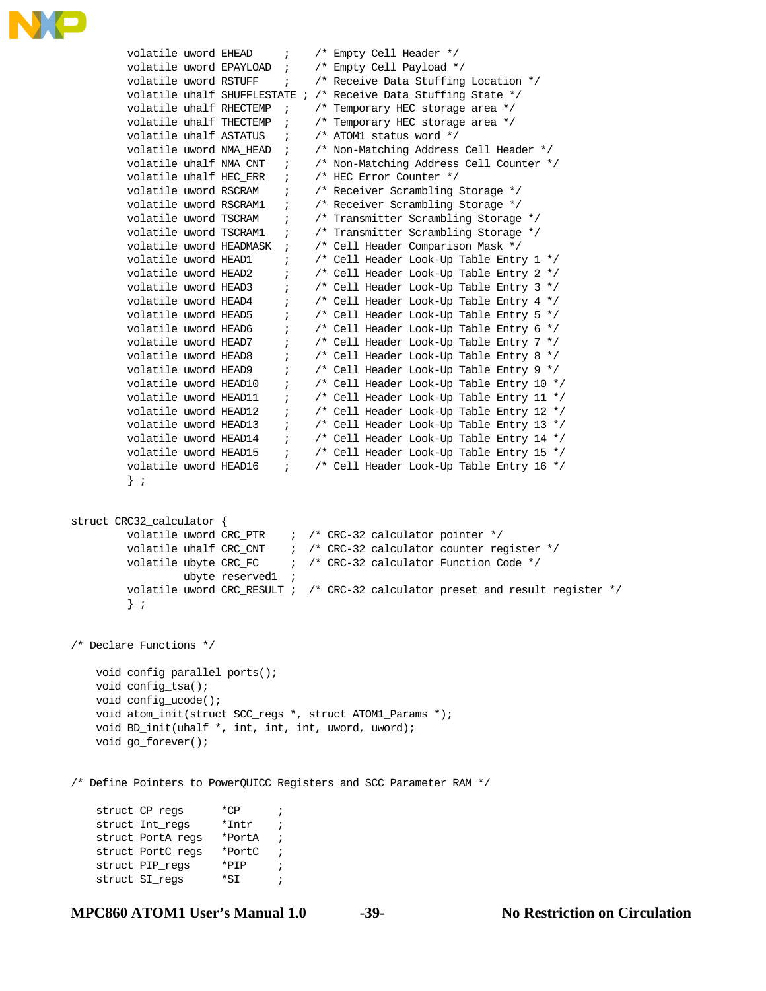

```
volatile uword EHEAD ; /* Empty Cell Header */
        volatile uword EPAYLOAD ; /* Empty Cell Payload */
        volatile uword RSTUFF : /* Receive Data Stuffing Location */
         volatile uhalf SHUFFLESTATE ; /* Receive Data Stuffing State */
         volatile uhalf RHECTEMP ; /* Temporary HEC storage area */
         volatile uhalf THECTEMP ; /* Temporary HEC storage area */
       volatile uhalf ASTATUS \qquad /* ATOM1 status word */
 volatile uword NMA_HEAD ; /* Non-Matching Address Cell Header */
 volatile uhalf NMA_CNT ; /* Non-Matching Address Cell Counter */
 volatile uhalf HEC_ERR ; /* HEC Error Counter */
volatile uword RSCRAM : /* Receiver Scrambling Storage */
 volatile uword RSCRAM1 ; /* Receiver Scrambling Storage */
volatile uword TSCRAM \qquad ; \qquad /* Transmitter Scrambling Storage */
 volatile uword TSCRAM1 ; /* Transmitter Scrambling Storage */
 volatile uword HEADMASK ; /* Cell Header Comparison Mask */
       volatile uword HEAD1 \qquad ; \qquad /* Cell Header Look-Up Table Entry 1 */
       volatile uword HEAD2 \qquad ; \qquad /* Cell Header Look-Up Table Entry 2 */
 volatile uword HEAD3 ; /* Cell Header Look-Up Table Entry 3 */
 volatile uword HEAD4 ; /* Cell Header Look-Up Table Entry 4 */
 volatile uword HEAD5 ; /* Cell Header Look-Up Table Entry 5 */
 volatile uword HEAD6 ; /* Cell Header Look-Up Table Entry 6 */
 volatile uword HEAD7 ; /* Cell Header Look-Up Table Entry 7 */
 volatile uword HEAD8 ; /* Cell Header Look-Up Table Entry 8 */
 volatile uword HEAD9 ; /* Cell Header Look-Up Table Entry 9 */
 volatile uword HEAD10 ; /* Cell Header Look-Up Table Entry 10 */
 volatile uword HEAD11 ; /* Cell Header Look-Up Table Entry 11 */
 volatile uword HEAD12 ; /* Cell Header Look-Up Table Entry 12 */
        volatile uword HEAD13 ; /* Cell Header Look-Up Table Entry 13 */
        volatile uword HEAD14 \qquad ; \qquad /* Cell Header Look-Up Table Entry 14 */
         volatile uword HEAD15 ; /* Cell Header Look-Up Table Entry 15 */
        volatile uword HEAD16 ; /* Cell Header Look-Up Table Entry 16 */
         } ; 
struct CRC32_calculator {
       volatile uword CRC_PTR \qquad ; /* CRC-32 calculator pointer */
       volatile uhalf CRC_CNT \quad\quad ; \quad /* CRC-32 calculator counter register */
        volatile ubyte CRC_FC ; /* CRC-32 calculator Function Code */
                 ubyte reserved1 ;
         volatile uword CRC_RESULT ; /* CRC-32 calculator preset and result register */
         } ;
/* Declare Functions */
    void config_parallel_ports();
    void config_tsa();
    void config_ucode();
    void atom_init(struct SCC_regs *, struct ATOM1_Params *);
    void BD_init(uhalf *, int, int, int, uword, uword);
    void go_forever();
/* Define Pointers to PowerQUICC Registers and SCC Parameter RAM */
   struct CP_regs *CP ;
    struct Int_regs *Intr ; 
    struct PortA_regs *PortA ;
    struct PortC_regs *PortC ;
   struct PIP_reqs *PIP ;
   struct SI_regs *SI ;
```

```
MPC860 ATOM1 User's Manual 1.0 -39- No Restriction on Circulation
```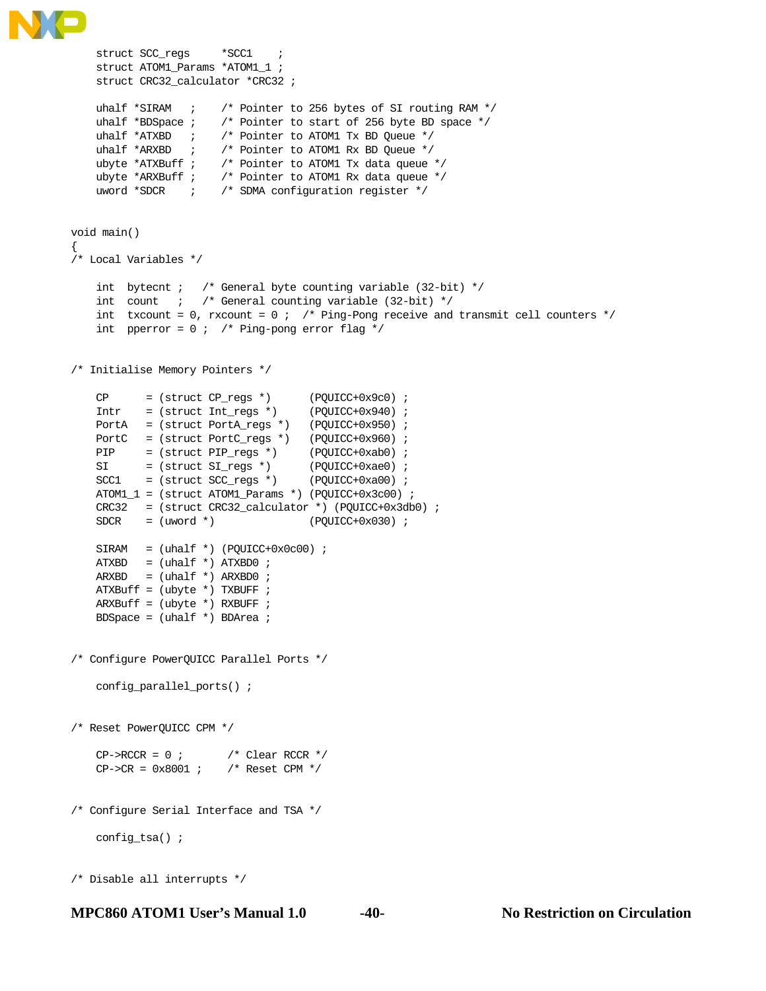```
 struct SCC_regs *SCC1 ;
   struct ATOM1_Params *ATOM1_1 ;
    struct CRC32_calculator *CRC32 ;
   uhalf *SIRAM ; /* Pointer to 256 bytes of SI routing RAM */
    uhalf *BDSpace ; /* Pointer to start of 256 byte BD space */
 uhalf *ATXBD ; /* Pointer to ATOM1 Tx BD Queue */
 uhalf *ARXBD ; /* Pointer to ATOM1 Rx BD Queue */
 ubyte *ATXBuff ; /* Pointer to ATOM1 Tx data queue */
 ubyte *ARXBuff ; /* Pointer to ATOM1 Rx data queue */
    uword *SDCR ; /* SDMA configuration register */
void main()
{
/* Local Variables */
   int bytecnt ; /* General byte counting variable (32-bit) */
   int count i /* General counting variable (32-bit) */
   int txcount = 0, rxcount = 0 ; /* Ping-Pong receive and transmit cell counters */
   int pperror = 0 ; /* Ping-pong error flag */
/* Initialise Memory Pointers */
CP = (struct CP_{regs *}) (PQUICC+0x9c0) ;
 Intr = (struct Int_regs *) (PQUICC+0x940) ; 
   PortA = (struct PortA_regs *) (PQUICC+0x950) ;
   PortC = (struct PortC_regs *) (PQUICC+0x960) ;
 PIP = (struct PIP_regs *) (PQUICC+0xab0) ;
SI = (struct SI_regs *) (PQUICC+0xae0) ;
SCC1 = (struct SCC_regs *) (PQUICC+0xa00) ;
    ATOM1_1 = (struct ATOM1_Params *) (PQUICC+0x3c00) ;
    CRC32 = (struct CRC32_calculator *) (PQUICC+0x3db0) ;
   SDCR = (uword * ) (PQUICC+0x030) ;
   SIRAM = (uhalf *) (PQUICC+0x0c00) ;
   ATXBD = (uhalf *) ATXBD0 ;
   ARXBD = (uhalf *) ARXBD0 ; ATXBuff = (ubyte *) TXBUFF ;
    ARXBuff = (ubyte *) RXBUFF ;
   BDSpace = (uhalf *) BDArea ;
/* Configure PowerQUICC Parallel Ports */
    config_parallel_ports() ;
/* Reset PowerQUICC CPM */
   CP\rightarrow RCCR = 0 ; /* Clear RCCR */
   CP->CR = 0x8001 ; /* Reset CPM */
/* Configure Serial Interface and TSA */
    config_tsa() ;
/* Disable all interrupts */
```

```
MPC860 ATOM1 User's Manual 1.0 -40- No Restriction on Circulation
```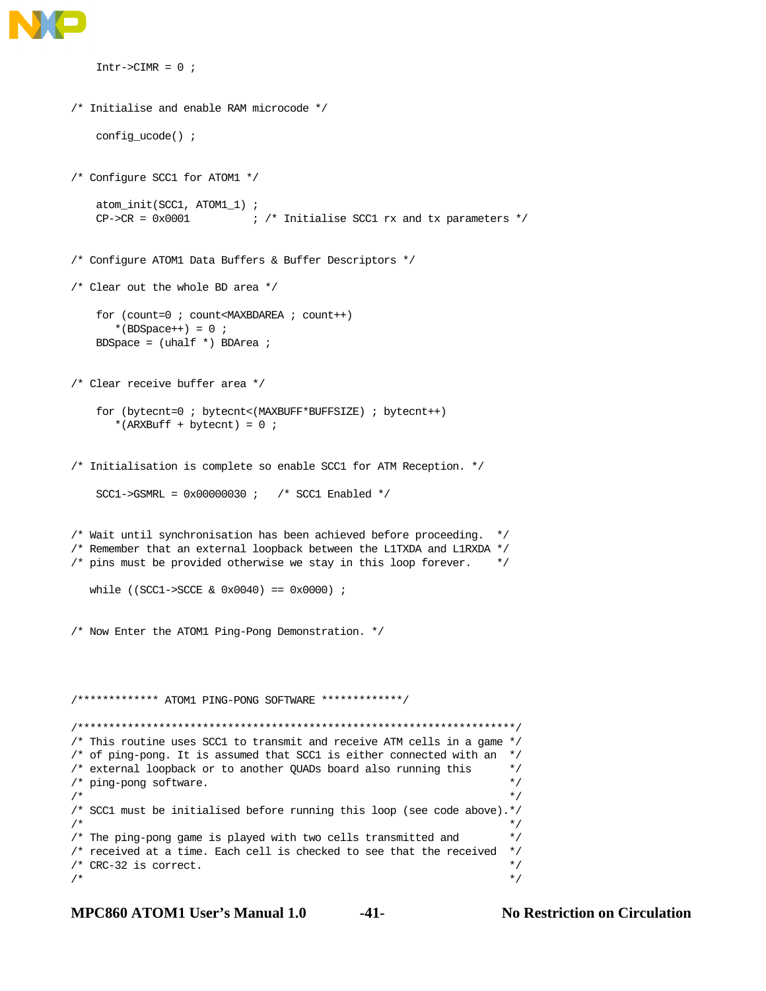

```
Intr->CIMR = 0 ;
/* Initialise and enable RAM microcode */
     config_ucode() ;
/* Configure SCC1 for ATOM1 */
    atom_init(SCC1, ATOM1_1) ;
    CP \rightarrow CR = 0x0001 ; /* Initialise SCC1 rx and tx parameters */
/* Configure ATOM1 Data Buffers & Buffer Descriptors */
/* Clear out the whole BD area */
     for (count=0 ; count<MAXBDAREA ; count++)
      *(BDSpace++) = 0 ;
     BDSpace = (uhalf *) BDArea ;
/* Clear receive buffer area */
     for (bytecnt=0 ; bytecnt<(MAXBUFF*BUFFSIZE) ; bytecnt++)
       *(</math>ARXBuff + bytecnt) = 0 ;/* Initialisation is complete so enable SCC1 for ATM Reception. */
     SCC1->GSMRL = 0x00000030 ; /* SCC1 Enabled */
/* Wait until synchronisation has been achieved before proceeding. */
/* Remember that an external loopback between the L1TXDA and L1RXDA */
/* pins must be provided otherwise we stay in this loop forever. */
    while ((SCC1->SCCE & 0x0040) == 0x0000) ;
/* Now Enter the ATOM1 Ping-Pong Demonstration. */
/************* ATOM1 PING-PONG SOFTWARE *************/
/**********************************************************************/
/* This routine uses SCC1 to transmit and receive ATM cells in a game */
/* of ping-pong. It is assumed that SCC1 is either connected with an */
/* external loopback or to another QUADs board also running this */
\frac{1}{2} ping-pong software.
\sqrt{\frac{1}{\pi}} *
/* SCC1 must be initialised before running this loop (see code above).*/<br>/* \hfill */
\sqrt{\frac{1}{\pi}} * \sqrt{\frac{1}{\pi}} * \sqrt{\frac{1}{\pi}} * \sqrt{\frac{1}{\pi}} * \sqrt{\frac{1}{\pi}} * \sqrt{\frac{1}{\pi}} * \sqrt{\frac{1}{\pi}} * \sqrt{\frac{1}{\pi}} * \sqrt{\frac{1}{\pi}} * \sqrt{\frac{1}{\pi}} * \sqrt{\frac{1}{\pi}} * \sqrt{\frac{1}{\pi}} * \sqrt{\frac{1}{\pi}} * \sqrt{\frac{1}{\pi}} * \sqrt{\frac{1}{\pi}}/* The ping-pong game is played with two cells transmitted and */
/* received at a time. Each cell is checked to see that the received */
/* CRC-32 is correct. *\sqrt{\frac{1}{\pi}} *
```
**MPC860 ATOM1 User's Manual 1.0 -41- No Restriction on Circulation**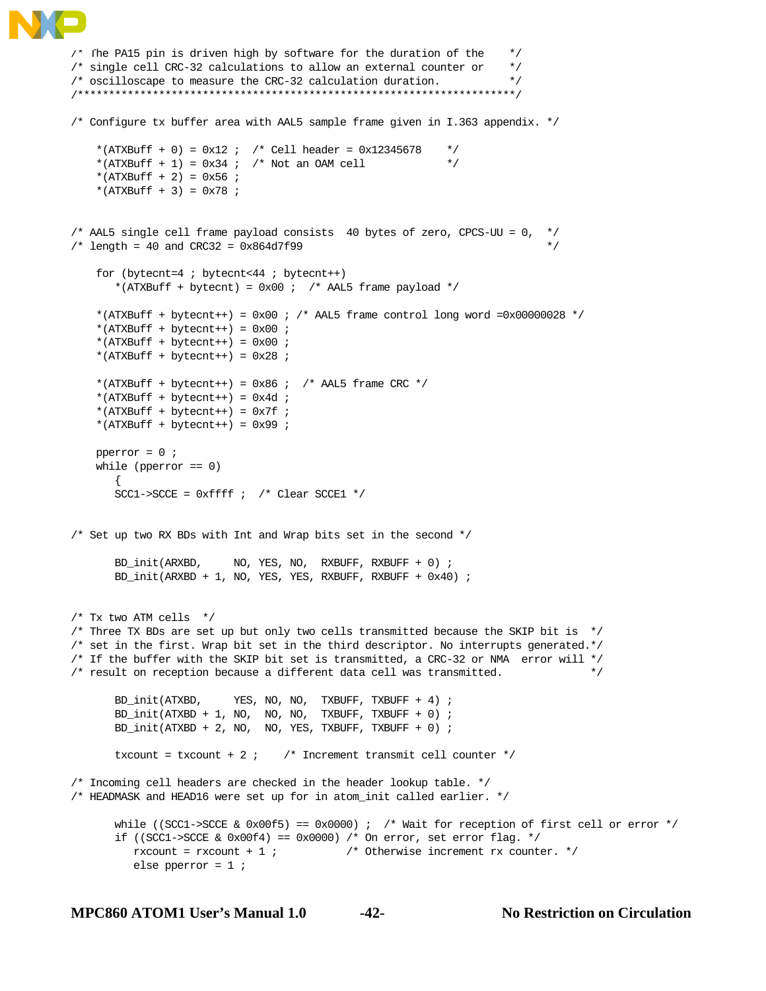```
/* The PA15 pin is driven high by software for the duration of the */
/* single cell CRC-32 calculations to allow an external counter or */
/* oscilloscape to measure the CRC-32 calculation duration. */
/**********************************************************************/
/* Configure tx buffer area with AAL5 sample frame given in I.363 appendix. */
   *(ATXBuff + 0) = 0x12 ; /* Cell header = 0x12345678 */
   *(ATXBuff + 1) = 0x34 ; /* Not an OAM cell */
    *(ATXBuffer + 2) = 0x56 ;
   *(ATXBuff + 3) = 0x78 ;
/* AAL5 single cell frame payload consists 40 bytes of zero, CPCS-UU = 0, */
/* length = 40 and CRC32 = 0x864d7f99 */
   for (bytecnt=4 ; bytecnt<44 ; bytecnt++)
      *(ATXBuff + bytecnt) = 0x00 ; /* AAL5 frame payload */
   *(ATXBuff + bytecnt++) = 0x00 ; /* AAL5 frame control long word =0x00000028 */
    *(ATXBuffer + byteenth++) = 0x00 ;
    *(ATXBuffer + byteenth++) = 0x00 ;
   *(ATXBuffer + byteenth++) = 0x28 ;
   *(ATXBuff + bytecnt++) = 0x86 ; /* AAL5 frame CRC */
   *(ATXBuff + bytecnt++) = 0x4d ;
   *(ATXBuff + bytecnt++) = 0x7f ;
   *(ATXBuff + bytecnt++) = 0x99 ;
    pperror = 0 ;
    while (pperror == 0)
\{SCC1->SCCE = 0xfftf ; /* Clear SCCE1 */
/* Set up two RX BDs with Int and Wrap bits set in the second */
      BD_init(ARXBD, NO, YES, NO, RXBUFF, RXBUFF + 0) ;
       BD_init(ARXBD + 1, NO, YES, YES, RXBUFF, RXBUFF + 0x40) ;
/* Tx two ATM cells *//* Three TX BDs are set up but only two cells transmitted because the SKIP bit is */
/* set in the first. Wrap bit set in the third descriptor. No interrupts generated.*/
/* If the buffer with the SKIP bit set is transmitted, a CRC-32 or NMA error will */
/* result on reception because a different data cell was transmitted. */
      BD_init(ATXBD, YES, NO, NO, TXBUFF, TXBUFF + 4) ;
       BD_init(ATXBD + 1, NO, NO, NO, TXBUFF, TXBUFF + 0) ;
       BD_init(ATXBD + 2, NO, NO, YES, TXBUFF, TXBUFF + 0) ;
      txcount = txcount + 2 ; \prime * Increment transmit cell counter *//* Incoming cell headers are checked in the header lookup table. */
/* HEADMASK and HEAD16 were set up for in atom_init called earlier. */
      while ((SCC1->SCCE & 0x00f5) == 0x0000) ; /* Wait for reception of first cell or error */
      if ((SCC1->SCCE & 0x00f4) == 0x0000) /* On error, set error flag. */
         rxcount = rxcount + 1 ; \frac{1}{2} /* Otherwise increment rx counter. */
          else pperror = 1 ;
```
**MPC860 ATOM1 User's Manual 1.0 -42- No Restriction on Circulation**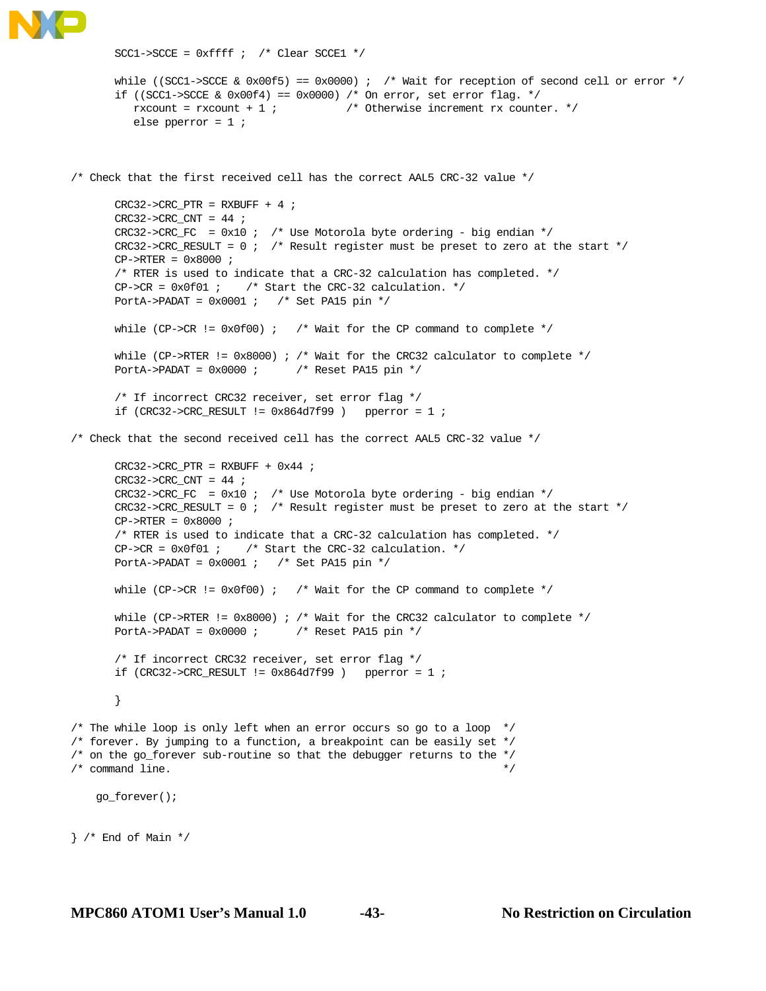```
SCC1->SCCE = 0xffff ; /* Clear SCCE1 */
      while ((SCC1->SCCE & 0x00f5) == 0x0000) ; /* Wait for reception of second cell or error */
      if ((SCC1->SCCE & 0x00f4) == 0x0000) /* On error, set error flag. */
         rxcount = rxcount + 1 ; \qquad \qquad /* Otherwise increment rx counter. */
          else pperror = 1 ;
/* Check that the first received cell has the correct AAL5 CRC-32 value */
      CRC32->CRC_PTR = RXBUFF + 4 ;CRC32->CRC/CNT = 44 ;
      CRC32->CRC_FC = 0x10 ; /* Use Motorola byte ordering - big endian */
      CRC32->CRC_RESULT = 0 ; /* Result register must be preset to zero at the start */
      CP->RTER = 0x8000 ;
       /* RTER is used to indicate that a CRC-32 calculation has completed. */
      CP->CR = 0x0f01 ; /* Start the CRC-32 calculation. */
      PortA->PADAT = 0x0001 ; /* Set PA15 pin */
      while (CP->CR != 0x0f00) ; /* Wait for the CP command to complete */
      while (CP->RTER != 0x8000) ; /* Wait for the CRC32 calculator to complete */
      PortA->PADAT = 0x0000 ; /* Reset PA15 pin */
       /* If incorrect CRC32 receiver, set error flag */
      if (CRC32->CRC\_RESULT  != 0x864d7f99 ) pperror = 1 ;
/* Check that the second received cell has the correct AAL5 CRC-32 value */
      CRC32->CRC PTR = RXBUFF + 0x44 ;
      CRC32->CRC_CNT = 44 ;
      CRC32->CRC\_FC = 0x10 ; /* Use Motorola byte ordering - big endian */
      CRC32->CRC_RESULT = 0 ; /* Result register must be preset to zero at the start */
      CP->RTER = 0x8000 ;
       /* RTER is used to indicate that a CRC-32 calculation has completed. */
      CP->CR = 0x0f01 ; /* Start the CRC-32 calculation. */
      PortA->PADAT = 0x0001 ; /* Set PA15 pin */
      while (CP->CR != 0x0f00) ; /* Wait for the CP command to complete */
      while (CP->RTER != 0x8000) ; /* Wait for the CRC32 calculator to complete */
      PortA->PADAT = 0x0000 ; /* Reset PA15 pin */
       /* If incorrect CRC32 receiver, set error flag */
       if (CRC32->CRC_RESULT != 0x864d7f99 ) pperror = 1 ;
       }
/* The while loop is only left when an error occurs so go to a loop */
/* forever. By jumping to a function, a breakpoint can be easily set */
/* on the go_forever sub-routine so that the debugger returns to the */
\frac{1}{2} command line. \frac{1}{2} go_forever();
} /* End of Main */
```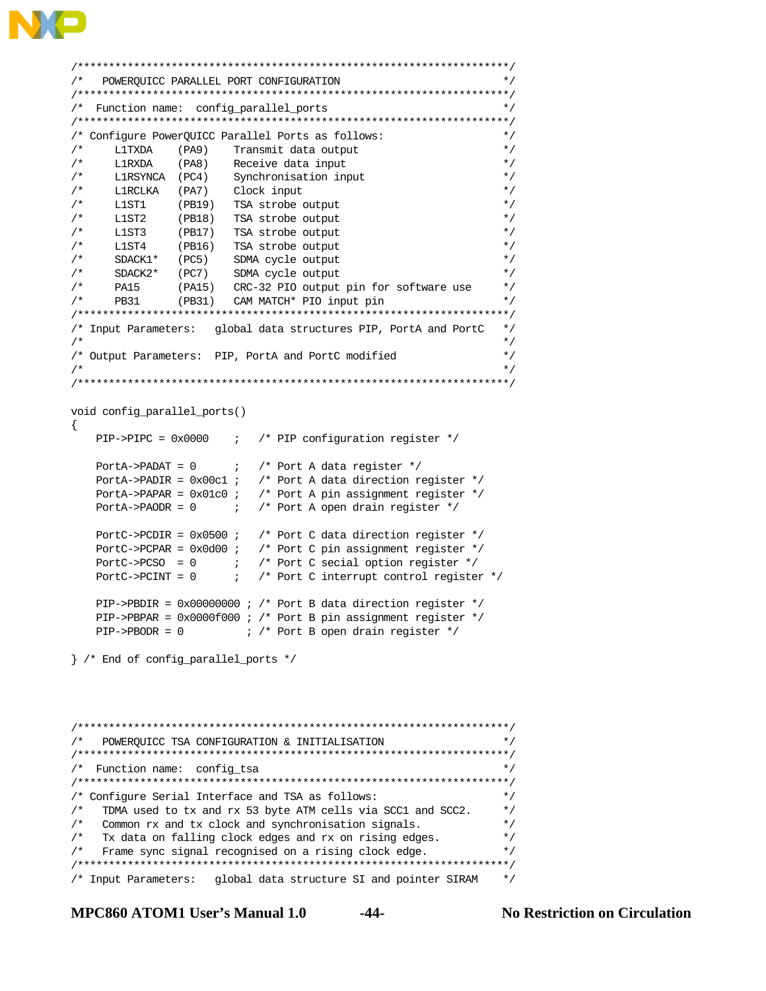```
/*********************************************************************/
/* POWERQUICC PARALLEL PORT CONFIGURATION */
/*********************************************************************/
/* Function name: config_parallel_ports */
/*********************************************************************/
/* Configure PowerQUICC Parallel Ports as follows: */
/* L1TXDA (PA9) Transmit data output */
    L1RXDA (PA8) Receive data input */
/* L1RSYNCA (PC4) Synchronisation input */
/* L1RCLKA (PA7) Clock input */
/* L1ST1 (PB19) TSA strobe output */
/* L1ST2 (PB18) TSA strobe output */
/* L1ST3 (PB17) TSA strobe output */
/* L1ST4 (PB16) TSA strobe output */
/* SDACK1* (PC5) SDMA cycle output */
/* SDACK2* (PC7) SDMA cycle output */
/* PA15 (PA15) CRC-32 PIO output pin for software use */
/* PB31 (PB31) CAM MATCH* PIO input pin */
/*********************************************************************/
/* Input Parameters: global data structures PIP, PortA and PortC */
\sqrt{\frac{1}{\pi}} *
/* Output Parameters: PIP, PortA and PortC modified */
\sqrt{\frac{1}{\pi}} * \sqrt{\frac{1}{\pi}} * \sqrt{\frac{1}{\pi}} * \sqrt{\frac{1}{\pi}} * \sqrt{\frac{1}{\pi}} * \sqrt{\frac{1}{\pi}} * \sqrt{\frac{1}{\pi}} * \sqrt{\frac{1}{\pi}} * \sqrt{\frac{1}{\pi}} * \sqrt{\frac{1}{\pi}} * \sqrt{\frac{1}{\pi}} * \sqrt{\frac{1}{\pi}} * \sqrt{\frac{1}{\pi}} * \sqrt{\frac{1}{\pi}} * \sqrt{\frac{1}{\pi}}/*********************************************************************/
void config_parallel_ports()
{
    PIP->PIPC = 0x0000 ; /* PIP configuration register */
   PortA->PADAT = 0 ; /* Port A data register */
    PortA->PADIR = 0x00c1 ; /* Port A data direction register */
    PortA->PAPAR = 0x01c0 ; /* Port A pin assignment register */
   PortA->PAODR = 0 ; /* Port A open drain register */
    PortC->PCDIR = 0x0500 ; /* Port C data direction register */
   PortC->PCPAR = 0x0d00 ; /* Port C pin assignment register */
   PortC->PCSO = 0 i /* Port C secial option register */
   PortC->PCINT = 0 i /* Port C interrupt control register */
   PIP->PBDIR = 0x00000000 ; /* Port B data direction register */
    PIP->PBPAR = 0x0000f000 ; /* Port B pin assignment register */
   PIP->PBODR = 0 i /* Port B open drain register */
} /* End of config_parallel_ports */
```
/\*\*\*\*\*\*\*\*\*\*\*\*\*\*\*\*\*\*\*\*\*\*\*\*\*\*\*\*\*\*\*\*\*\*\*\*\*\*\*\*\*\*\*\*\*\*\*\*\*\*\*\*\*\*\*\*\*\*\*\*\*\*\*\*\*\*\*\*\*/ /\* POWERQUICC TSA CONFIGURATION & INITIALISATION \*/ /\*\*\*\*\*\*\*\*\*\*\*\*\*\*\*\*\*\*\*\*\*\*\*\*\*\*\*\*\*\*\*\*\*\*\*\*\*\*\*\*\*\*\*\*\*\*\*\*\*\*\*\*\*\*\*\*\*\*\*\*\*\*\*\*\*\*\*\*\*/ /\* Function name: config\_tsa \*/ /\*\*\*\*\*\*\*\*\*\*\*\*\*\*\*\*\*\*\*\*\*\*\*\*\*\*\*\*\*\*\*\*\*\*\*\*\*\*\*\*\*\*\*\*\*\*\*\*\*\*\*\*\*\*\*\*\*\*\*\*\*\*\*\*\*\*\*\*\*/ /\* Configure Serial Interface and TSA as follows: \*/ /\* TDMA used to tx and rx 53 byte ATM cells via SCC1 and SCC2. \*/ /\* Common rx and tx clock and synchronisation signals. \*/  $/*$  Tx data on falling clock edges and rx on rising edges.  $*/$ /\* Frame sync signal recognised on a rising clock edge. \*/ /\*\*\*\*\*\*\*\*\*\*\*\*\*\*\*\*\*\*\*\*\*\*\*\*\*\*\*\*\*\*\*\*\*\*\*\*\*\*\*\*\*\*\*\*\*\*\*\*\*\*\*\*\*\*\*\*\*\*\*\*\*\*\*\*\*\*\*\*\*/ /\* Input Parameters: global data structure SI and pointer SIRAM \*/

**MPC860 ATOM1 User's Manual 1.0 -44- No Restriction on Circulation**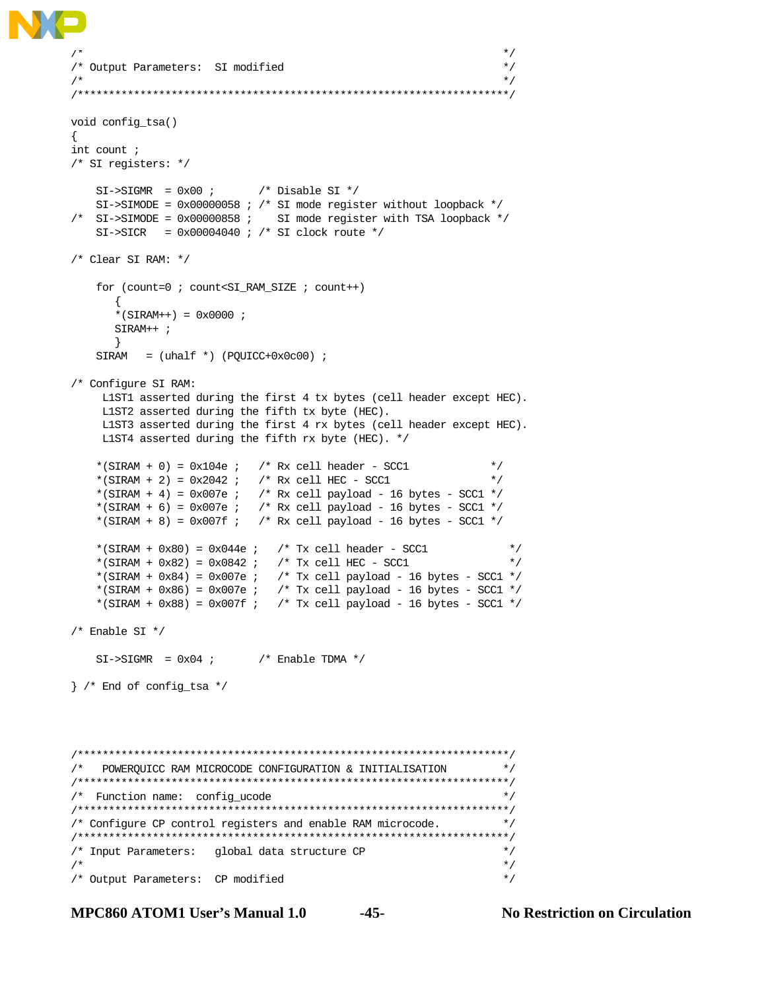```
\sqrt{\frac{1}{\pi}} *
/* Output Parameters: SI modified */
\sqrt{\frac{1}{\pi}} * \sqrt{\frac{1}{\pi}} * \sqrt{\frac{1}{\pi}} * \sqrt{\frac{1}{\pi}} * \sqrt{\frac{1}{\pi}} * \sqrt{\frac{1}{\pi}} * \sqrt{\frac{1}{\pi}} * \sqrt{\frac{1}{\pi}} * \sqrt{\frac{1}{\pi}} * \sqrt{\frac{1}{\pi}} * \sqrt{\frac{1}{\pi}} * \sqrt{\frac{1}{\pi}} * \sqrt{\frac{1}{\pi}} * \sqrt{\frac{1}{\pi}} * \sqrt{\frac{1}{\pi}}/*********************************************************************/
void config_tsa()
{
int count ;
/* SI registers: */
   SI->SIGMR = 0x00 ; /* Disable SI */
   <code>SI->SIMODE = 0x00000058</code> ; /* <code>SI</code> mode register without loopback */
/* SI->SIMODE = 0x00000858 ; SI mode register with TSA loopback */
   SI->SICR = 0x00004040 ; /* SI clock route */
/* Clear SI RAM: */
     for (count=0 ; count<SI_RAM_SIZE ; count++)
        {
       *(SIRAM++) = 0x0000 ; SIRAM++ ;
        }
   SIRAM = (uhalf *) (PQUICC+0x0c00) ;
/* Configure SI RAM:
      L1ST1 asserted during the first 4 tx bytes (cell header except HEC).
      L1ST2 asserted during the fifth tx byte (HEC).
     L1ST3 asserted during the first 4 rx bytes (cell header except HEC).
     L1ST4 asserted during the fifth rx byte (HEC). */
    *(\text{SIRAM} + 0) = 0 \times 104e; \quad \text{/*} \text{Rx cell header} - \text{SCC1} */
    *(SIRAM + 2) = 0x2042 ; /* Rx cell HEC - SCC1 */
    *(SIRAM + 4) = 0x007e ; /* Rx cell payload - 16 bytes - SCC1 */
*(\text{SIRAM + 6}) = 0x007e ; /* Rx cell payload - 16 bytes - SCCl */
*(\text{SIRAM + 8}) = 0x007f ; /* Rx cell payload - 16 bytes - SCCl */
   *(SIRAM + 0x80) = 0x044e ;  /* Tx cell header - SCC1 */
   *(SIRAM + 0x82) = 0x0842 ; \rightarrow Tx cell HEC - SCC1 */
   *(SIRAM + 0x84) = 0x007e ; /* Tx cell payload - 16 bytes - SCC1 */
    *(SIRAM + 0x86) = 0x007e ; /* Tx cell payload - 16 bytes - SCC1 */
    *(SIRAM + 0x88) = 0x007f ; /* Tx cell payload - 16 bytes - SCCl */
/* Enable SI */
   SI->SIGMR = 0x04 ; /* Enable TDMA */
} /* End of config_tsa */
/*********************************************************************/
\prime^* POWERQUICC RAM MICROCODE CONFIGURATION & INITIALISATION
/*********************************************************************/
/* Function name: config_ucode */
/*********************************************************************/
/* Configure CP control registers and enable RAM microcode. */
/*********************************************************************/
/* Input Parameters: global data structure CP */
\sqrt{\frac{1}{\pi}} *
/* Output Parameters: CP modified */
```
**MPC860 ATOM1 User's Manual 1.0 -45- No Restriction on Circulation**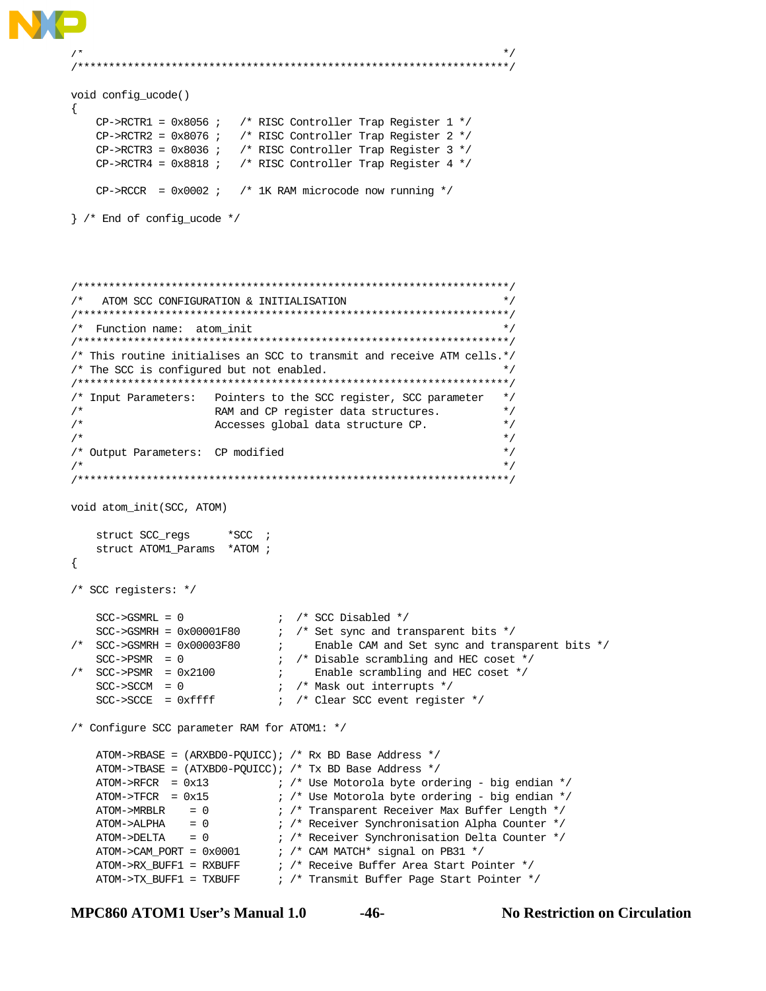```
\sqrt{\frac{1}{\pi}} *
/*********************************************************************/
void config_ucode()
{
   CP->RCTR1 = 0x8056 ; /* RISC Controller Trap Register 1 */
   CP->RCTR2 = 0x8076 ; /* RISC Controller Trap Register 2 */
   CP->RCTR3 = 0x8036 ; /* RISC Controller Trap Register 3 */
    CP->RCTR4 = 0x8818 ; /* RISC Controller Trap Register 4 */
   CP->RCCR = 0x0002 ; /* 1K RAM microcode now running */
} /* End of config_ucode */
/*********************************************************************/
/* ATOM SCC CONFIGURATION & INITIALISATION */
/*********************************************************************/
/* Function name: atom_init */
/*********************************************************************/
/* This routine initialises an SCC to transmit and receive ATM cells.*/
/* The SCC is configured but not enabled.
/*********************************************************************/
/* Input Parameters: Pointers to the SCC register, SCC parameter */
/* RAM and CP register data structures. */
                   Accesses global data structure CP. */
\sqrt{\frac{1}{\pi}} *
/* Output Parameters: CP modified */
\sqrt{\frac{1}{\pi}} *
/*********************************************************************/
void atom_init(SCC, ATOM)
    struct SCC_regs *SCC ;
   struct ATOM1_Params *ATOM ;
{
/* SCC registers: */
   SCC \rightarrow GSMRL = 0 ; /* SCC Disabled */
SCC->GSMRH = 0x00001F80 ; /* Set sync and transparent bits */<br>/* SCC->GSMRH = 0x00003F80 ; Enable CAM and Set sync and trans
                                Enable CAM and Set sync and transparent bits */
 SCC->PSMR = 0 ; /* Disable scrambling and HEC coset */
/* SCC->PSMR = 0x2100 ; Enable scrambling and HEC coset */
SCC->SCCM = 0 ; /* Mask out interrupts */SCC->SCCE = 0xffff ; /* Clear SCC event register */
/* Configure SCC parameter RAM for ATOM1: */
    ATOM->RBASE = (ARXBD0-PQUICC); /* Rx BD Base Address */
   ATOM->TBASE = (ATXBD0-PQUICC); /* Tx BD Base Address */
   ATOM->RFCR = 0x13 ; /* Use Motorola byte ordering - big endian */
ATOM->TFCR = 0x15 ; /* Use Motorola byte ordering - big endian */
ATOM->MRBLR = 0 \qquad ; /* Transparent Receiver Max Buffer Length */
 ATOM->ALPHA = 0 ; /* Receiver Synchronisation Alpha Counter */
ATOM->DELTA = 0 \qquad ; /* Receiver Synchronisation Delta Counter */
ATOM->CAM_PORT = 0x0001 ; /* CAM MATCH* signal on PB31 */
 ATOM->RX_BUFF1 = RXBUFF ; /* Receive Buffer Area Start Pointer */
 ATOM->TX_BUFF1 = TXBUFF ; /* Transmit Buffer Page Start Pointer */
```

```
MPC860 ATOM1 User's Manual 1.0 -46- No Restriction on Circulation
```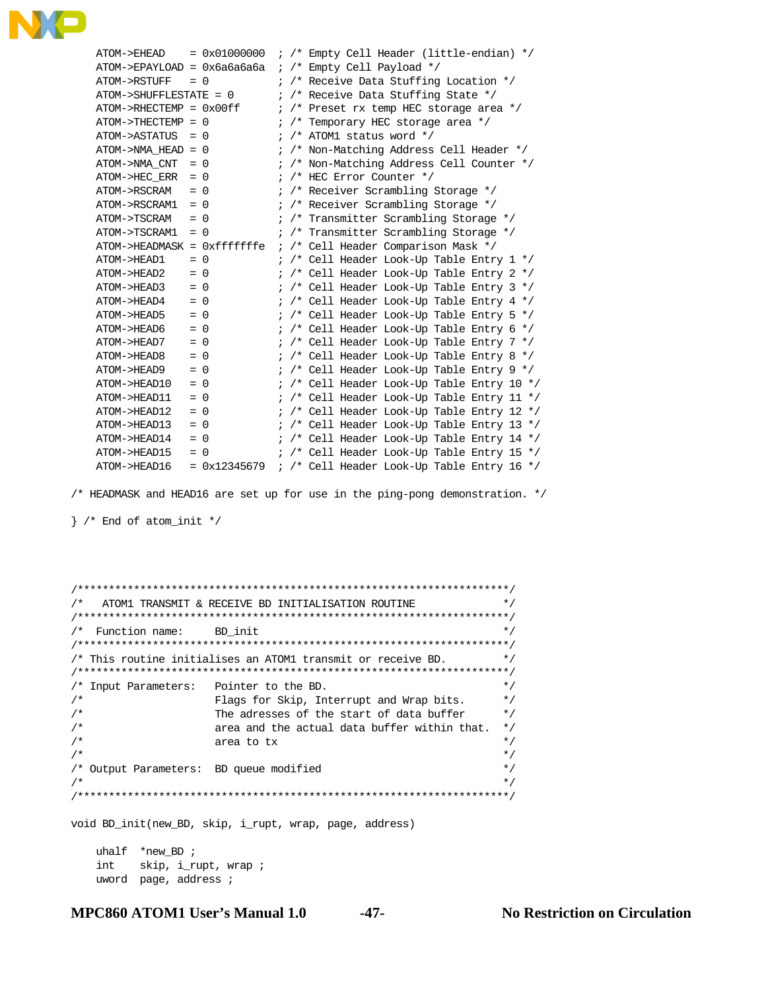

| ATOM->EHEAD                   |       | $= 0x01000000$ |            |       | ; /* Empty Cell Header (little-endian) */             |
|-------------------------------|-------|----------------|------------|-------|-------------------------------------------------------|
| ATOM->EPAYLOAD = 0x6a6a6a6a   |       |                | $\ddot{i}$ | $/$ * | Empty Cell Payload */                                 |
| ATOM->RSTUFF                  |       | $= 0$          |            |       | ; /* Receive Data Stuffing Location */                |
| $ATOM->SHUFFLEXSTATE = 0$     |       |                |            |       | ; /* Receive Data Stuffing State */                   |
| $ATOM->RHECTEMP = 0x00ff$     |       |                |            |       | ; /* Preset rx temp HEC storage area */               |
| $ATOM->THECTEMP = 0$          |       |                |            |       | $\frac{1}{2}$ /* Temporary HEC storage area */        |
| ATOM->ASTATUS                 | $= 0$ |                |            |       | ; $/*$ ATOM1 status word $*/$                         |
| ATOM->NMA HEAD = 0            |       |                |            |       | ; /* Non-Matching Address Cell Header */              |
| ATOM->NMA CNT                 | $= 0$ |                |            |       | ; /* Non-Matching Address Cell Counter */             |
| ATOM->HEC ERR                 | $= 0$ |                |            |       | ; /* HEC Error Counter */                             |
| ATOM->RSCRAM                  | $= 0$ |                |            |       | ; /* Receiver Scrambling Storage */                   |
| ATOM->RSCRAM1                 | $= 0$ |                |            |       | ; /* Receiver Scrambling Storage */                   |
| ATOM->TSCRAM                  |       | $= 0$          |            |       | ; /* Transmitter Scrambling Storage */                |
| ATOM->TSCRAM1                 | $= 0$ |                |            |       | ; /* Transmitter Scrambling Storage */                |
| $ATOM->HEADMASK = 0xfffffffe$ |       |                |            |       | ; /* Cell Header Comparison Mask */                   |
| ATOM->HEAD1                   |       | $= 0$          |            |       | $\frac{1}{2}$ /* Cell Header Look-Up Table Entry 1 */ |
| ATOM->HEAD2                   |       | $= 0$          |            |       | $\frac{1}{2}$ /* Cell Header Look-Up Table Entry 2 */ |
| ATOM->HEAD3                   | $= 0$ |                |            |       | ; /* Cell Header Look-Up Table Entry $3*/$            |
| ATOM->HEAD4                   |       | $= 0$          |            |       | ; /* Cell Header Look-Up Table Entry 4 */             |
| ATOM->HEAD5                   |       | $= 0$          |            |       | ; /* Cell Header Look-Up Table Entry 5 */             |
| ATOM->HEAD6                   | $= 0$ |                |            |       | $\frac{1}{2}$ /* Cell Header Look-Up Table Entry 6 */ |
| ATOM->HEAD7                   | $= 0$ |                |            |       | $\frac{1}{2}$ /* Cell Header Look-Up Table Entry 7 */ |
| ATOM->HEAD8                   | $= 0$ |                |            |       | $1$ /* Cell Header Look-Up Table Entry 8 */           |
| ATOM->HEAD9                   |       | $= 0$          |            |       | ; /* Cell Header Look-Up Table Entry 9 */             |
| ATOM->HEAD10                  | $= 0$ |                |            |       | ; /* Cell Header Look-Up Table Entry 10 */            |
| ATOM->HEAD11                  |       | $= 0$          |            |       | ; /* Cell Header Look-Up Table Entry 11 */            |
| ATOM->HEAD12                  | $= 0$ |                |            |       | ; /* Cell Header Look-Up Table Entry 12 */            |
| ATOM->HEAD13                  | $= 0$ |                |            |       | ; /* Cell Header Look-Up Table Entry 13 */            |
| ATOM->HEAD14                  | $= 0$ |                |            |       | ; /* Cell Header Look-Up Table Entry 14 */            |
| ATOM->HEAD15                  |       | $= 0$          |            |       | ; /* Cell Header Look-Up Table Entry 15 */            |
| ATOM->HEAD16                  |       | $= 0x12345679$ |            |       | ; /* Cell Header Look-Up Table Entry 16 */            |
|                               |       |                |            |       |                                                       |

/\* HEADMASK and HEAD16 are set up for use in the ping-pong demonstration. \*/

} /\* End of atom\_init \*/

/\*\*\*\*\*\*\*\*\*\*\*\*\*\*\*\*\*\*\*\*\*\*\*\*\*\*\*\*\*\*\*\*\*\*\*\*\*\*\*\*\*\*\*\*\*\*\*\*\*\*\*\*\*\*\*\*\*\*\*\*\*\*\*\*\*\*\*\*\*/  $\prime^*$  ATOM1 TRANSMIT & RECEIVE BD INITIALISATION ROUTINE /\*\*\*\*\*\*\*\*\*\*\*\*\*\*\*\*\*\*\*\*\*\*\*\*\*\*\*\*\*\*\*\*\*\*\*\*\*\*\*\*\*\*\*\*\*\*\*\*\*\*\*\*\*\*\*\*\*\*\*\*\*\*\*\*\*\*\*\*\*/  $/*$  Function name: BD\_init  $*$  / /\*\*\*\*\*\*\*\*\*\*\*\*\*\*\*\*\*\*\*\*\*\*\*\*\*\*\*\*\*\*\*\*\*\*\*\*\*\*\*\*\*\*\*\*\*\*\*\*\*\*\*\*\*\*\*\*\*\*\*\*\*\*\*\*\*\*\*\*\*/ /\* This routine initialises an ATOM1 transmit or receive BD. \*/ /\*\*\*\*\*\*\*\*\*\*\*\*\*\*\*\*\*\*\*\*\*\*\*\*\*\*\*\*\*\*\*\*\*\*\*\*\*\*\*\*\*\*\*\*\*\*\*\*\*\*\*\*\*\*\*\*\*\*\*\*\*\*\*\*\*\*\*\*\*/ /\* Input Parameters: Pointer to the BD. \*/ /\* Flags for Skip, Interrupt and Wrap bits. \*/ /\* The adresses of the start of data buffer \*/ /\* area and the actual data buffer within that. \*/  $\frac{1}{x}$  area to tx  $\frac{x}{x}$   $\frac{x}{x}$  $\sqrt{\frac{1}{\pi}}$  \* /\* Output Parameters: BD queue modified \*/  $\sqrt{\frac{1}{\pi}}$  \* /\*\*\*\*\*\*\*\*\*\*\*\*\*\*\*\*\*\*\*\*\*\*\*\*\*\*\*\*\*\*\*\*\*\*\*\*\*\*\*\*\*\*\*\*\*\*\*\*\*\*\*\*\*\*\*\*\*\*\*\*\*\*\*\*\*\*\*\*\*/

void BD\_init(new\_BD, skip, i\_rupt, wrap, page, address)

 uhalf \*new\_BD ; int skip, i\_rupt, wrap ; uword page, address ;

**MPC860 ATOM1 User's Manual 1.0 -47- No Restriction on Circulation**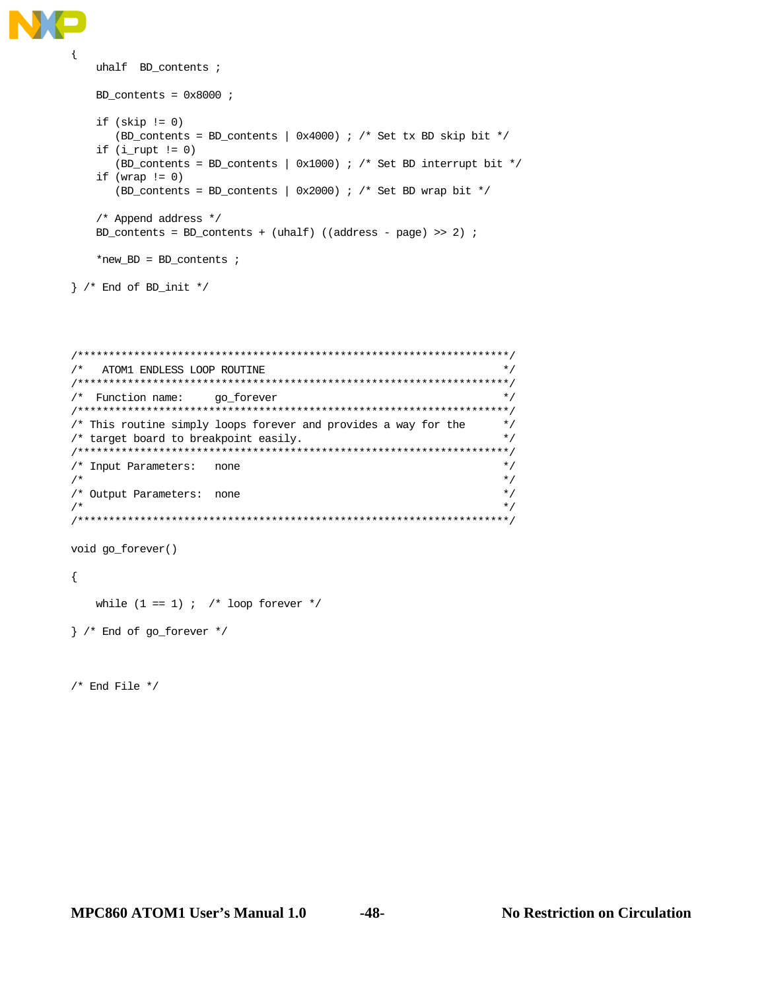```
{
    uhalf BD_contents ;
    BD_contents = 0x8000 ;
   if (skip != 0) (BD_contents = BD_contents | 0x4000) ; /* Set tx BD skip bit */
   if (i<sup>rupt</sup> != 0) (BD_contents = BD_contents | 0x1000) ; /* Set BD interrupt bit */
   if (wrap != 0)
        (BD_contents = BD_contents | 0x2000) ; /* Set BD wrap bit */
     /* Append address */
    BD_contents = BD_contents + (uhalf) ((address - page) >> 2) ;
     *new_BD = BD_contents ;
}^* /* End of BD_init */
```

```
/*********************************************************************/
\hspace{0.1cm} /* <br> ATOM1 ENDLESS LOOP ROUTINE \hspace{0.1cm} \hspace{0.1cm} */
/*********************************************************************/
/* Function name: go_forever */
/*********************************************************************/
/* This routine simply loops forever and provides a way for the */
/* target board to breakpoint easily. */
/*********************************************************************/
/* Input Parameters: none */
\sqrt{\frac{1}{\pi}} *
/* Output Parameters: none \binom{1}{x} */
\sqrt{\frac{1}{\pi}} *
/*********************************************************************/
```
void go\_forever()

{

while  $(1 == 1)$  ; /\* loop forever \*/

} /\* End of go\_forever \*/

/\* End File \*/